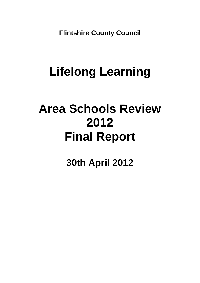**Flintshire County Council** 

## **Lifelong Learning**

## **Area Schools Review 2012 Final Report**

**30th April 2012**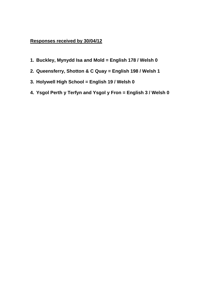### **Responses received by 30/04/12**

- **1. Buckley, Mynydd Isa and Mold = English 178 / Welsh 0**
- **2. Queensferry, Shotton & C Quay = English 198 / Welsh 1**
- **3. Holywell High School = English 19 / Welsh 0**
- **4. Ysgol Perth y Terfyn and Ysgol y Fron = English 3 / Welsh 0**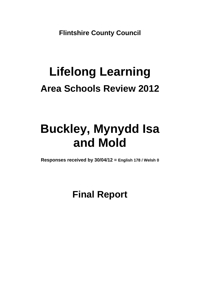**Flintshire County Council** 

# **Lifelong Learning Area Schools Review 2012**

### **Buckley, Mynydd Isa and Mold**

**Responses received by 30/04/12 = English 178 / Welsh 0**

**Final Report**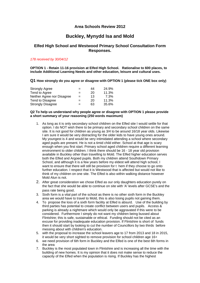#### **Area Schools Review 2012**

### **Buckley, Mynydd Isa and Mold**

#### **Elfed High School and Westwood Primary School Consultation Form Responses.**

#### *178 received by 30/04/12*

**OPTION 1 - Retain 11-16 provision at Elfed High School. Rationalise to 600 places, to include Additional Learning Needs and other education, leisure and cultural uses.** 

**Q1 How strongly do you agree or disagree with OPTION 1 (please tick ONE box only)** 

| <b>Strongly Agree</b>      | $=$ | 44 | 24.9% |
|----------------------------|-----|----|-------|
| Tend to Agree              | $=$ | 20 | 11.3% |
| Neither Agree nor Disagree | $=$ | 13 | 7.3%  |
| Tend to Disagree           | $=$ | 20 | 11.3% |
| <b>Strongly Disagree</b>   | $=$ | 63 | 35.6% |

#### **Q2 To help us understand why people agree or disagree with OPTION 1 please provide a short summary of your reasoning (250 words maximum)**

- 1. As long as it is only secondary school children on the Elfed site I would settle for that option. I do NOT wish there to be primary and secondary school children on the same site. It is not good for children as young as 3/4 to be around 16/18 year olds. Likewise I am sure it would be very distracting for the older kids to have young ones around. My youngest is 4 and would be very intimidated attending a school where secondary aged pupils are present. He is not a timid child either. School at that age is scary enough when you first start. Primary school aged children require a different learning environment to older children. I think there should be 16 - 18 year old provision available in Buckley other than travelling to Mold. The Elfed higher education serves both the Elfed and Argoed pupils. Both my children attend Southdown Primary School, and although it is a few years before my eldest will attend high school, I want to ensure that there will still be provision for t hem if they choose to go onto further education. I respect that it is Westwood that is affected but would not like to think of my children on one site. The Elfed is also within walking distance however Mold Alun is not.
- 2. After great consideration we chose Elfed as our only daughters education purely on the fact that she would be able to continue on site with 'A' levels after GCSE's and the
- pass rate being good. 3. Sixth form is a vital part of the school as there is no other sixth form in the Buckley area we would have to travel to Mold, this is also losing pupils not gaining them.
- 4. To propose the loss of a sixth form facility at Elfed is absurd. Use of the building by third parties has potential to create conflict between users and pupils. Access & parking is already a nightmare which would only be aggravated if this were to be considered. Furthermore I simply do not want my children being bussed about Flintshire; this is safe, sustainable or ethical. Funding should not be cited as an excuse for providing inadequate education provision. If Flintshire is short of funds then it should start by looking to cut the number of Councillors by two thirds before messing about with children's education.
- 5. with the proposal to increase the school leavers age to 17 from 2013 and 18 in 2015, it would be very short sighted to remove provision for school children age 16+
- 6. we need provision of 6th form in Buckley and the Elfed is one of the best 6th forms in the area
- 7. Buckley is the most populated town in Flintshire and is increasing all the time with the building of new homes. It is my opinion that it does not make sense to reduce the capacity of the Elfed when the population is rising. If Buckley has the highest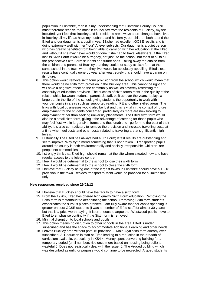population in Flintshire, then it is my understanding that Flintshire County Council must therefore receive the most in council tax from the residents of Buckley, myself included, yet I feel that Buckley and its residents are always short-changed have lived in Buckley all my life as have my husband and his family, our children both attend the Elfed and our daughter is a pupil in year 13,she had excellent GCSE results and is doing extremely well with her "four" A level subjects. Our daughter is a quiet person who has greatly benefited from being able to carry on with her education at the Elfed and without it she may never would of done if she had to travel elsewhere .If the Elfed lost its Sixth Form it would be a tragedy, not just to the school, but most of all to all the prospective Sixth Form students and future ones. Taking away the choice from the children and parents of Buckley that they could not study at sixth form at the same school in the town where they live, would be absolutely appalling. Elfed's exam results have continually gone up year after year, surely this should have a baring on its future.

- 8. This option would remove sixth form provision from the school which would mean that there would be no sixth form provision in the Buckley area. This cannot be right and will have a negative effect on the community as well as severely restricting the continuity of education provision. The success of sixth forms rests in the quality of the relationships between students, parents & staff, built up over the years. It plays a large part in the life of the school, giving students the opportunity to work with younger pupils in areas such as supported reading, PE and other skilled areas. The links with local businesses would also be lost and this is vital in the context of future employment for the students concerned, particularly as more are now looking to employment rather than seeking university placements. The Elfed sixth form would also be a small sixth form, giving it the advantage of catering for those pupils who may feel 'lost' within larger sixth forms and thus unable to perform to the best of their ability. It is also contradictory to remove the provision and increase travelling costs at a time when fuel costs and other costs related to travelling are at significantly high levels.
- 9. Historically The Elfed has always had a 6th Form; latest results are outstanding and set to improve. Why try to mend something that is not broken. Transporting pupils around the county is both environmentally and socially irresponsible. Children are people not commodities.
- 10. I strongly think that Elfed high should remain at the site where situated now and have regular access to the leisure centre.
- 11. I feel it would be detrimental to the school to lose their sixth form.
- 12. I feel it would be detrimental to the school to close the sixth form.
- 13. I believe that Buckley being one of the largest towns in Flintshire should have a 16-18 provision in the town. Besides transport to Mold would be provided for a limited time only.

#### **New responses received since 29/02/12**

- 14. I believe that Buckley should have the facility to have a sixth form.
- 15. From the 1970s, Elfed has offered high quality Sixth Form education. Removing the Sixth form is tantamount to decapitating the school. Removing Sixth form students exacerbates the surplus places problem. I am fully aware that per capita spending is greater on post GCSE students (I was a member of Elfed staff for almost 30 years) but this is a price worth paying. It is erroneous to argue that Westwood pupils move to Elfed to emphasise continuity if the Sixth form is removed
- 16. Minimal disruption to local schools and pupils.
- 17. This option means no disruption to other schools in the area. Elfed is under subscribed and has the space to accommodate Additional Learning and other needs.
- 18. Leaves Buckley area without post-16 provision 2. Mold Alyn sixth form already oversubscribed. 3. Reduction in staff at Elfed leading to a reduction in the breadth of curriculum available, particularly in KS4 4. Money spent converting building for a temporary period (until numbers rise once more based on housing being built) is wasteful 5. Does not realistically deal with the issue. 6. The Argoed building which was described as unfit for purpose would continue to be neglected, Argoed students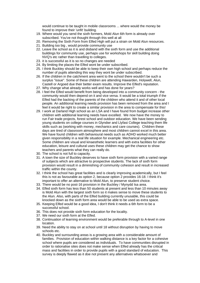would continue to be taught in mobile classrooms ... where would the money be found to improve their 'unfit' building.

- 19. Where would you send the sixth formers, Mold Alun 6th form is already over subscribed. You've not thought through this well at all
- 20. Removing the Sixth Form from Elfed High will put a strain on Mold Alun resources.
- 21. Building too big , would provide community use
- 22. Leave the school as it is and disband with the sixth form and use the additional buildings for community use, perhaps use for workshops for skill building doing NVQ's etc rather than travelling to colleges.
- 23. it is successful as it is so no changes are needed
- 24. By limiting the places the Elfed wont be under subscribed.
- 25. I think Buckley should be able to keep their own high school and perhaps reduce the number of pupils attending this way they wont be under subscribed.
- 26. If the children in the catchment area went to the school there wouldn't be such a surplus "issue". Some of these children are attending Hawarden, Holywell, Alun, Castell or Argoed due their better exam results. Improve the Elfed's reputation.
- 27. Why change what already works well and has done for years?
- 28. I feel the Elfed would benefit from being developed into a community concern the community would then depend on it and vice versa. It would be a total triumph if the Elfed had the backing of the parents of the children who attend it and of other local people. An additional learning needs provision has been removed from the area and I feel it would be right to create a similar provision in the area to compensate for this!
- 29. I work at Darland High school as an LSA and I have found from budget increase other children with additional learning needs have excelled. We now have the money to run Fair trade projects, forest school and outdoor education. We have been sending young students on college courses in Glyndwr and Llyfasi College teaching them life skills such as (working with money, mechanics and care courses). Children these days are tired of classroom atmosphere and most children cannot excel in this area. We have found children with behavioural needs such as ADHD worked much better given responsibility in a real life situation for example. Mechanical engineering etc. Some children are visual and kinaesthetic learners and with extra facilities for other education, leisure and cultural uses these children may get the chance to show teachers and parents what they can really do.
- 30. The school is not full to capacity.
- 31. A town the size of Buckley deserves to have sixth form provision with a varied range of subjects which are attractive to prospective students. The lack of sixth form provision would result in a diminishing of community cohesion and result in increased traffic within the county.
- 32. I think the school has great facilities and is clearly improving academically, but I feel this is not as favourable as option 2, because option 2 provides 16-18. I think it's important to offer an alternative to Mold Alun, to preserve student choice.
- 33. There would be no post-16 provision in the Buckley / Mynydd Isa area.
- 34. Elfed sixth form has less than 50 students at present and less than 10 minutes away is Mold Alun with the largest sixth form so it makes sense to move these students to the Alun. Also, with parts of the Elfed building currently unusable, this could be knocked down as the sixth form area would be able to be used as extra space.
- 35. Keeping Elfed would be a good idea, I don't think it needs a 6th form to be a successful school.
- 36. This does not provide sixth form education for the locality.
- 37. We need our sixth form at the Elfed.
- 38. Continuation of learning environment would be preferable through to A-level in one location.
- 39. Need the ability to stay on at school until 18 without disruption by having to move schools etc.
- 40. Buckley and surrounding areas is a growing area with a considerable amount of families. Provision of education within walking distance is a key factor for a cohesive school where pupils are considered as individuals. To have communities disrupted in order to rationalise sites does not make sense when Elfed already has the critical mass and facilities in order to provide pupils with a good standard of education. This survey is deeply flawed as it doe not present any alternatives whatsoever and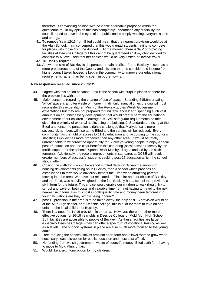therefore is canvassing opinion with no viable alternative proposed within the questionnaire. In my opinion this has completely undermined any credibility the council hoped to have in the eyes of the public and is simply wasting everyone's time and energy.

- 41. To remove Year 12/13 from Elfed could mean that the nearest provision would be at the Alun School. I am concerned that this would entail students having to compete for places with those from the Argoed. At the moment there is 'talk' of providing facilities at Deeside College but this cannot be guaranteed so if my child decided to continue to A' level I feel that her choices would be very limited or involve travel.
- 42. 16+ facility required.
- 43. A town the size of Buckley is desperate to retain its Sixth Form. Buckley is seen as a more prosperous area of the County and it is time that the considerable income from higher council taxed houses is kept in the community to improve our educational requirements rather than being spent in poorer towns.

#### **New responses received since 26/03/12**

- 44. I agree with this option because Elfed is the school with surplus places so there for the problem lies with them
- 45. Major concerns regarding the change of use of space. Spending £15.6m creating 'office' space is an utter waste of money. In difficult financial times the council must reconsider this expenditure. Much of the Review quotes Welsh Government expectations but they are not prepared to fund 'efficiencies' and spending such vast amounts on an unnecessary development, that would greatly harm the educational environment of our children, is outrageous. Will safeguard requirements be met given the proximity of external adults using the buildings? Standards are rising at the Elfed and, once the perception is rightly challenged that Mynydd Isa is more successful, numbers will rise at the Elfed and the surplus will be reduced. Every community has the right of access to 11-18 education and, according to the council's statistics; Buckley has more properties than any other area. It would be totally unreasonable to withdraw the opportunity for Buckley's young people to enjoy a 'local' post-16 education and the clear benefits this can bring (as witnessed recently by the terrific support for the schools' Sports Relief Mile by all ages and led by the sixth formers). Additionally, the recent improvements in standards at GCSE will result in greater numbers of successful students seeking post-16 education which the school should offer.
- 46. Closing the sixth form would be a short sighted decision. Given the amount of housing developments going on in Buckley, then a school which provides an established 6th form would obviously benefit the Elfed when attracting parents moving into the area. We have just relocated to Flintshire and our choice of Buckley, and the Elfed, was heavily weighted on the fact Buckley had a school that provided a sixth form for the future. This choice would enable our children to walk (healthily) to school and save on both costs and valuable time from not having to travel to the next nearest sixth form. Has this cost in both quality time and money been factored into your calculations are they simply being ignored?
- 47. post 16 provision in the area is to be taken away the only post 16 provision would be at the Alun High school, or at Deeside college, this is a lot for them to take on and unfair to the local children of Buckley.
- 48. There is a need for 11-16 provision in the area. However, there are other more effective options for 16-18 year olds in Deeside College or Mold Alun High School. Both facilities are accessible to people of Buckley. As these facilities are larger especially Deeside College - they can offer a spectrum of vocational training as well as A levels. The support systems in place are also much more focused to the young adult.
- 49. I feel reducing the spaces, solves problem short term and allows room to grow when necessary, least disruption for pupils education and most cost effective.
- 50. No funding from welsh government, waste of council's money. Elfed sixth form having to move to Mold Alun, unfair.
- 51. Would like a sixth form option for my children.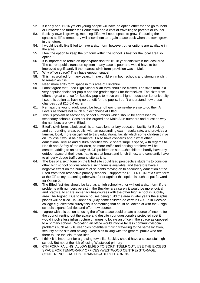- 52. If it only had 11-16 yrs old young people will have no option other than to go to Mold or Hawarden to further their education and a cost of travelling to parents or council.
- 53. Buckley town is growing, meaning Elfed will need space to grow. Reducing the spaces at Elfed temporary will allow them to regain space back when the town grows in the future.
- 54. I would ideally like Elfed to have a sixth form however, other options are available in the area.
- 55. I feel the option to keep the 6th form within the school is best for the local area so option 2.
- 56. It is important to retain an option/provision for 16-18 year olds within the local area. The current public transport system in any case is poor and would have to be improved significantly if the nearest 'sixth form' provision was in Mold.
- 57. Why office space? They have enough space!
- 58. This has worked for many years. I have children in both schools and strongly wish it to remain as it is.
- 59. Need more sixth form space in this area of Flintshire
- 60. I don't agree that Elfed High School sixth form should be closed. The sixth form is a very popular choice for pupils and the grades speak for themselves. The sixth from offers a great chance for Buckley pupils to move on to higher education i.e. university. I see this option as having no benefit for the pupils. I don't understand how these changes cost £15.6M either.
- 61. Perhaps the young adult would be better off going somewhere else to do their A Levels as there's not much subject choice at Elfed.
- 62. This is problem of secondary school numbers which should be addressed by secondary schools. Consider the Argoed and Mold Alun numbers and question why the numbers are low in Elfed.
- 63. Elfed's sixth form, albeit small, is an excellent tertiary education facility for Buckley and surrounding areas pupils, with an outstanding exam results rate, and provides a familiar, local, more disciplined tertiary educational facility which some children thrive on...to lose it would be detrimental. I also have concerns about what other educational, leisure and cultural facilities would share surplus space, with regards to Health and Safety of the children, as more traffic and parking problems will be created, adding to an already HUGE problem on site.....the children hardly have any outdoor space of their own, i.e.,-to use at break and lunch times, and constantly have to gingerly dodge traffic around site as it is.
- 64. The loss of a sixth form on the Elfed site could lead prospective students to consider other high school options where a sixth form is available, and therefore have a negative effect on the numbers of students moving on to secondary education at the Elfed from their respective primary schools. I support the RETENTION of a Sixth form at the Elfed; my reasoning otherwise for or against this option is such as put forward for Option 2.
- 65. The Elfed facilities should be kept as a high school with or without a sixth form if the problems with numbers persist in the Buckley area surely it would be more logical and practical to share some facilities/courses with the other high school in Buckley area The Argoed. Due to more houses being build the area in later years the surplus places will be filled. In Connah's Quay some children do certain GCSEs in Deeside college e.g. electrical surely this is something that could be looked at with the 2 high schools expand facilities and offer new courses.
- 66. I agree with this option as using the office space could create a source of income for the council renting out the space and despite your questionable projected cost it would involve less infrastructure changes to locate an office in the space as opposed to a primary school. Relocating an office would involve far less community/social problems such as 3-18 year olds potentially mixing travelling to the same location, security at the site and having 3 year olds mixing with the general public who are there to use the leisure facilities.
- 67. I think it is important for a growing town like Buckley should have a successful high school. But not at the risk of losing Westwood primary
- 68. 6TH FORM FAILING, ALLOW ELFED TO SORT ITSELF OUT, USE THE EXCESS SPACE FOR TEMPORARY OFFICES (WESTWOOD CENTRE) STORAGE, CONFERENCE FACILITY, TRAINING/ADULY LEARNING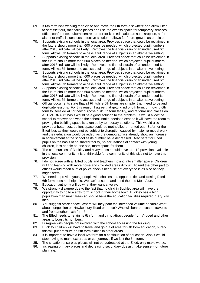- 69. If 6th form isn't working then close and move the 6th form elsewhere and allow Elfed to sort itself out, rationalise places and use the excess space for temporary services, office, conference, cultural centre - better for kids education as not disruption, safer also, not traffic issues, cost effective solution - allows for future growth as predicted
- 70. Supports existing schools in the local area. Provides space that could be reclaimed in the future should more than 600 places be needed, which projected pupil numbers after 2018 indicate will be likely. Removes the financial drain of an under used 6th form. Allows 6th formers to access a full range of subjects in an alternative setting.
- 71. Supports existing schools in the local area. Provides space that could be reclaimed in the future should more than 600 places be needed, which projected pupil numbers after 2018 indicate will be likely. Removes the financial drain of an under used 6th form. Allows 6th formers to access a full range of subjects in an alternative setting.
- 72. Supports existing schools in the local area. Provides space that could be reclaimed in the future should more than 600 places be needed, which projected pupil numbers after 2018 indicate will be likely. Removes the financial drain of an under used 6th form. Allows 6th formers to access a full range of subjects in an alternative setting.
- 73. Supports existing schools in the local area. Provides space that could be reclaimed in the future should more than 600 places be needed, which projected pupil numbers after 2018 indicate will be likely. Removes the financial drain of an under used 6th form. Allows 6th formers to access a full range of subjects in an alternative setting.
- 74. Official documents state that all Flintshire 6th forms are smaller than need to be and duplicate lessons. For this reason I agree that getting rid of 6th form, or moving 6th form to Deeside AC or new purpose built 6th form facility, and rationalising places on a TEMPORARY basis would be a good solution to the problem. It would allow the school to recover and when the school intake needs to expand it will have the room to proving the building space is taken up by temporary solutions. This would also provide a better cost option; space could be mothballed or rented out. Safer for the Elfed kids as they would not be subject to disruption caused by major re-model work and their education would be aided, as the demographics already show an increase in achievement at the school as its number have decreased. Also safer for Elfed pupils on the basis of no shared facility, no accusations of contact with young children, less people on one site, more space for them.
- 75. The communities of Buckley and Mynydd Isa should have 11 18 provision available in the local community. It is unthinkable for a community of this size not to have this provision.
- 76. I do not agree with all Elfed pupils and teachers moving into smaller space. Children will find learning with more noise and crowded areas difficult. To rent the other part to offices would mean a lot of police checks because not everyone is as nice as they might seem.
- 77. We need to provide young people with choices and opportunities and closing Elfed 6th form does not help this. We can't assume and send them to Mold Alun.
- 78. Education authority will do what they want anyway.
- 79. We strongly disagree due to the fact that no child in Buckley area will have the opportunity to go to a sixth form school in their home town. Buckley has a high population than most areas so should have the education facilities required. Very silly idea.
- 80. You suggest office space. Where will they park the increased volume of cars? What about congestion on Hawkesbury Road entrance? Who will bear the cost of travel to and from another sixth form?
- 81. The Elfed needs to retain its 6th form and try to attract people from Argoed and other areas to boost its numbers.
- 82. Disagree with people not involved with the school accessing the building.
- 83. Buckley children will have to travel and go out of area for 6th form education, surely this will put pressure on 6th form places in other areas.
- 84. It is important to have a local 6th form for a continuation of education. Also it would stop having to make extra bus or car journeys if we lost the 6th form.
- 85. The situation of surplus places will not be addressed at the Elfed, only make worse.
- 86. Increasing primary places and decreasing secondary doesn't make sense for future planning.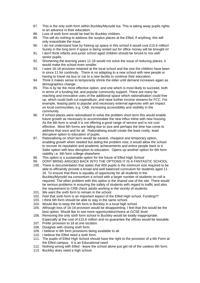- 87. This is the only sixth form within Buckley/Mynydd Isa. This is taking away pupils rights to an advance in their education.
- 88. Loss of sixth form would be bad for Buckley children.
- 89. This will do nothing to address the surplus places at the Elfed, if anything, this will only exacerbate the issue.
- 90. I do not understand how by freeing up space in this school it would cost £15.6 million! Surely in the long term if space is being rented out for office money will be brought in!
- 91. I don't think infants and junior school aged children should be forced to mix with senior pupils.
- 92. Shortening the learning years 11-16 would not solve the issue of reducing places, it would make the school even smaller.
- 93. I want 16-18 provision retained at the local school and the one the children have been in since 11 for continuity. There is no adapting to a new school with new people or having to travel via bus or car to a new facility to continue their education.
- 94. Think it makes sense to temporarily shrink the elder until demand increases again as demographics change.
- 95. This is by far the most effective option, and one which is most likely to succeed, both in terms of a funding bid, and popular community support. There are many far reaching and innovative uses of the additional space which rationalisation could free up, which could both cut expenditure, and raise further income streams for FCC. For example, leasing parts to popular and necessary external agencies with am impact on local communities, e.g. CAB, increasing accessibility and visibility in the community.
- 96. If school places were rationalised to solve the problem short term this would enable future growth as necessary to accommodate the new influx inline with new housing. As the 6th form is small it is not offering a good range of service and is not cost effective. Most 6th forms are failing due to size and perhaps the time has come to address that once and for all. Rationalising would create the least costly, least disruptive option to education of pupils.
- 97. Rationalising on short term would be easiest, cheapest and temporary option, enabling growth when needed but aiding the problem now, it would allow the school to recover its reputation and academic achievements and entice people back to it. Safer option with less disruption to education. Opens up another option for 6th form viability i.e. 6th form college elsewhere
- 98. This option is a sustainable option for the future of Elfed High School
- 99. DONT BRING ARGOED BACK INTO THE OPTIONS IT IS A FANTASTIC SCHOOL
- 100. There is documentation that states that 600 pupils is the minimum size required to be able to efficiently provide a broad and well balanced curriculum for students aged 11- 16. To ensure that there is equality of opportunity for all students in the Buckley/Mynydd Isa consortium a school with a larger number of students on roll is required. The other problem with this option is the shared use of the site. There would be serious problems in ensuring the safety of students with regard to traffic and also the requirement to CRB check adults working in the vicinity of students.
- 101. We want the sixth form to remain in the school.
- 102. Feel that sixth form is an important aspect of the Elfed High school. Funding!!?
- 103. I think 6th form should be able to stay in the same school.
- 104. Would like to keep the 6th form in Buckley in a local high school.
- 105. Although loss of 16-18 provision would be disappointing. I feel that this would be the best option. Would like to see more opportunities/choice at GCSE level.
- 106. Removing the only sixth form school in Buckley would be totally inappropriate. Especially at the cost of £15.6 million and no guarantee the offices would be leasable.
- 107. Prefer provision to 18 at one location.
- 108. Disagree with closing sixth form.
- 109. I believe in 6th form provisions being available to all.
- 110. I believe the Elfed need a sixth form.
- 111. The pupils of Elfed High School should have the right to the provision of a 6th Form at the Elfed campus. It is an Educational need.
- 112. Nothing wrong with Elfed leave the school alone just get rid of the useless 6th form.
- 113. Buckley does need a high school.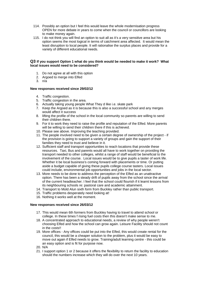- 114. Possibly an option but I feel this would leave the whole modernisation progress OPEN for more debate in years to come when the council or councillors are looking to make money again.
- 115. I do not think you will find an option to suit all as it's a very sensitive area but his option seems the most logical in terms of catchment area affected. It would mean the least disruption to local people. It will rationalise the surplus places and provide for a variety of different educational needs.

#### **Q3 If you support Option 1 what do you think would be needed to make it work? What local issues would need to be considered?**

- 1. Do not agree at all with this option
- 2. Argoed to merge into Elfed
- 3. n/a

#### **New responses received since 29/02/12**

- 4. Traffic congestion.
- 5. Traffic congestion in the area.
- 6. Actually taking young people What They d like i.e. skate park
- 7. Keep the Argoed as it is because this is also a successful school and any merges would affect it success
- 8. lifting the profile of the school in the local community so parents are willing to send their children there.
- 9. For it to work they need to raise the profile and reputation of the Elfed. More parents will be willing to send their children there if this is achieved.
- 10. Please see above. Improving the teaching provided.
- 11. The people involved need to be given a certain degree of ownership of the project if the provision is going to support a variety of groups and gain the support of their families they need to trust and believe in it.
- 12. Sufficient staff and transport opportunities to reach locations that provide these resources. Taxi, Bus and parents would all have to work together on providing the transport needed to other colleges, whilst a range of staff would be beneficial to the involvement of the course. Local issues would be to give pupils a taster of work life. Whether it be local business's coming forward with placements or time. Or putting aside a budget capable of giving these pupils college course tasters. Local issues could include, environmental job opportunities and jobs in the local sector.
- 13. More needs to be done to address the perception of the Elfed as an unattractive option. There has been a steady drift of pupils away from the school since the arrival of the current headteacher. I feel that the school could flourish if it learnt lessons from its neighbouring schools re: pastoral care and academic attainment.
- 14. Transport to Mold Alun sixth form from Buckley rather than public transport.
- 15. Traffic problems desperately need looking at!
- 16. Nothing it works well at the moment.

#### **New responses received since 26/03/12**

- 17. This would mean 6th formers from Buckley having to travel to attend school or college. In these times f rising fuel costs then this doesn't make sense to me.
- 18. A concentrated approach to educational needs, a review of why people weren't choosing Elfed and how the school can grow again. Leisure Facility should not count in the costs!!
- 19. More offices Any offices could be put into the Elfed, this would create rental for the council, this would be a cheaper solution to the problem, plus it would be easy to move out again if Elfed needs to grow. Training/adult learning centre - this could be an easy option and is fit for purpose now.
- 20. N/A
- 21. I support option 1 or 2 because it offers the flexibility to return the facility to education should the numbers increase which they will do over the next 10 years.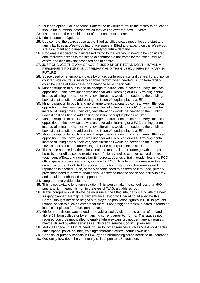- 22. I support option 1 or 2 because it offers the flexibility to return the facility to education should the numbers increase which they will do over the next 10 years.
- 23. It seems to be the best idea, out of a bunch of stupid ones.
- 24. I do not support Option 1
- 25. Use some of the spare space at the Elfed as office space move the sure start and family facilities at Westwood into office space at Elfed and expand on the Westwood site as a infant and primary school ready for future demand.
- 26. Problems associated with increased traffic to the site would need to be considered and improved access to the site to accommodate the traffic for the office, leisure centre and also now the proposed health centre.
- 27. JUST CHANGE THE WAY SPACE IS USED SHORT TERM, DONT INSTALL A PERMANENT FIXTURE i.E. A PRIMARY AND THEN NEED A NEW PRIMARY IN FUTURE
- 28. Space used on a temporary basis by office, conference, cultural centre, library, police counter, kids centre (surestart) enables growth when needed. A 6th form facility could be made at Deeside ac or a new one build specifically.
- 29. Minor disruption to pupils and no change to educational outcomes. Very little local opposition. If the 'new' space was used for adult learning or a FCC training centre instead of using hotels, then very few alterations would be needed to the building. Lowest cost solution to addressing the issue of surplus places at Elfed.
- 30. Minor disruption to pupils and no change to educational outcomes. Very little local opposition. If the 'new' space was used for adult learning or a FCC training centre instead of using hotels, then very few alterations would be needed to the building. Lowest cost solution to addressing the issue of surplus places at Elfed.
- 31. Minor disruption to pupils and no change to educational outcomes. Very little local opposition. If the 'new' space was used for adult learning or a FCC training centre instead of using hotels, then very few alterations would be needed to the building. Lowest cost solution to addressing the issue of surplus places at Elfed.
- 32. Minor disruption to pupils and no change to educational outcomes. Very little local opposition. If the 'new' space was used for adult learning or a FCC training centre instead of using hotels, then very few alterations would be needed to the building. Lowest cost solution to addressing the issue of surplus places at Elfed.
- 33. The space not used by the school could be mothballed for future growth, or it could be utilised for office space (rental income), library, police counter, cultural centre, youth centre/Space, children's facility (surestart/genesis, training/adult learning, FCC office space, conference facility, storage for FCC. All a temporary measure to allow growth in future. For Elfed to recover, promotion of its own achievements and reputation is needed. Also, primary schools need to be feeding into Elfed, primary provisions need to grow to enable this, Westwood has the space and ability to grow and should be enhanced to support this.
- 34. Long term not viable solution.
- 35. This is not a viable long term solution. This would make the school less than 600 pupils, which meant it is not, in the eyes of WAG, a viable school.
- 36. Traffic congestion will always be an issue at the Elfed site, particularly with the new surgery planned. Perhaps a new entrance/ exit onto Bryn rd could alleviate this. Careful thought needs to be given to projected population figures in UDP to prevent rationalisation to such an extent that there is not a bigger problem created in terms of insufficient places for future generations.
- 37. 6th form provisions would need to be addressed by either the creation of a stand alone 6th form college or by enhancing current larger 6th forms. The spaces not required could be mothballed to enable future expansion, not permanently erased, maybe utilised by other services i.e. children's services, council premises.
- 38. Mothball space until future need, or use for other services such as Westwood centre office space, police counter, training/conference centre, council own use
- 39. Capacity of primary schools in Buckley and surrounding areas needs to be increased
- 40. Obviously how does the community still support 16-18 education.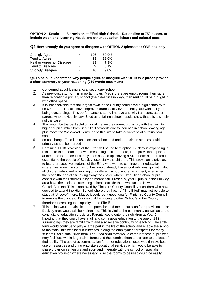**OPTION 2 - Retain 11-18 provision at Elfed High School. Rationalise to 750 places, to include Additional Learning Needs and other education, leisure and cultural uses.** 

#### **Q4 How strongly do you agree or disagree with OPTION 2 (please tick ONE box only**

| <b>Strongly Agree</b>      | -   | 106 | 59.9%   |
|----------------------------|-----|-----|---------|
| Tend to Agree              | $=$ | 23  | 13.0%   |
| Neither Agree nor Disagree | $=$ | 13  | 7.3%    |
| Tend to Disagree           | $=$ | 9   | 5.1%    |
| <b>Strongly Disagree</b>   | $=$ | 16  | $9.0\%$ |

#### **Q5 To help us understand why people agree or disagree with OPTION 2 please provide a short summary of your reasoning (250 words maximum)**

- 1. Concerned about losing a local secondary school.
- 2. As previous, sixth form is important to us. Also if there are empty rooms then rather than relocating a primary school (the oldest in Buckley), then rent could be brought in with office space.
- 3. It is inconceivable that the largest town in the County could have a high school with no 6th Form. Results have improved dramatically over recent years with last years being outstanding. This performance is set to improve and will, I am sure, attract parents who previously saw Elfed as a failing school; results show that this is simply not the case!
- 4. This would be the best solution for all, retain the current provision, with the view to higher pupil number from Sept 2013 onwards due to increase in school leaving age, plus move the Westwood Centre on to this site to take advantage of surplus floor space
- 5. do not change Elfed it is an excellent school and under no circumstances could a primary school be merged
- 6. Retaining 11-18 provision at the Elfed will be the best option. Buckley is expanding in relation to the amount of new homes being built, therefore, if the provision of places at the Elfed is reduced it simply does not add up. Having a Sixth Form at the Elfed is essential to the people of Buckley, especially the children. This provision is priceless to future prospective students of the Elfed who want to continue their education where they know the staff, who they would already have good relationships with. Not all children adapt well to moving to a different school and environment, even when the reach the age of 16.Taking away the choice where Elfed High School pupils continue with their studies is by no means fair. Presently, year 6 pupils in the Buckley area have the choice of attending schools outside the town such as Hawarden, Castell Alun etc. This is approved by Flintshire County Council, yet children who have decided to attend the High School where they live, i.e. "The Elfed" may not be able to study at "A Level" there. Maybe it could be a good idea for Flintshire County Council to remove the choice of Buckley children going to other School's in the County, therefore increasing the capacity at the Elfed!
- 7. This option would retain sixth form provision and mean that sixth form provision in the Buckley area would still be maintained. This is vital to the community as well as to the continuity of education provision. Parents would enter their children at Year 7 knowing that they could have a full and continuous education to the age of 18 in surroundings they are familiar with and also receive continuity of teaching. The sixth form would continue to play a large part in the life of the school and enable the school to maintain links with local businesses, aiding the employment prospects for many students. As a small sixth form, The Elfed sixth form would cater for those pupils who may feel 'lost' within larger sixth forms and thus enable them to perform to the best of their ability. The use of accommodation for other educational uses would make best use of resources and bring onto site educational services which would be able to share provision i.e. leisure and sport and integrate with the school on specialist education provision where necessary. Also the rooms to be used could be easily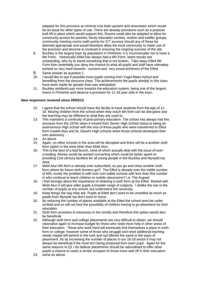adapted for this provision at minimal cost both upstairs and downstairs which would be an issue for other types of use. There are already provisions such as a purpose built lift in place which would support this. Rooms could also be adapted to allow for community access for parents, family education centres, mother and toddler groups, community meeting rooms (with points for ICT access) should any of these be deemed appropriate and would therefore allow the local community to make use of the provision and become in involved in ensuring the ongoing success of the site

- 8. Buckley is the largest town by population in Flintshire; it is inconceivable not to have a 6th Form. Historically Elfed has always had a 6th Form, latest results are outstanding, why try to mend something that is not broken. Take away Elfed 6th Form then potentially you deny the chance to what all pupils and staff have ultimately worked so very hard towards - success and very proud achievers of the Elfed.
- 9. Same answer as question 1
- 10. I would like to see if possible more pupils coming from Ysgol Maes Hyfryd and benefiting from the resource class. The achievements the pupils already in this class have been made far greater than was anticipated.
- 11. Buckley residents pay more towards the education system, being one of the largest towns in Flintshire and deserve a provision for 11-18 year olds in the town.

#### **New responses received since 29/02/12**

- 12. I agree that the school should have the facility to have students from the age of 11- 18. Moving children from the school when they reach 6th form can be disruptive and the teaching may be different to what they are used to.
- 13. This maintains a continuity of post-primary education. The school has always had this structure from the 1970s when it moved from Senior High School status to being an autonomous High school with the loss of those pupils who were transferred to Elfed from Castell Alun and St. David's High schools when those schools developed their own autonomy.
- 14. As above
- 15. Again, no other schools in the area will be disrupted and there will be a another sixth form option in the area other than Mold Alun.
- 16. This is the best of a bad bunch, none of which actually deal with the issue of overcrowding. Money would be wasted converting which could be better spent on providing 21st century facilities for all young people in the Buckley and Mynydd Isa Area
- 17. Mold Alun 6th form is already over subscribed, so you go and close another sixth form where do future sixth formers go?! The Elfed is already over the viable number of 600, surely the problem is with over non-viable schools with less than this number in who continue to teach children in mobile classrooms? I.e. The Argoed
- 18. I feel strongly about the importance of retaining a sixth form at the Elfed. Shared with Mold Alun it will give older pupils a broader range of subjects. I dislike the rise in the number of pupils at any school, but understand the necessity.
- 19. Keep things the way they are. Pupils at Elfed don't want to be unsettled as much as pupils from Mynydd Isa don't want to move.
- 20. By reducing the number of places available at the Elfed the school wont be under scribed and so will not face the possibility of children having to go elsewhere for their education.
- 21. Sixth form provision is necessary in the vicinity and therefore this option would also be beneficial.
- 22. Although sixth form and college placements are very difficult to obtain, we should rationalise again to increase budget for those who need more help in other areas of their education. Those who work hard will eventually find themselves a place in sixthform or college; however some of those who struggle and need additional learning needs maybe left behind in the rush and not offered the same in the ways of placement. So by increasing the number of places in our 16-18 sector it may not always be beneficial if the most isn't being produced from each pupil. Again for the same reasons in Q1 I do believe placements should be rationalised to offer other pupils a chance to reach a similar prospect to those more well off in their education.
- 23. same as above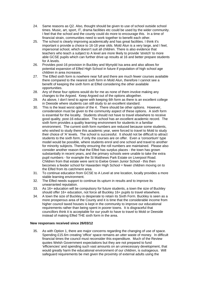- 24. Same reasons as Q2. Also, thought should be given to use of school outside school times. Music, art, sport, IT, drama facilities etc could be used by the wider community. I feel that the school and the county could do more to encourage this. In a time of financial strain, communities need to work together to benefit each other.
- 25. The school is clearly improving academically and has great facilities. I think it's important o provide a choice to 16-18 year olds. Mold Alun is a very large, and I feel, impersonal school, which doesn't suit all children. There is also evidence that teachers who teach a subject to A level are more likely to provide 'stretch' to more able GCSE pupils which can further drive up results at 16 and better prepare students for A levels.
- 26. Provides post-16 provision in Buckley and Mynydd Isa area and also allows for potential expansion of Elfed High School in future if population of high school age children in area increases.
- 27. The Elfed sixth form is nowhere near full and there are much fewer courses available there compared to the nearest sixth form in Mold Alun, therefore I cannot see a benefit of keeping the sixth form at Elfed considering the other available opportunities.
- 28. Any of these four options would do for me as none of them involve making any changes to the Argoed. Keep Argoed out of the options altogether.
- 29. As above, I don't tend to agree with keeping 6th form as there is an excellent college in Deeside where students can still study to an excellent standard.
- 30. This is the least worst option of the 4. There should be other options. However, consideration must be given to the community aspect of these options. A sixth form is essential for the locality. Students should not have to travel elsewhere to receive good quality, post-16 education. The school has an excellent academic record. The sixth form provides a quality learning environment for students in a familiar environment. The current sixth form numbers are reduced because some students, who wished to study there this academic year, were forced to travel to Mold to study their choice of 'A' levels. The school is successful. It should not be difficult to attract students to the sixth form, if only the courses are on offer. Even a 'consortium' type model would be possible, where students enrol and one school and travel to another for minority subjects. Thereby ensuring the roll numbers are maintained. Please also consider another reason that the Elfed has surplus places - the town has grown substantially in recent years, and the primary schools were unable to take the extra pupil numbers - for example the St Matthews Park Estate on Liverpool Road. Children from that estate were sent to Ewloe Green Junior School - this then becomes a feeder school for Hawarden High School = fewer children moving on to the Elfed from its catchment area.
- 31. To continue education from GCSE to A Level at one location, locally provides a more stable learning environment.
- 32. The Elfed needs support to continue its upturn in results and to improve its unwarranted reputation.
- 33. As 16+ education will be compulsory for future students, a town the size of Buckley should offer 16+ education, not force all Buckley 16+ pupils to travel elsewhere.
- 34. A town the size of Buckley is desperate to retain its Sixth Form. Buckley is seen as a more prosperous area of the County and it is time that the considerable income from higher council taxed houses is kept in the community to improve our educational requirements rather than being spent in poorer towns. It is disgraceful that councillors think it is acceptable for our youth to have to travel to Mold or Deeside instead of making Elfed THE sixth form in the area.

#### **New responses received since 26/03/12**

35. As with Option 1, there are major concerns regarding the changing of use of space. Spending £15.6m creating 'office' space remains an utter waste of money. In difficult financial times the council must reconsider this expenditure. Much of the Review quotes Welsh Government expectations but they are not prepared to fund 'efficiencies' and spending such vast amounts on an unnecessary development, that would greatly harm the educational environment of our children, is outrageous. Will safeguard requirements be met given the proximity of external adults using the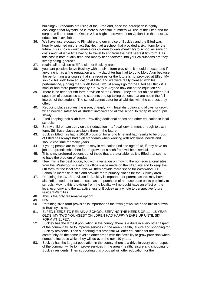buildings? Standards are rising at the Elfed and, once the perception is rightly challenged that Mynydd Isa is more successful, numbers will rise at the Elfed and the surplus will be reduced. Option 2 is a slight improvement on Option 1 in that post-16 education is available.

- 36. We have just relocated to Flintshire and our choice of Buckley and the Elfed was heavily weighted on the fact Buckley had a school that provided a sixth form for the future. This choice would enable our children to walk (healthily) to school as save on costs and valuable time having to travel to and from the next nearest 6th form. Has this cost in both quality time and money been factored into your calculations are they simply being ignored?
- 37. retains all provision at Elfed site for Buckley area
- 38. you cant possible leave Buckley with no sixth form provision, it should be extended if anything it has a fine reputation and my daughter has had to go to Mold Alun because the performing arts course that she requires for the future is not provided at Elfed. My son did his sixth form education at Elfed and we were really pleased with his performance, judging the 2 sixth forms I would always go for the Elfed as I think it is smaller and more professionally run. Why is Argoed now out of the equation???
- 39. There is no need for 6th form provision at the School. They are not able to offer a full spectrum of courses so some students end up taking options that are not in the full interest of the student. The school cannot cater for all abilities with the courses they offer.
- 40. Reducing places solves the issue, cheaply, with least disruption and allows for growth when needed safest for all student involved and allows school to recap its lost pupils slowly.
- 41. Elfed keeping their sixth form. Providing additional needs and other education in local schools.
- 42. So my children can carry on their education in a 'local' environment through to sixth form. Still have places available there in the future.
- 43. Buckley Elfed has had a 16-18 provision for a long time and had results to be proud of Elfed has always had high standards when working with additional needs and should continue for many years.
- 44. If young people are expected to stay in education until the age of 18, if they have no job or apprenticeship then future growth of a sixth from will be essential.
- 45. This is my preferred options out of those that are available, as it is Elfed that seems to have the problem of surplus.
- 46. I feel this is the best option, but with a variation on moving the non educational sites from the Westwood site into the office space made on the Elfed site and to keep the 6th form for the local area, this will then provide more space for Westwood C.P. School to increase in size and provide more primary places for the Buckley area.
- 47. Retaining the 16-18 provision in Buckley is important for parents as this may have also influenced other factors such as the purchase of a house base on its proximity to schools. Moving this provision from the locality will no doubt have an effect on the local economy and the attractiveness of Buckley as a whole to perspective future residents/families.
- 48. This is the only reasonable option!
- 49. N/A
- 50. Retaining sixth form provision is important as the town grows, we need this in a town to Buckley's size.
- 51. ELFED NEEDS TO REMAIN A SCHOOL SERVING THE NEEDS OF 11 18 YEAR OLDS. MY TWO YOUNGEST CHILDREN HAD HAPPY YEARS UP UNTIL SIX FORM AT ELFED.
- 52. Buckley has the largest population in the county; there is a drive in every other aspect of the community life to improve services in the area - health, leisure and shopping for Buckley residents. Then supporting this proposal will offer education for the community on the same level as other areas with the flexibility to grow provision when numbers increase which they will do over the next 10 years.
- 53. Buckley has the largest population in the county; there is a drive in every other aspect of the community life to improve services in the area - health, leisure and shopping for Buckley residents. Then supporting this proposal will offer education for the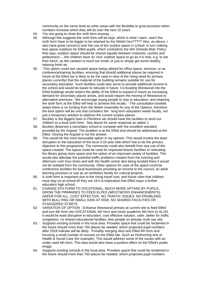community on the same level as other areas with the flexibility to grow provision when numbers increase which they will do over the next 10 years.

- 54. You are going to close the sixth form anyway.....
- 55. Although this suggests the sixth form will be kept, which is what I want...won't the sixth form have to be bigger to be retained by the Welsh Gov????? Also, as above, I also have great concerns over the use of the surplus space in school, in turn making less space outdoors for Elfed pupils, which contradicts the WA Schools Mod. Policy that says,-outdoor space should be shared equally between motorists, cyclists and pedestrians.....the children have no 'nice' outdoor space to go as it is now, e.g. to eat their lunch, as the canteen is much too small, or just to simply get some healthy, relaxing fresh air.
- 56. -This option could see vacated space being utilised for office space, services, or as conference/training facilities, ensuring that should additional places be required in future at the Elfed (as is likely to be the case in view of the rising need for primary places currently) that the material of the building remains suitable for use for secondary education. Such facilities could also serve to provide additional income to the school and would be easier to relocate in future. Co-locating Westwood into the Elfed buildings would restrict the ability of the Elfed to expand in future as increasing demand for secondary places arises, and would require the moving of Westwood to alternative premises. -We encourage young people to stay in education, and retaining the sixth form at the Elfed will help to achieve this locally. - The consultation booklet states there is no funding from the Welsh Assembly for any of the Options, therefore the best option will be one that considers the long term education needs locally, not just a temporary solution to address the current surplus places.
- 57. Buckley is the biggest town in Flintshire we should have the facilities to send our children to a local sixth form. See above for same response as option 1
- 58. Buckley deserves a secondary school to compete with the excellent standard provided by the Argoed. The problem is at the Elfed and should be addressed at the Elfed. Closing the Argoed is not the answer.
- 59. This would be the most favourable option in my opinion. This would involve the least disruption to the education of the local 3-18 year olds which has to be the primary objective to this programme. The community could also benefit from any use of the space created. The space could be used for improved leisure facilities or relocating the library giving more space and the option of an improved variety of facilities. This would also alleviate the potential traffic problems created from the morning and afternoon rush hour times and with the health centre also being located there it would not be isolated from the community. Other options for uses of the space could be conference facilities for local businesses providing an income to the council, an adult learning provision or use as an exhibition facility for cultural projects.
- 60. A sixth form is important due to the rising travel cost, and future rules that children must stay on at school till they are 18 it is imperative that Elfed stays a further education high school.
- 61. CHANGE 6TH FORM TO VOCATIONAL, MUCH MORE UPTAKE BY PUPILS, GROW THE PRIMARIES TO FEED ELFED (WESTWOOD ENHANCEMENTS) SAFER FOR ALL, COST EFFECTIVE, NO TRAFFIC ISSUES, NO PROBLEMS WITH BULLYING OR SMALL KIDS AT RISK, NO SHARED FACILITIES OR STAGGERED STARTS
- 62. VARIATION OF OPTION Enhance Westwood primary at current site to feed Elfed and turn 6th form into VOCATIONAL 6th form and move academic 6th form to ALUN. It would be least disruptive to education, cost effective solution, safer, better for traffic congestion, no shared educational facilities, less people on already multi use site,
- 63. Supports existing schools in the local area. Provides space that could be reclaimed in the future should more than 750 places be needed, which projected pupil numbers after 2018 indicate will be likely. Possibly merging Alun and Elfed 6th form and focusing a small number of courses on the Elfed site. Such as Performing Arts or Health & Social Care (for example). This would address some of the issues with an under used 6th form. This idea would also have a positive effect on the Elfed's public image.
- 64. Supports existing schools in the local area. Provides space that could be reclaimed in the future should more than 750 places be needed, which projected pupil numbers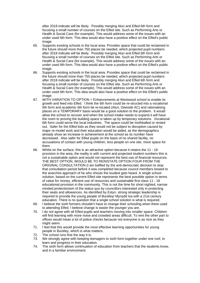after 2018 indicate will be likely. Possibly merging Alun and Elfed 6th form and focusing a small number of courses on the Elfed site. Such as Performing Arts or Health & Social Care (for example). This would address some of the issues with an under used 6th form. This idea would also have a positive effect on the Elfed's public image.

- 65. Supports existing schools in the local area. Provides space that could be reclaimed in the future should more than 750 places be needed, which projected pupil numbers after 2018 indicate will be likely. Possibly merging Alun and Elfed 6th form and focusing a small number of courses on the Elfed site. Such as Performing Arts or Health & Social Care (for example). This would address some of the issues with an under used 6th form. This idea would also have a positive effect on the Elfed's public image.
- 66. Supports existing schools in the local area. Provides space that could be reclaimed in the future should more than 750 places be needed, which projected pupil numbers after 2018 indicate will be likely. Possibly merging Alun and Elfed 6th form and focusing a small number of courses on the Elfed site. Such as Performing Arts or Health & Social Care (for example). This would address some of the issues with an under used 6th form. This idea would also have a positive effect on the Elfed's public image.
- 67. WITH VARIATION TO OPTION = Enhancements at Westwood school to enable its growth and feed into Elfed. I think the 6th form could be re-structed into a vocational 6th form and academic 6th form be re-located (Alun, Deeside AC) and rationalising places on a TEMPORARY basis would be a good solution to the problem. It would allow the school to recover and when the school intake needs to expand it will have the room to proving the building space is taken up by temporary solutions. Vocational 6th form could serve the local industries. The space could be mothballed or rented out. Safer for the Elfed kids as they would not be subject to disruption caused by major re-model work and their education would be aided, as the demographics already show an increase in achievement at the school as its number have decreased. Also safer for Elfed pupils on the basis of no shared facility, no accusations of contact with young children, less people on one site, more space for them.
- 68. Whilst on the surface, this is an attractive option because it retains the 11 18 provision in the area, the reality is with current and projected student numbers this is not a sustainable option and would not represent the best use of financial resources. THE BEST OPTION, WOULD BE TO REINSTATE OPTION FOUR FROM THE ORIGINAL CONSULTATION (I am baffled by the anti-democratic decision to stop that consultation period before it was completed because council members bowed to the anarchist approach of he who shouts the loudest gets heard. A single school solution, based on the current Elfed site represents the best possible option in terms of value for money, efficient use of resources and sustainable first class 11 - 18 educational provision in the community. This is not the time for short sighted, narrow minded protectionism of the status quo by councillors interested only in protecting their seats and allowances. As identified by Estyn, strong strategic leadership is required to provide the young people of Buckley/ Mynydd Isa with a 21st century education. There is no question that a single school solution is what is required.
- 69. I believe the sixth formers shouldn't have to change their schooling when there used to attending Elfed. I believe change is easier the younger you are.
- 70. I do not agree with all Elfed pupils and teachers moving into smaller space. Children will find learning with more noise and crowded areas difficult. To rent the other part to offices would mean a lot of police checks because not everyone is as nice as they might seem.
- 71. I feel that this would provide the most effective learning opportunities for young people in Buckley, which is what matters.
- 72. The school runs fine the way it is.
- 73. We strongly agree with keeping teenagers to sixth form together under one roof, to learn and progress in their education.
- 74. The sixth form allows continuation of education from teachers that the students know, and in a familiar environment.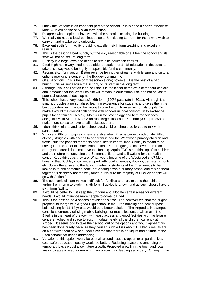- 75. I think the 6th form is an important part of the school. Pupils need a choice otherwise Mold Alun will be the only sixth form option.
- 76. Disagree with people not involved with the school accessing the building.
- 77. We really do need a local continuous up to & including 6th form for those who wish to carry on and maybe go to university.
- 78. Excellent sixth form facility providing excellent sixth form teaching and excellent results.
- 79. This is the best of a bad bunch, but the only reasonable one. I feel the school and its staff will not be secure long term.
- 80. Buckley is a large town and needs to retain its education centres.
- 81. Elfed High has always had a reputable reputation for 1--18 education in decades, to take this away would be highly irresponsible for the community.
- 82. Retains sixth form option. Better revenue fro mother streams, with leisure and cultural options providing a centre for the Buckley community.
- 83. Of all 4 options, this is the only reasonable one; however, it is the best of a bad bunch! This will not secure the school, or its staff, in the long term.
- 84. Although this is still not an ideal solution it is the lesser of the evils of the four choices, and it means that the West Lea site will remain in educational use and not be lost to potential residential development.
- 85. This school has a very successful 6th form (100% pass rate in 2011). Although it is small it provides a personalised learning experience for students and gives them the best opportunities. It would be wrong to take the 6th form away from its pupils. To make it would the council collaborate with schools in local consortium to exchange pupils for certain courses e.g. Mold Alun for psychology and here for sciences alongside Mold Alun as Mold Alun runs large classes for 6th form (30 pupils) would make more sense to have smaller classes there.
- 86. I don't think infants and junior school aged children should be forced to mix with senior pupils.
- 87. Why send 6th form pupils somewhere else when Elfed is perfectly adequate. Elfed already struggles with access to and from it, add the Westwood primary children and traffic, plus the patients for the so called 'health centre' that Buckley is meant to be having is a recipe for disaster. Both option 1 & 3 are going to cost over 10 million, clearly the council does not have this funding. Again FCC is not thinking of its children and their future i.e. upsetting the Belmont children and still waiting for the health centre. Keep things as they are. What would become of the Westwood site? More housing that Buckley could not support with local amenities, doctors, dentists, schools etc. Surely the answer to the falling number of students at the Elfed needs to be looked in to and something done, not closing down a primary school and mixing them together is definitely not the way forward. I'm sure the majority of Buckley people will go with Option 2.
- 88. The economic climate makes it difficult for families to afford to send their children further from home to study in sixth form. Buckley is a town and as such should have a sixth form facility.
- 89. It would be better to just keep the 6th form and allocate certain areas for different needs. It would influence more people to come to Elfed.
- 90. This is the best of the 4 options provided this time. I do however feel that the original proposal to merge with Argoed High school in the Elfed building or a new purpose built building for 11-18 yr olds would be a better solution. The Argoed is in cramped conditions currently utilising mobile buildings for maths lessons at all times. The Elfed is in the heart of the town with easy access and good facilities with the leisure centre attached and space to accommodate nearly all the children currently at Argoed. It seems odd to take their school out of the options and would appear this has been done purely because they caused such a fuss about it. Elfed's results are on a par with them now and I feel it seems that there is an unjust bad attitude to the Elfed school that needs addressing.
- 91. Variation of this option would be best all around, less disruption to all parties, less cost, safer, education quality would be better. Reducing space and amending on temporary basis would allow future growth. Projected growth in the town and local area indicates a need for more primary places thus feeding secondary. Changing the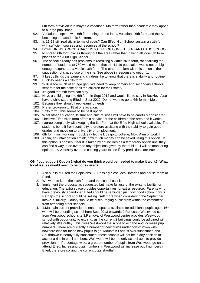6th form provision into maybe a vocational 6th form rather than academic may appeal to a large pupil base.

- 92. Variation of option with 6th form being turned into a vocational 6th form and the Alun becoming the academic 6th form.
- 93. Is 11-18 still realistic in terms of costs? Can Elfed High School sustain a sixth form with sufficient courses and resources at the school?
- 94. DONT BRING ARGOED BACK INTO THE OPTIONS IT IS A FANTASTIC SCHOOL
- 95. to spread 6th form places throughout the area rather than having all local 6th form places at the Alun High School.
- 96. The school already has problems in recruiting a viable sixth form, rationalising the number of students to 750 would mean that the 11-16 population would not be big enough to generate a viable sixth form. The other problem with this option is the suggestion of shared use of the site. See above in response to option 1.
- 97. It keeps things the same and children like to know that there is stability and routine.
- 98. Buckley needs a sixth form.
- 99. 3-16 is too much of an age gap. We need to keep primary and secondary schools separate for the sake of all the children for their safety.
- 100. It's good that 6th form can stay.
- 101. Have a child going into 6th form in Sept 2012 and would like to stay in Buckley. Also have a child starting Elfed in Sept 2012. Do not want to go to 6th form in Mold.
- 102. Because they should keep learning needs.
- 103. Prefer provision to 18 at one location.
- 104. Sixth form! This seems to be best option.
- 105. What other education, leisure and cultural uses will have to be carefully considered.
- 106. I believe Elfed sixth form offers a service for the children of the area and it works.
- 107. I agree completely with keeping the 6th Form at the Elfed High school available. The students benefit from continuity, therefore assisting with their ability to gain good grades and move on to university or employment.
- 108. 6th form isn't working in Buckley let the kids go to college, Mold Alun or work !
- 109. Again, an unfair option I think, how much money can be saved using this option. If this option is chosen I fear it is taken by councillors as a temporary option until they can find a way to do override any objections given by the public. I will be monitoring options 1 & 2 closely over the coming years to see if my predictions are true.

#### **Q6 If you support Option 2 what do you think would be needed to make it work? What local issues would need to be considered?**

- 1. Ask pupils at Elfed their opinions!! 2. Possibly close local libraries and house them at Elfed.
- 2. We want to keep the sixth form and the school as it is!
- 3. Implement the proposal as suggested but make full use of the existing facility for education. The extra space provides opportunities for extra resource. Parents who have previously abandoned Elfed should be reminded just how good school now is. Perhaps the school should be selling itself more when considering the September intake, Similarly, County should be discouraging pupils from within the catchment from attending other schools.
- 4. 1.Maintain current provision to ensure spaces available for additional pupils aged 16+ who will be attending school from Sept 2013 onwards 2.Re locate Westwood centre from Westwood school site 3.Removal of Westwood centre provides Westwood school with opportunity to expand, as the current 2 buildings could be adjoined will relatively little outlay. This gives Westwood the scope to expand and increase pupil numbers. There are currently a number of new builds under construction with nowhere else for these new pupils to go. Mountain Lane is over subscribed and Southdown is nearly fully subscribed, these schools will not be in any position to accept a rise in pupil numbers, Westwood will be the only school able to provide provision. 4. Percentage wise, a greater number of pupils from Westwood go on to attend Elfed. Increasing pupil numbers in Westwood will increase pupil numbers in Elfed, therefore solving the current pupil shortfall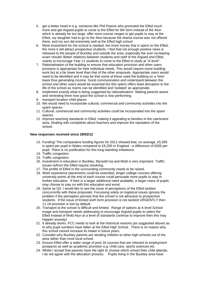- 5. get a better head in e.g. someone like Phil Pearce who promoted the Elfed much more and get Argoed pupils to come to the Elfed for 6th form instead of the Alun which is already far too large, offer more course ranges to get pupils to stay at the Elfed, my daughter had to go to the Alun because the drama course was not offered there, and my son did extremely well at the Elfed high school
- 6. More investment for the school is needed, the more money that is spent on the Elfed, the more it will attract prospective students. I feel that not enough positive news is released to the people of Buckley and outside the area, especially the ever increasing exam results! Better relations between students and staff of the Argoed and Elfed, mainly to encourage Year 11 students to come to the Elfed to study at "A level".
- 7. Rationalisation of the building to ensure that education provision and other users provision is appropriate for their individual needs. This would require some building work but at a far lower level than that of the other proposals. Appropriate users would need to be identified and it may be that some of these used the building on a 'hirer' basis thus generating income. Good communication and understand between the school and other users would be essential but this option offers least disruption to the life of the school as rooms can be identified and 'isolated' as appropriate.
- 8. Implement exactly what is being suggested by rationalisation! Making parents aware and reminding them how good the school is now performing.
- 9. transport location child places
- 10. We would need to incorporate cultural, commercial and community activities into the spare spaces.
- 11. Cultural, commercial and community activities could be incorporated into the spare spaces.
- 12. Improve teaching standards in Elfed, making it appealing to families in the catchment area. Dealing with complaints about teachers and improve the reputation of the school.

#### **New responses received since 29/02/12**

- 13. Funding! The comparative funding figures for 2011 showed that, on average, £5,595 is spent per pupil in Wales compared to £6,200 in England - a difference of £605 per pupil. There is no justification for this long-standing imbalance.
- 14. Traffic congestion
- 15. Traffic congestion.
- 16. Investment in education in Buckley, Mynydd Isa and Mold is very important. Traffic issues to/from the Elfed require resolving.
- 17. The profile of Elfed in the surrounding community needs to be raised.
- 18. Work experience placements could be extended, longer college courses offering university points at the end of each course could persuade more pupils to stay in further education. If their is a larger additional need available, a larger mass of pupils may choose to stay on with this education and excel.
- 19. Same as Q3. I would like to see the issue of perceptions of the Elfed tackled concurrently with these proposals. Focussing solely on logistical issues ignores the problem if the perception persists that the school is not attractive to prospective students. If the issue of limited sixth form provision is not tackled URGENTLY then 11-18 provision is lost by default.
- 20. Transport to the school is difficult and limited. Range of options at A level School image and transport needs addressing to encourage Argoed pupils to select the Elfed instead of Mold Alun at a level (if standards continue to improve then this may happen anyway)
- 21. It already works. FCC needs to look at the historical reasons (as suggested above) as to why pupil numbers have fallen at the Elfed High School. There is no reason why this school cannot increase its intake in future years.
- 22. Consider why Buckley parents are sending children to other high schools out of the area rather than most local school.
- 23. Ensure Elfed offer a wider range of post 16 courses that are relevant to employment prospects as well as academic provision e.g. child care, sports sciences etc.
- 24. Whilst I accept that parents have the right to choose which school their child attends, I do not agree with the allocation process. Pupils living in the Buckley area have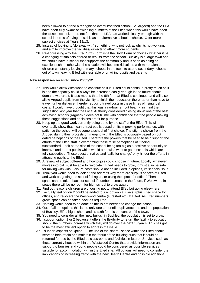been allowed to attend a recognised oversubscribed school (i.e. Argoed) and the LEA have been fully aware of dwindling numbers at the Elfed when this would have been the closest school. I do not feel that the LEA has worked closely enough with the school in terms of trying to 'sell it' as an alternative school of choice. Offer more subject choices at Years 12/13.

- 25. Instead of looking to 'do away with' something, why not look at why its not working, and aim to improve the facilities/subjects to attract more students.
- 26. Re-addressing why the Elfed Sixth Form isn't the Sixth Form of choice whether it be a changing of subjects offered or results from the school. Buckley is a large town and we should have a school that supports the community and is seen as being an excellent school otherwise the situation will become ridiculous with more talented children constantly leaving primary schools in the town to attend secondary schools out of town, leaving Elfed with less able or unwilling pupils and parents

#### **New responses received since 26/03/12**

- 27. This would allow Westwood to continue as it is. Elfed could continue pretty much as it is and the capacity could always be increased easily enough in the future should demand warrant it. It also means that the 6th form at Elfed is continued, and will also allow Argoed pupils from the vicinity to finish their education there rather than have to travel further distance, thereby reducing travel costs in these times of rising fuel costs. I would have thought that this was a no-brainer, but bearing in mind the suggestion last year that the Local Authority considered closing down one of the best achieving schools (Argoed) it does not fill me with confidence that the people making these suggestions and decisions are fit for purpose.
- 28. Keep up the good work currently being done by the staff at the Elfed! This will eventually show that it can attract pupils based on its improving performance; with patience the school will become a school of first choice. The stigma shown from the Argoed during their protests on merging with the Elfed is obviously based on out dated perceptions of the Elfed. Therefore the powers that be need to help support the efforts of the Elfed staff in overcoming these false perceptions of it being substandard. Look at the size of the school being too big as a positive opportunity to improve and attract pupils which would otherwise want to go to schools which are fully subscribed. These questionnaires and 'calls for change' only hinder the efforts in attracting pupils to the Elfed.
- 29. A review of subject offered and how pupils could choose in future. Locally, whatever moves into bid must be able to re-locate if Elfed needs to grow, it must also be safe for mixing with kids. Leisure costs should not be included in options, its schools issue!
- 30. Think you would need to look at and address why there are surplus spaces at Elfed and work on getting the school full again, or using the space for office? Then the space can be taken back for school if number increase in the future, if Westwood in space there will be no room for high school to grow again.
- 31. Find out reasons children are choosing not to attend Elfed but going elsewhere.
- 32. I actually feel option 2 could be added to, i.e. option 2a, use surplus Elfed space for offices, and re-locate the Westwood centre (surestart etc) at Elfed. As Elfed numbers grow, space can be taken back as required.
- 33. Nothing would need to be done as this is not needed to change the school
- 34. Out of all the options this is the only one to benefit pupils/teachers and the population of Buckley. Elfed high school and its sixth form is the centre of the town.
- 35. You need to consider all the "new builds" in Buckley, the population is set to grow.
- 36. I support option 1 or 2 because it offers the flexibility to return the facility to education should the numbers increase which they will do over the next 10 years. This has got to be the most efficient option to address the issue.
- 37. I support aspects of Option 2. The use of the 'spare ' space within the Elfed should serve to help retain and maintain the fabric of the building such that it could be returned for use by the Elfed as classrooms and facilities in future. Services such as those currently housed within the Westwood Centre that provide information and support to families and young people could be considered as possible services suitable for accommodation within the Elfed site. All options will need to consider the implications of increasing traffic with the new Health Centre and possible additional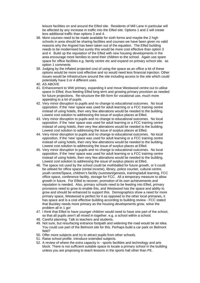leisure facilities on and around the Elfed site. Residents of Mill Lane in particular will be affected by any increase in traffic into the Elfed site. Options 1 and 2 will create less additional traffic than options 3 and 4.

- 38. More courses need to be made available for sixth forms and maybe the 2 high schools in area should be sharing facilities and courses we have been given no valid reasons why the Argoed has been taken out of the equation. The Elfed building needs to be modernised but surely this would be more cost effective than option 3 and 4. Build up the reputation of the Elfed with new housing developments in the area encourage more families to send their children to the school. Again use spare space for office facilities e.g. family centre etc and expand on primary school site. as option 1 comments
- 39. Judging by the inflated projected cost of using the space as an office a lot of these options would be more cost effective and so would need less financial injection. Other issues would be infrastructure around the site including access to the site which could potentially have 3 or 4 different uses.
- 40. AS ABOVE
- 41. Enhancement to WW primary, expanding it and move Westwood centre out to utilise space in Elfed, thus feeding Elfed long term and growing primary provision as needed for future projections. Re-structure the 6th form for vocational use, much more appealing to a lot of pupils.
- 42. Very minor disruption to pupils and no change to educational outcomes. No local opposition. If the 'new' space was used for adult learning or a FCC training centre instead of using hotels, then very few alterations would be needed to the building. Lowest cost solution to addressing the issue of surplus places at Elfed.
- 43. Very minor disruption to pupils and no change to educational outcomes. No local opposition. If the 'new' space was used for adult learning or a FCC training centre instead of using hotels, then very few alterations would be needed to the building. Lowest cost solution to addressing the issue of surplus places at Elfed.
- 44. Very minor disruption to pupils and no change to educational outcomes. No local opposition. If the 'new' space was used for adult learning or a FCC training centre instead of using hotels, then very few alterations would be needed to the building. Lowest cost solution to addressing the issue of surplus places at Elfed.
- 45. Very minor disruption to pupils and no change to educational outcomes. No local opposition. If the 'new' space was used for adult learning or a FCC training centre instead of using hotels, then very few alterations would be needed to the building. Lowest cost solution to addressing the issue of surplus places at Elfed.
- 46. The space not used by the school could be mothballed for future growth, or it could be utilised for office space (rental income), library, police counter, cultural centre, youth centre/Space, children's facility (surestart/genesis, training/adult learning, FCC office space, conference facility, storage for FCC. All a temporary measure to allow growth in future. For Elfed to recover, promotion of its own achievements and reputation is needed. Also, primary schools need to be feeding into Elfed, primary provisions need to grow to enable this, and Westwood has the space and ability to grow and should be enhanced to support this. Demographics show a need for more primary space, Westwood is perfect for it as opposed to the other local primaries, it has space and is a cost effective building according to building review - FCC stated that Buckley needs more primary as the housing developments grow, solve the problem all in 1 go!
- 47. I think that Elfed to have younger children would need to have one part of the school, so that all pupils aren't all mixed in together. e.g. a school within a school.
- 48. Careful planning. Talk to teachers and students.
- 49. Not sure, but resurfacing entrance footpath and widening the road would be an idea. You could use part of the Belmont site for this. Perhaps build a car park on Belmont field?
- 50. Offer more subjects and try to attract pupils from other schools.
- 51. Raise school profile. Introduce extended subjects.
- 52. A review of where the extra capacity is sports facilities and technology and arts block. There is not sufficient suitable space to locate a primary school in the building unless you are proposing to teach lessons in the sports hall other than PE.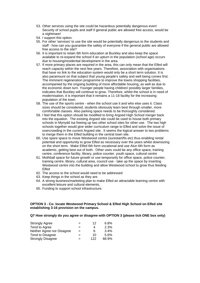- 53. Other services using the site could be hazardous potentially dangerous even! Security of school pupils and staff if general public are allowed free access, would be a nightmare!
- 54. I support this option.
- 55. For other 'services' to use the site would be potentially dangerous to the students and staff - how can you guarantee the safety of everyone if the general public are allowed free access to the site?
- 56. It is important to retain 6th form education at Buckley and also keep the space available to re-expand the school if an upturn in the population (school age) occurs due to housing/residential development in the area.
- 57. If more primary places are required in the area, this can only mean that the Elfed will reach capacity within the next few years. Therefore, association with organisations that have no link to the education system would only be a short term solution. It is also paramount on that subject that young people's safety and well being comes first. The imminent regeneration programme to improve the towns shopping facilities, accompanied by the ongoing building of more affordable housing, as well as due to the economic down turn. Younger people having children/ possibly larger families, indicates that Buckley will continue to grow. Therefore, whilst the school is in need of modernisation, it is important that it remains a 11-18 facility for the increasing population of the town.
- 58. The use of the sports centre when the school use it and who else uses it. Class sizes should be considered, students obviously learn best through smaller, more comfortable classes. Also parking space needs to be thoroughly considered.
- 59. I feel that this option should be modified to bring Argoed High School merger back into the equation. The existing Argoed site could be used to house both primary schools in Mynydd Isa freeing up two other school sites for other use. The two high schools together would give wider curriculum range to Elfed and solve the issue of overcrowding in the current Argoed site. It seems the logical answer to two problems to merge them in the Elfed building in the central town site.
- 60. Use spare space to move Westwood centre (surestart/fis etc) thus enabling rental potential and opportunity to grow Elfed as necessary over the years whilst downsizing on the short term. Make Elfed 6th form vocational and use Alun 6th form as academic, getting best out of both. Other uses could be any office space, training centre, conference facility, library, police counter, youth space, cultural centre
- 61. Mothball space for future growth or use temporarily for office space, police counter, training centre, library, cultural area, council use - take up the space by inserting Westwood centre into the building and allow Westwood school to grow thus feeding Elfed
- 62. The access to the school would need to be addressed
- 63. Keep things in the school as they are.
- 64. A strong business/marketing plan to make Elfed an attractable learning centre with excellent leisure and cultural elements,
- 65. Funding to support school infrastructure.

#### **OPTION 3 - Co- locate Westwood Primary School & Elfed High School on Elfed site establishing 3-16 provision on the campus.**

#### **Q7 How strongly do you agree or disagree with OPTION 3 (please tick ONE box only)**

| <b>Strongly Agree</b>      | =   | 12  | 6.8%  |
|----------------------------|-----|-----|-------|
| Tend to Agree              | $=$ | 4   | 2.3%  |
| Neither Agree nor Disagree | $=$ | 6   | 3.4%  |
| Tend to Disagree           | $=$ | 10  | 5.6%  |
| <b>Strongly Disagree</b>   | $=$ | 122 | 68.9% |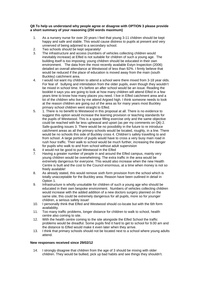#### **Q8 To help us understand why people agree or disagree with OPTION 3 please provide a short summary of your reasoning (250 words maximum)**

- 1. As a nursery nurse for over 20 years I feel that young 3-11 children should be kept happy and safe and stable. This would cause distress to pupils at present and very unnerved of being adjoined to a secondary school.
- 2. Two schools should be kept separately!
- 3. The infrastructure and access (numbers of vehicles collecting children would inevitably increase) at Elfed is not suitable for children of such a young age. The building itself is too imposing; young children should be educated in their own environment. The data from the most recently available Estyn Inspection (2006) detailed an overall attendance at Westwood of less than 92%. I firmly believe that would be reduced if the place of education is moved away from the main (south Buckley) catchment area.
- 4. I would not want my children to attend a school were there mixed from 3-18 year olds. For fear of bullying and intimidation from the older pupils, even though they wouldn't be mixed in school time. It's before an after school would be an issue. Reading the booklet it says you are going to look at how many children will attend Elfed in a few years time to know how many places you need. I live in Elfed catchment area and a lot of the children who live by me attend Argoed high. I think someone needs to look at the reason children are going out of the area as for many years most Buckley primary school children went straight to Elfed.
- 5. 1. There is no benefit to Westwood in this proposal at all. There is no evidence to suggest this option would increase the learning provision or teaching standards for the pupils of Westwood. This is a space filling exercise only and the same objective could be reached with far less upheaval and upset (as per my comments on Q6) 2. Safe-guarding issues 3. There would be no possibility in the future to re introduce catchment areas as all the primary schools would be located, roughly, in a line. There would be no schools this side of Buckley cross 4. Children's safety travelling to and from school. A large portion of pupils would have to cross a very busy main road in rush hour traffic. Their walk to school would be much further, increasing the danger for pupils who walk to and from school without adult supervision
- 6. it would not be good to put Westwood in the Elfed
- 7. Having a greater number of people in and around the Elfed campus, mainly very young children would be overwhelming. The extra traffic in the area would be extremely dangerous for everyone. This would also increase when the new Health Centre is built and the cost to the Council enormous, at a time when money is not so freely available!
- 8. As already stated, this would remove sixth form provision from the school which is totally unacceptable for the Buckley area. Reason have been outlined in detail in Option 1.
- 9. Infrastructure is wholly unsuitable for children of such a young age who should be educated in their own bespoke environment. Numbers of vehicles collecting children would increase with the added addition of a new doctors surgery planned on the same site, this could be extremely dangerous for all pupils, more so for younger children, a serious safety issue!
- 10. I personally think that Elfed and Westwood should co-locate but with the 6th form availability.
- 11. Too many traffic problems, longer distance for children to walk to school, health centre also coming to site.
- 12. With the health centre coming to the site alongside the Elfed School the traffic problems would be dreadful. Some pupils find it hard to get to school for 9.00 am and the distance to Elfed would make it even later when they arrive.
- 13. I think that primary schools should not be located next to a school where young adults attend.

#### **New responses received since 29/02/12**

14. I strongly disagree that children from the age of 3 should be mixing with older children. They would be bullied, pick up bad habits and see things they shouldn't.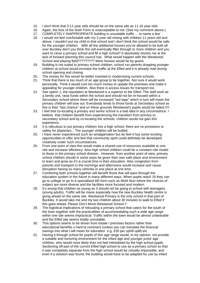- 15. I don't think that 3-11 year olds should be on the same site as 11-16 year olds
- 16. Again, the loss of the Sixth Form is unacceptable to me. (See my comment above.)
- 17. COMPLETELY INAPPROPRIATE building is unsuitable traffic ... to name a few
- 18. I would not feel comfortable with my 3 year old mixing with children 11 years old and above. I wouldn't put my child in that school and I don't think the school would be safe for the younger children. With all the additional houses you've allowed to be built all over Buckley don't you think this will eventually filter through to more children and you want to close a primary school and fill a high school? It absolutely shocks me at the lack of forward planning this council has. What would happen with the Westwood School and playing field????????? More houses would be by quess.
- 19. Building is not suited to primary school children, school run parents dropping younger children at school would increase the traffic at the Elfed and it is already mad during school opening and closing
- 20. The money for this would be better invested in modernising current schools.
- 21. Think that there is too much of an age group to be together. Not sure it would work personally. Think it would cost too much money to update the premises and make it appealing for younger children. Also there is access issues for transport too.
- 22. See option 1, the reputation at Westwood is a superior to the Elfed. The staff work as a family unit, raise funds within the school and should not be re-housed within a Secondary school where there will be increased "red tape" which in turn will mean the primary children will lose out. Everybody tends to throw funds at Secondary school as this is their "last chance" and on these grounds Westwood's pupils would be failed.!!!!!
- 23. I feel that co-locating a primary and senior school is a bad idea in any circumstance. I believe that children benefit from experiencing the transition from primary to secondary school and by co-locating the schools, children would not gain this experience.
- 24. It is ridiculous to put primary children into a high school; there are no provisions or safety for playtimes... The younger children will be bullied.
- 25. I have never experienced such an amalgamation but do feel it has some exciting opportunities to offer and feel that community spirit could definitely be developed creatively under such circumstances.
- 26. From one point of view this would make a shared use of resources available to one site and increase efficiency. Also high school children could be a constant role model to those in the primary school division. However, from another point of view, primary school children should in some ways be given their own safe place and environment to learn and grow as it's a crucial time in their education. Also congestion from parents and transport in the mornings and afternoons would increase and cause disruption having so many vehicles in one place at one time.
- 27. Combining both schools together will benefit those that will pass through the education system in the future in many different ways. When pupils reach 16 they can go to college or go to a specialised 6th form such as Mold Alun where the choices of subject are more diverse and the facilities more focused and modern.
- 28. It's wrong that children as young as 3 should not be going to school with teenagers (young adults). Traffic will be manic especially now the new Buckley health centre is going ahead on the same site. Westwood Primary is the only school in that part of Buckley. It would take me and my two children about 30 minutes to walk to Elfed if this goes ahead. Please Don't Move Westwood School !!
- 29. The logistical implications of relocating a primary school that caters for the south of the town together with the practicalities of accommodating such a wide age range within one site seems impractical. Traffic within the town would be almost unbearable and the Elfed site seems totally unsuitable.
- 30. This options seems to be driven from estate / premises factors rather than educational benefits o hard to comment (unless you can translate the financial savings into what t will mean for education e.g. £50 per uphill uplift etc
- 31. Having a through school for pupils of this age range would, in my opinion, not provide a suitable and nurturing environment for the infant age and younger junior age children, who would more likely than not feel intimidated by the high school pupils. Sectioning off part of the current Elfed high school to use as a primary school so that it was completely separate from the high school would be virtually impossible, and even if a solution was found, the building would have to be adapted for use by infant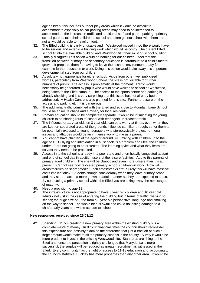age children, this includes outdoor play areas which it would be difficult to accommodate especially as car parking areas may need to be increased to accommodate the increase in traffic and additional staff and parent parking - primary school parents take their children to school and often go into school with them - and not all would be able to travel on foot.

- 32. The Elfed building is partly unusable and if Westwood moved in too there would have to be serious and extensive building work which would be costly. The current Elfed school fit into the available building and Westwood fit it their existing school building.
- 33. I totally disagree! This option would do nothing for our children. I feel that the transition between primary and secondary education is paramount to a child's mental growth. It prepares them for having to leave their school environment ready for example further education or work. Doing this option would take away this important developmental step from our children.
- 34. Absolutely not appropriate for either school. Aside from other, well publicised worries, particularly from Westwood School, the site is not suitable for further numbers of pupils. The access is problematic at the moment. Traffic would necessarily be generated by pupils who would have walked to school at Westwood, being taken to the Elfed campus. The access to the sports centre and parking is already shocking and it is very surprising that this issue has not already been addressed. A Health Centre is also planned for this site. Further pressure on the access and parking etc. It is dangerous.
- 35. The additional traffic combined with the Elfed and so close to Mountain Lane School would be absolute chaos and a misery for local residents.
- 36. Primary education should be completely separate. It would be intimidating for young children to be sharing routs to school with teenagers. Increased traffic.
- 37. The influence of 11 year olds on 3 year olds can be a worry at times, even when they are kept on separated areas of the grounds influence can filter through, so for them to be potentially exposed to young teenagers who stereotypically project hormonal issues and attitudes would be an immense worry to me as a parent.
- 38. You cannot have children of the ages of around 3-10 mixing with children up to the age of 16. Bullying and intimidation in all schools is a problem and I feel the children under 10 are not going to be protected. The learning styles and what they learn are so vast they need to be protected.
- 39. Access in to the school is already in a poor state and often heavily congested at start and end of school day in addition users of the leisure facilities. Add to this parents of primary aged children. The site will be chaotic and even more unsafe than it is at present. Cannot see how relocated primary school children will work. How will areas/facilities be segregated? Lunch times/breaks etc? Surely this will have massive costs implications? Students change considerably when they leave primary school and they start to act in a more grown up/adult manner as they are expected to do so. By co-locating a primary school within the Elfed you are taking away the next stages of maturity.
- 40. Need a provision to age 18.
- 41. The infra-structure is not appropriate to have 3 year old children and 16 year old adults - not just in the case of entering the building but in terms of traffic; walking to school; the huge size of Elfed from a 3 year old perspective; language and smoking on the way to school. The whole idea is awful and could do lasting damage to a child's early years and whole attitude to school.

#### **New responses received since 26/03/12**

42. Spending £11.5m creating a new primary area within the existing buildings is a complete waste of money. In difficult financial times the council should reconsider this expenditure and possibly examine the difference that just a fraction of such a large amount would make to all the primary schools in the county. Surely it would be more prudent to invest in the existing Westwood site. Standards are rising at the Elfed and, once the perception is rightly challenged that Mynydd Isa is more successful, the surplus will be reduced as greater recruitment is witnessed at the Elfed. Every community has the right of access to 11-18 education and, according to the council's statistics; Buckley has more properties than any other area. It would be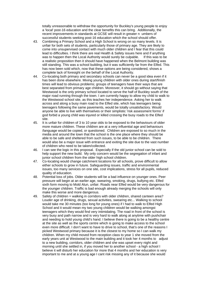totally unreasonable to withdraw the opportunity for Buckley's young people to enjoy a 'local' post-16 education and the clear benefits this can bring. Additionally, the recent improvements in standards at GCSE will result in greater n umbers of successful students seeking post-16 education which the school should offer.

- 43. Combining a Primary School and a High School is wrong on so many levels. It is unfair for both sets of students, particularly those of primary age. They are likely to come into unsupervised contact with much older children and I fear that this could lead to difficulties. I think there are real Health & Safety issues here and if anything was to happen then the Local Authority would surely be culpable. If this was to be a realistic proposition then it should have happened when the Belmont building was still standing. This was a school building, but it was sufficiently far from the Elfed. This has now been sold which, now that these options are being considered, shows a complete lack of foresight on the behalf of the Local Authority.
- 44. Co-locating both primary and secondary schools can never be a good idea even if it has been done elsewhere. Mixing young children with older ones during start/finish times will lead to obvious problems; groups of teenagers have their ways that are best separated from primary age children. Moreover, it should go without saying that Westwood is the only primary school located to serve the half of Buckley south of the major road running through the town. I am currently happy to allow my child to walk to the Westwood school site, as this teaches her independence. Asking her to walk across and along a busy main road to the Elfed site, which has teenagers being teenagers following the same pavements, would be totally unsatisfactory. Would anyone be able to live with themselves or their simplistic 'risk assessment forms' if god forbid a young child was injured or killed crossing the busy roads to the Elfed site.
- 45. It is unfair for children of 3 to 10 year olds to be exposed to the behaviours of older more mature children. These children are at a very influential age and behaviours /language would be copied, or questioned. Children are exposed to so much in the media and around the town that the school is the one place where they should be able to be safe and sheltered from such issues, to be able to be children. There would also be a major issue with entrance and exiting the site due to the vast number of children who need to be taken/collected.
- 46. I can see the logic in this proposal. Especially if the old junior school can be sold to help support the new build. My only concern would be the segregation of infant and junior school children from the older high school children.
- 47. Co-locating would change catchment locations for all schools, prove difficult to allow either schools to grow in future. Safeguarding issues, traffic and environmental issues, too many services on one site, cost implications, stress for all pupils, reduced quality of education.
- 48. Potential loss of jobs. Older students will be a bad influence on younger ones. Peer pressure will begin at an earlier age, swearing, smoking, drugs, bullying etc. Elfed sixth form moving to Mold Alun, unfair. Roads near Elfed would be very dangerous for the younger children. Traffic is bad enough already merging the schools will only make this worse and more dangerous.
- 49. Safety of children = walking in corridors with older children, shared canteen area? Louder age of drinking, drugs, sexual activities, swearing etc... Walking to school would take me 30 minutes (too long for young ones) if I had to walk to Elfed High School and it would mean my two young children would be walking amongst teenagers which they would find very intimidating. The road in front of the school is very busy and path narrow and is very hard to walk along at anytime with pushchair and needing to hold young child's hand. I believe there is going to be a healthy centre at the site as well as the sports centre which is going to make access to the school even more difficult. I don't want to have to drive to school, that's one of the reasons I picked Westwood primary because it is the closest to my home so I can walk my children. When my child moved from reception class to year 1 she moved from the early years unit at Westwood to the main building and it took her 4 months to adjust to a new building, corridors, older children and she was upset every night and morning until she settled in, if you moved her to another school - a high school I believe it will disturb her education for more that 4 months and her education is very important to me and at a young age I cant risk missing any of it because she would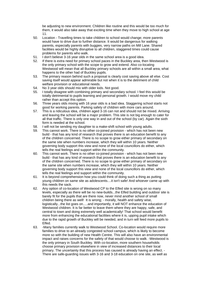be adjusting to new environment. Children like routine and this would be too much for them, it would also take away that exciting time when they move to high school at age 11.

- 50. Location Travelling times to take children to school would change; more parents would have to drive due to further distance. It would be dangerous for walking parents, especially parents with buggies, very narrow paths on Mill Lane. Shared facilities would be highly disruptive to all children, staggered times could cause problems for parents who walk.
- 51. I don't believe 3-16 year olds in the same school area is a good idea.
- 52. If there is extra need for primary school paces in the Buckley area, then Westwood is the only primary school with the scope to grow and extend. Also co-locating Westwood will mean that all Buckley primary schools are all within a small area, what happens to the other had of Buckley pupils.
- 53. The primary reason behind such a proposal is clearly cost saving above all else. Cost saving itself would appear admirable but not when it is to the detriment of child welfare provision or educational needs.
- 54. No 3 year olds should mix with older kids. Not good.
- 55. I totally disagree with combining primary and secondary school. I feel this would be totally detrimental to pupils learning and personal growth. I would move my child rather than accept this option.
- 56. Three years olds mixing with 16 year olds is a bad idea. Staggering school starts not good for working parents. Parking safety of children with more cars around.
- 57. This is a ridiculous idea, children aged 3-16 can not and should not be mixed. Arriving and leaving the school will be a major problem. This site is not big enough to cater for all that traffic. There is only one way in and out of the school (by car). Again the sixth form is needed at the school.
- 58. I will not be sending my daughter to a make-shift school with young adults.
- 59. This cannot work. There is no other co-joined provision which has not been new build - that has any kind of research that proves there is an education benefit to any of the children concerned. There is no scope to grow either primary of secondary on the same site when numbers increase, which they will within 10 years. Neither governing body support this view and none of the local councillors do either, which tells the real feelings and support within the community.
- 60. This cannot work. There is no other co-joined provision which has not been new build - that has any kind of research that proves there is an education benefit to any of the children concerned. There is no scope to grow either primary of secondary on the same site when numbers increase, which they will within 10 years. Neither governing body support this view and none of the local councillors do either, which tells the real feelings and support within the community.
- 61. It is beyond comprehension how you could think of doing such a thing as putting young children on same site as adolescents....it isn't safe! And whoever came up with this needs the sack.
- 62. Any option of co-location of Westwood CP to the Elfed site is wrong on so many levels, especially as there will be no new-builds...the Elfed building and outdoor site is barely fit for the pupils that are there now, never mind another school of small children being there as well! It is wrong; - morally, health and safety wise, logistically...the list goes on.....and importantly, it will NOT enhance the education of Westwood children. It is far better to leave them where they are happy, safe, and central to town and doing extremely well academically! That school would benefit more from enhancing the educational facilities where it is, upping pupil intake which due to the rapid growth of Buckley will be needed, and in turn will feed more pupils to Elfed.
- 63. -Many families currently walk to Westwood School. Co-location would require more families to drive to an already congested school campus, which is likely to become more so with the building of new Health Centre. This will also have an environmental impact and raises concerns for the safety of that would choose to walk. -Westwood is the only primary in South Buckley. With co-location, more southern households choose primary provision elsewhere in view of increased distances to their local primary. The uncertainty that this process has caused is already having an effect. - There are safe-guarding issues with 3-16 and 3-18 education on one site, as well as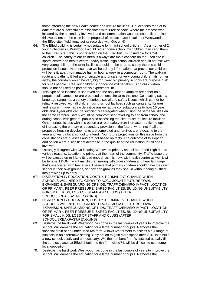those attending the new Health centre and leisure facilities. -Co-locations read of to date that are successful are associated with 'Free-schools' where the process was initiated by the secondary involved, and accommodation was purpose built premises; this would not be the case in the proposal of relocation/co-location of Westwood to the Elfed site. (Additional points recorded with Option 4)

- 64. The Elfed building is certainly not suitable for infant school children. As a mother of 2 young children in Westwood I would rather home school my children than send them to the Elfed site. This is not refection on the Elfed but it is unsuitable for small children. The safety of our children is always are main concern on the Elfed site is sports centre and health centre, heavy traffic, high school children should not mix with very young children the toilet facilities should not be shared, surely there is child protection issues. Not once have we heard any information that proves our children will benefit, apart from maybe half an hour a week in a computer room. The walking route and paths to Elfed are unsuitable and unsafe for very young children, its further away, the corridors would be very big for 3year old primary schools are purpose built for small people. I feel our children's innocence will be taken. And our children should not be used as part of this experiment nt.
- 65. This type of co location is unproven and the only other examples are either on a purpose built campus or are proposed options similar to this one. Co locating such a large age range has a variety of serious social and safety issues, which cannot be reliably resolved with all children using school facilities such as canteens, libraries and leisure. I have had no definitive answer at the consultations as to how 16 year olds and 3 year olds can be sufficiently segregated when using the same facilities on the same campus. Safety would be compromised travelling to and from school and during school with general public also accessing the site to use the leisure facilities. Other serious issues with this option are road safety from increased traffic, no option of increasing the primary or secondary provision in the future, when not if, all the proposed housing developments are completed and families are relocating to the area and want a local school to attend. Your future projections on this issue from the consultations are guesses and are not based on facts. The outcome of this option and option 4 are a significant decrease in the quality of the education for all ages involved.
- 66. I strongly disagree with Co-locating Westwood primary school and Elfed High due to various reasons. Location no primary at the heart of the community. Traffic issue that will be caused on mill lane its bad enough as it is now, with health centre as well it will be terrible. I DON'T want my children mixing with older children and hear language that's associated with teenagers. I believe that primary children should have their own school in their own grounds, so they can grow as they should without being pushed into growing up to early.
- 67. DISRUPTION IN EDUCATION, COSTLY, PERMANENT CHANGE WHEN SCHOOLS WILL NEED TO GROW TO ACCOMODATE FUTURE TOWN EXPANSION, SAFEGUARDING OF KIDS, TRAFFIC/ENVIRO IMPACT, LOCATION OF PRIMARY, PEER PRESSURE, SARED FACILTIES, BUILDING UNSUITABILTY FOR SMALL KIDS, LOSS OF STAFF AND CLUBS (AFTER SCHOOL/BREAKFAST/PENGUINS)
- 68. DISRUPTION IN EDUCATION, COSTLY, PERMANENT CHANGE WHEN SCHOOLS WILL NEED TO GROW TO ACCOMODATE FUTURE TOWN EXPANSION, SAFEGUARDING OF KIDS, TRAFFIC/ENVIRO IMPACT, LOCATION OF PRIMARY, PEER PRESSURE, SARED FACILTIES, BUILDING UNSUITABILTY FOR SMALL KIDS, LOSS OF STAFF AND CLUBS (AFTER SCHOOL/BREAKFAST/PENGUINS)
- 69. Destroys the hard work Westwood has done in the last couple of years to improve the school. Will damage the education for a large number of pupils. Removes the financial drain of an under used 6th form. Allows 6th formers to access a full range of subjects in an alternative setting. Only option to gain extra space after 2018 is to build a new school, costly and unnecessary. Will the numbers from Westwood actually fill the surplus places at Elfed should the 6th form close? It will be difficult to overcome local opposition.
- 70. Destroys the hard work Westwood has done in the last couple of years to improve the school. Will damage the education for a large number of pupils. Removes the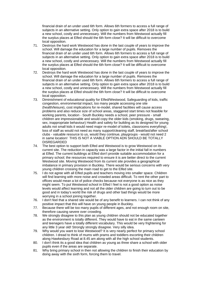financial drain of an under used 6th form. Allows 6th formers to access a full range of subjects in an alternative setting. Only option to gain extra space after 2018 is to build a new school, costly and unnecessary. Will the numbers from Westwood actually fill the surplus places at Elfed should the 6th form close? It will be difficult to overcome local opposition.

- 71. Destroys the hard work Westwood has done in the last couple of years to improve the school. Will damage the education for a large number of pupils. Removes the financial drain of an under used 6th form. Allows 6th formers to access a full range of subjects in an alternative setting. Only option to gain extra space after 2018 is to build a new school, costly and unnecessary. Will the numbers from Westwood actually fill the surplus places at Elfed should the 6th form close? It will be difficult to overcome local opposition.
- 72. Destroys the hard work Westwood has done in the last couple of years to improve the school. Will damage the education for a large number of pupils. Removes the financial drain of an under used 6th form. Allows 6th formers to access a full range of subjects in an alternative setting. Only option to gain extra space after 2018 is to build a new school, costly and unnecessary. Will the numbers from Westwood actually fill the surplus places at Elfed should the 6th form close? It will be difficult to overcome local opposition.
- 73. Diminishment of educational quality for Elfed/Westwood, Safeguarding of kids, traffic congestion, environmental impact, too many people accessing one site (health/leisure), cost implications for re-model, shared facilities will cause access problems and also reduce size of school areas, staggered start times not feasible for working parents, location - South Buckley needs a school, peer pressure - small children are impressionable and would copy the older kids (smoking, drugs, swearing, sex, inappropriate behaviour) Health and safety for building as its designed for young adults not small kids it would need major re-model of toilets, classrooms everything!, loss of staff as would not need as many support/cleaning staff, breakfast/after school clubs - valuable resource to us, would they continue, playgroups - would not need 2 in same location! THIS IS NOT A VIABLE OPTION ADN SHOULD BE TOTALLY DISREGARDED
- 74. The best option to support both Elfed and Westwood is to grow Westwood on its current site. The reduction in capacity was a large factor in the initial fall in numbers at Elfed. The current buildings at Elfed don't provide suitable accommodation for a primary school; the resources required to ensure it is are better direct to the current Westwood site. Moving Westwood from its current site provides a geographical imbalance in primary provision in Buckley. There would be serious concerns with very young children crossing the main road to get to the Elfed site.
- 75. I do not agree with all Elfed pupils and teachers moving into smaller space. Children will find learning with more noise and crowded areas difficult. To rent the other part to offices would mean a lot of police checks because not everyone is as nice as they might seem. To put Westwood school in Elfed I feel is not a good option as noise levels would affect learning and not all the older children are going to turn out to be good and in today's world the risk of drugs and other bad things would be more worrying in a school joining together.
- 76. I don't feel that a shared site would be of any benefit to learners. I can not think of any positive impact that this will have on young people in Buckley.
- 77. Because there will be too many pupils of different ages, and not enough room on site, therefore causing severe over crowding.
- 78. We strongly disagree to this plan as young children should not be educated together as the environment is totally different. They would have to eat in the same canteen and teenagers have a totally different vocabulary. This would be very frightening for any little 3 year old! Strongly strongly disagree. Very silly idea.
- 79. Why would you want to lose Westwood? It is very nearly perfect for primary school children. I dread to think of mums with prams and toddlers escorting their children along Hawkesbury Road at 8.45 am along with all the high school students.
- 80. I don't think its a good idea that children as young as three share a school with older pupils even if the areas are separate.
- 81. Why bring primary school in then not allowing the children to finish their education by doing away with the sixth form, forcing them to travel.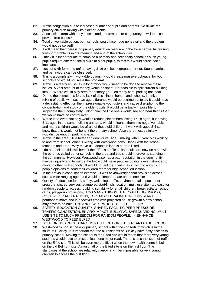- 82. Traffic congestion due to increased number of pupils and parents. No divide for primary children mixing with older students.
- 83. A local sixth form with easy access and no extra bus or car journeys will the school provide free buses?
- 84. Total unworkable option, both schools would face huge upheaval and the problem would not be solved!
- 85. It will mean that there is no primary education resource in the town centre. Increasing transport problems in the morning and end of the school day.
- 86. I think it is inappropriate to combine a primary and secondary school as such young pupils require different social skills to older pupils, to mix this would cause social imbalance.
- 87. Loss of sixth form and unfair having 3-16 on site, segregated or not. Sound carries and behaviours can be observed.
- 88. This is a completely in workable option, it would create massive upheaval for both schools and would not solve the problem!
- 89. Traffic is already an issue a lot of work would need to be done to resolve these issues. A vast amount of money would be spent. Not feasible to split current building into 2!! Where would play area for primary go? Too many cars, parking not ideal.
- 90. Due to the sometimes forced lack of discipline in homes and schools, I think the mixing of pupils with such an age difference would be detrimental to all. It could have a devastating effect on the impressionable youngsters and cause disruption to the concentration and study of the older pupils. It would be virtually impossible to segregate them completely. I also think the little one's would see and hear things that we would have no control over.
- 91. Worse idea ever! Not only would it reduce places from losing 17-18 ages, but having 3-11 ages in the same building and area would influence them into negative habits and many children would be afraid of these old children. I work with ages 2-4 so I know that this would not benefit the primary school. Also there most definitely wouldn't be enough parking space.
- 92. Traffic in the area, I live to far and don't drive. Age 3 mixing with 16 year olds walking to and from school. What is wrong with Westwood now? Happy with the school, teachers and area!! Why move us. Mountain lane is near to Elfed.
- 93. I do not feel that this will benefit the Elfed's profile as its results are now on a par with the other so called better schools in the area and this should improve its standing in the community. However, Westwood also has a bad reputation in the community maybe unjustly and to merge the two would make peoples opinions even stronger to move to other high schools. It would not aid the Elfed in its striving to wins round people opinions to send their children there for high school education.
- 94. In the previous consultation exercise , it was acknowledged that provision across such a wide ranging age band would be inappropriate on the one site
- 95. Quality of education for all, safety, wellbeing, traffic, environmental impact, peer pressure, shared services, staggered start/finish, location, multi use site - too easy for random people to access, building suitability for small children, breakfast/after school clubs, playgroup provisions, TOO MANY THINGS THAT COULD GO WRONG, COSTLY FOR ALTERATIONS, TOO MUCH CRAMMED IN! It would be a permanent move and in a few yrs time with projected house growth a new school may have to be built! ENHANCE WESTWOOD TO FEED ELFED!!!
- 96. SAFETY, EDUCATION QUALITY, SHARED FACILITY, PEER PRESSURE, TRAFFIC CONGESTION, ENVIRO IMPACT, BULLYING, SAFEGUARDING, MULTI USE SITE TO MUCH FREEDOM FOR RANDOM PEOPLE, - ENHANCE WESTWOOD TO FEED ELFED
- 97. DONT BRING ARGOED BACK INTO THE OPTIONS IT IS A FANTASTIC SCHOOL
- 98. Westwood School is the only primary school within the consortium which is in the south of Buckley. It is important that the all residents of Buckley have easy access to primary school. Moving the school to the Elfed site would mean that more very young students would have to cross at least one major road. There is also the issue of traffic on the Elfed site. This will be even more difficult when the new health centre is built on the old Belmont site. Almost half of the Elfed site is on the first floor. The staircases at the school are relatively narrow and be impossible for very young children to access the first floor.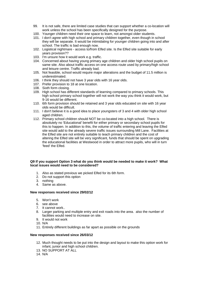- 99. It is not safe, there are limited case studies that can support whether a co-location will work unless the school has been specifically designed for the purpose.
- 100. Younger children need their one space to learn, not amongst older students.
- 101. I don't agree with high school and primary children together, even though in school they will be separate. It would be intimidating for younger children going into and after school. The traffic is bad enough now.
- 102. Logistical nightmare access to/from Elfed site. Is the Elfed site suitable for early years provision??
- 103. I'm unsure how it would work e.g. traffic.
- 104. Concerned about having young primary age children and older high school pupils on same site. Also about traffic access on one access route used by primary/high school and leisure centre. Traffic already bad.
- 105. Not feasible, school would require major alterations and the budget of 11.5 million is underestimated.
- 106. I think they should not have 3 year olds with 16 year olds.
- 107. Prefer provision to 18 at one location.
- 108. Sixth form closing.
- 109. High school has different standards of learning compared to primary schools. This high school primary school together will not work the way you think it would work, but 9-16 would be different.
- 110. 6th form provision should be retained and 3 year olds educated on site with 16 year olds would be difficult.
- 111. I don't believe it is a good idea to place youngsters of 3 and 4 with older high school aged children.
- 112. Primary school children should NOT be co-located into a high school. There is absolutely no 'Educational' benefit for either primary or secondary school pupils for this to happen. In addition to this, the volume of traffic entering and leaving the Elfed site would add to the already severe traffic issues surrounding Mill Lane. Facilities at the Elfed site are not entirely suitable to teach primary children and the cost of altering the Elfed site will be very significant, funds that should be spent on upgrading the educational facilities at Westwood in order to attract more pupils, who will in turn 'feed' the Elfed.

#### **Q9 If you support Option 3 what do you think would be needed to make it work? What local issues would need to be considered?**

- 1. Also as stated previous we picked Elfed for its 6th form.
- 2. Do not support this option
- 3. nothing
- 4. Same as above.

#### **New responses received since 29/02/12**

- 5. Won't work
- 6. see above
- 7. It cannot work..
- 8. Larger parking and multiple entry and exit roads into the area. also the number of facilities would need to increase on site.
- 9. It would not work
- 10. N/A
- 11. Entirely different buildings as far apart as possible on the grounds

#### **New responses received since 26/03/12**

- 12. Much thought needs to be put into the design and layout to make this option work for infant, junior and high school children.
- 13. NO SUPPORT AT ALL
- 14. N/A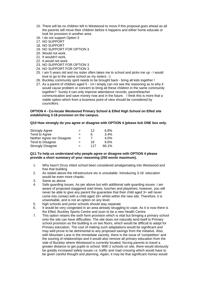- 15. There will be no children left in Westwood to move if this proposal goes ahead as all the parents will move their children before it happens and either home educate or look for provision in another area.
- 16. I do not support Option 3
- 17. NO SUPPORT
- 18. NO SUPPORT
- 19. NO SUPPORT FOR OPTION 3
- 20. Would not work.
- 21. It wouldn't work.
- 22. It would not work.
- 23. NO SUPPORT FOR OPTION 3
- 24. NO SUPPORT FOR OPTION 3
- 25. I am 5 years old and my sister often takes me to school and picks me up I would love to go to the same school as my sisters :-)
- 26. Buckley community spirit needs to be brought back bring all kids together !
- 27. As a parent of children aged 5 14 I simply can not see the reasoning as to why it would cause problem or concern to bring all these children in the same community together? Surely it can only improve attendance records, parent/teacher communication and save money now and in the future. I think this is more that a viable option which from a business point of view should be considered by councillors.

#### **OPTION 4 - Co-locate Westwood Primary School & Elfed High School on Elfed site establishing 3-18 provision on the campus.**

#### **Q10 How strongly do you agree or disagree with OPTION 4 (please tick ONE box only.**

| <b>Strongly Agree</b>      | $=$ | 12  | $6.8\%$ |
|----------------------------|-----|-----|---------|
| Tend to Agree              | $=$ | 6   | $3.4\%$ |
| Neither Agree nor Disagree | $=$ |     | 4.0%    |
| Tend to Disagree           | =   | 16  | $9.0\%$ |
| <b>Strongly Disagree</b>   | $=$ | 117 | 66.1%   |

#### **Q11 To help us understand why people agree or disagree with OPTION 4 please provide a short summary of your reasoning (250 words maximum).**

- 1. Why hasn't Drury infant school been considered amalgamating into Westwood and free that building
- 2. As stated above the infrastructure etc is unsuitable. Introducing 3-18 education would be even more chaotic.
- 3. Same as above
- 4. Safe guarding issues. As per above but with additional safe guarding issues. I am aware of proposed staggered start times, lunches and playtimes, however, you will never be able to give any parent the guarantee that their child aged 3+ will never come into contact with a child aged 18+ whilst within the new site. Therefore, it is unworkable, and is not an option on any level.
- 5. high schools and junior schools should stay separate
- 6. It would be very congested in an area already struggling to cope. As it is now there is the Elfed, Buckley Sports Centre and soon to be a new Health Centre.
- 7. This option retains the sixth form provision which is vital but bringing a primary school onto the site can have difficulties. The site does not naturally lend itself to Primary school provision as the building is on two floors, which would be difficult to adapt for Primary education. The cost of making such adaptations would be significant and may well prove to be detrimental to any proposed savings from the initiative. Also, with Mountain Lane in the immediate vacinity, there is the issue of 'competition' and the souring of relationships and it would also remove all primary education from the side of Buckley where Westwood is currently located, forcing parents to travel a greater distance to get pupils to school. With 2 schools on site, there would obviously be greatly increased safety issues i.e. traffic and road crossing which would have to be given careful thought and planning. Again, it may be that significant money would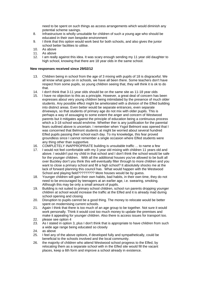need to be spent on such things as access arrangements which would diminish any potential scheme savings.

- 8. Infrastructure is wholly unsuitable for children of such a young age who should be educated in their own bespoke environment
- 9. I think that this option would work best for both schools, and also gives the junior school better facilities to utilise.
- 10. As above
- 11 As above
- 12. I am really against this idea. It was scary enough sending my 11 year old daughter to high school, knowing that there are 18 year olds in the same school.

#### **New responses received since 29/02/12**

- 13. Children being in school from the age of 3 mixing with pupils of 18 is disgraceful. We all know what goes on in schools, we have all been there. Some teachers don't have respect from some pupils, so young children seeing that, they will think it is ok to do that.
- 14. I don't think that 3-11 year olds should be on the same site as 11-18 year olds
- 15. I have no objection to this as a principle. However, a great deal of concern has been expresses about very young children being intimidated by the presence of much older students. Any possible effect might be ameliorated with a division of the Elfed building into distinct areas. Even better would be separate entrances, even separate driveways, so that students of primary age do not mix with older pupils. This is perhaps a way of assuaging to some extent the anger and concern of Westwood parents but it mitigates against the principle of education being a continuous process which a 3-18 school would enshrine. Whether ther is any justification for the parental fears outlined above is uncertain. I remember when Ysgol Belmont was opened that I was concerned that Belmont students at might be worried about several hundred Elfed pupils passing their school each day. To my knowledge, this fear proved groundless since I cannot remember a single occasion where Elfed students were any thing other than supportive.
- 16. COMPLETELY INAPPROPRIATE building is unsuitable traffic ... to name a few
- 17. I would not feel comfortable with my 3 year old mixing with children 11 years old and above. I wouldn't put my child in that school and I don't think the school would be safe for the younger children. With all the additional houses you've allowed to be built all over Buckley don't you think this will eventually filter through to more children and you want to close a primary school and fill a high school? It absolutely shocks me at the lack of forward planning this council has. What would happen with the Westwood School and playing field????????? More houses would be by guess.
- 18. Younger children will gain their own habits, bad habits, in their own time, they do not need to be encouraged by teenagers at an earlier age, i.e. swearing, smoking. Although this may be only a small amount of pupils.
- 19. Building is not suited to primary school children, school run parents dropping younger children at school would increase the traffic at the Elfed and it is already mad during school opening and closing
- 20. Disruption to pupils cannot be a good thing. The money to relocate would be better spent on modernising current schools.
- 21. Again I think that there is too much of an age group to be together. Not sure it would work personally. Think it would cost too much money to update the premises and make it appealing for younger children. Also there is access issues for transport too.
- 22. please see option 4
- 23. As I stated in option 3, plus I don't think that is appropriate to have children from such a wide age range being educated so closely
- 24. as above
- 25. I feel any of the above options, if developed fully and sympathetically, could be beneficial to the schools involved and the local community.
- 26. the majority of children who attend Westwood school progress to the Elfed, by relocating them as a separate school with in the Elfed site would fill the vacant places, keep a 6th form and improve a school already in existence.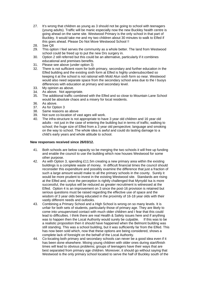- 27. It's wrong that children as young as 3 should not be going to school with teenagers (young adults). Traffic will be manic especially now the new Buckley health centre is going ahead on the same site. Westwood Primary is the only school in that part of Buckley. It would take me and my two children about 30 minutes to walk to Elfed if this goes ahead. Please Do Not Move Westwood School !!
- 28. See Q8
- 29. This option I feel serves the community as a whole better. The land from Westwood school could be freed up to put the new Drs surgery in.
- 30. Option 2 still referred but this could be an alternative, particularly if it combines educational and premises benefits.
- 31. Please see above (under option 3)
- 32. There is not sufficient room for both primary, secondary and further education in the Elfed building and the existing sixth form at Elfed is highly undersubscribed so keeping it at the school is not rational with Mold Alun sixth form so near. Westwood would also need separate space from the secondary school area due to the I buoys differences with education at primary and secondary level.
- 33. My opinion as above.
- 34. As above. Not appropriate.
- 35. The additional traffic combined with the Elfed and so close to Mountain Lane School would be absolute chaos and a misery for local residents.
- 36. As above.
- 37. As for Option 3
- 38. Same reasons as above
- 39. Not sure co-location of vast ages will work.
- 40. The infra-structure is not appropriate to have 3 year old children and 16 year old adults - not just in the case of entering the building but in terms of traffic; walking to school; the huge size of Elfed from a 3 year old perspective; language and smoking on the way to school. The whole idea is awful and could do lasting damage to a child's early years and whole attitude to school.

#### **New responses received since 26/03/12.**

- 41. Both schools are below capacity so be merging the two schools it will free up funding and enable the council to use the building which now houses Westwood for some other purpose.
- 42. As with Option 3, spending £11.5m creating a new primary area within the existing buildings is a complete waste of money. In difficult financial times the council should reconsider this expenditure and possibly examine the difference that just a fraction of such a large amount would make to all the primary schools in the county. Surely it would be more prudent to invest in the existing Westwood site. Standards are rising at the Elfed and, once the perception is rightly challenged that Mynydd Isa is more successful, the surplus will be reduced as greater recruitment is witnessed at the Elfed. Option 4 is an improvement on 3 since the post-16 provision is retained but serious questions must be raised regarding the effective use of space and the wisdom of 3 year olds being educated in the proximity of 16-18 year olds with their vastly different needs and outlooks.
- 43. Combining a Primary School and a High School is wrong on so many levels. It is unfair for both sets of students, particularly those of primary age. They are likely to come into unsupervised contact with much older children and I fear that this could lead to difficulties. I think there are real Health & Safety issues here and if anything was to happen then the Local Authority would surely be culpable. If this was to be a realistic proposition then it should have happened when the Belmont building was still standing. This was a school building, but it was sufficiently far from the Elfed. This has now been sold which, now that these options are being considered, shows a complete lack of foresight on the behalf of the Local Authority.
- 44. Co-locating both primary and secondary schools can never be a good idea even if it has been done elsewhere. Mixing young children with older ones during start/finish times will lead to obvious problems; groups of teenagers have their ways that are best separated from primary age children. Moreover, it should go without saying that Westwood is the only primary school located to serve the half of Buckley south of the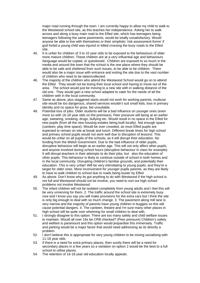major road running through the town. I am currently happy to allow my child to walk to the Westwood school site, as this teaches her independence. Asking her to walk across and along a busy main road to the Elfed site, which has teenagers being teenagers following the same pavements, would be totally unsatisfactory. Would anyone be able to live with themselves or their simplistic 'risk assessment forms' if god forbid a young child was injured or killed crossing the busy roads to the Elfed site.

- 45. It is unfair for children of 3 to 10 year olds to be exposed to the behaviours of older more mature children. These children are at a very influential age and behaviours /language would be copied, or questioned. Children are exposed to so much in the media and around the town that the school is the one place where they should be able to be safe and sheltered from such issues, to be able to be children. There would also be a major issue with entrance and exiting the site due to the vast number of children who need to be taken/collected.
- 46. The majority of the children who attend the Westwood School would go on to attend the Elfed. They would not be losing their local school and having to move out of the area. The school would just be moving to a new site with in walking distance of the old one. They would gain a new school adapted to cater for the needs of all the children with in the local community.
- 47. Same as above, plus staggered starts would not work for working parents, multiuse site would be too dangerous, shared services wouldn't suit small kids, loss in primary identity and no space for grow, bid unsuitable.
- 48. Potential loss of jobs. Older students will be a bad influence on younger ones (even more so with 16-18 year olds on the premises). Peer pressure will being at an earlier age, swearing, smoking, drugs, bullying etc. Would result in no space in the Elfed for new pupils (from all the new housing estates being built locally). Not enough space (canteen, play time space). Would be over crowded, as most Elfed pupils are expected to remain on site at break and lunch. Different break times for high school and primary school pupils would not work well due to disruption of lessons. This would be unfair on all pupils of the schools, as it will disrupt their education. No funding from the Welsh Government. Due to the bad influence of older pupils, disruptive behaviour will begin at an earlier age. This will not only affect other pupils, and anyone involved during school hours (disruptive behaviour in class for example). It will disrupt teachers in their attempts to do their jobs, but also the education of other pupils. This behaviour is likely to continue outside of school in both homes and in the local community. Disrupting children's familiar grounds, and potentially their education. This is very unfair! Will be very intimidating to young pupils, and they're a target for older ones. More inconvenient for younger pupils parents, as they are likely to have to walk children to school due to roads being busier by Elfed.
- 49. As above. Don't know why its got anything to do with Westwood if the high school is not full and Westwood should not be involve, you need to sort out high school problems not involve Westwood.
- 50. The infant children will not be isolated completely from young adults and I feel this will be very unnerving for them. 2. The traffic around the school site is extremely busy now and I know you say you will make provisions for the extra cars but I think the site is only big enough to deal with so much change. 3. The pavement along mill lane is very narrow and the majority of parents have young children in buggies so this will cause potential dangers. 4. The canteen, theatre and I'm sure many other places in high school will be quite over whelming for small children to deal with.
- 51. I strongly disagree to this option. There are too many safety and child welfare issues to maintain. Would all over 16s be CRB checked? (Peer pressure) Children's safety and welfare is paramount and this option would jeopardise this immensely. Traffic and parking would be a major factor that would need addressing as its directly a problem.
- 52. I don't believe this is appropriate for very young children to be mixing socialising with 11-18 year olds.
- 53. If there is a need for extra primary places, then surely there will be a need for secondary places in a few years so a variation on option 2 would be the best to a full school to utilise places.
- 54. The retention of 16-18 year old education locally appeals.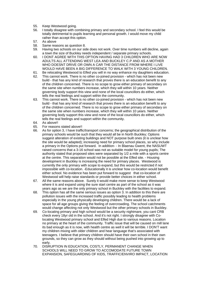- 55. Keep Westwood going.
- 56. I totally disagree with combining primary and secondary school. I feel this would be totally detrimental to pupils learning and personal growth. I would move my child rather than accept this option.
- 57. As above
- 58. Same reasons as question 8.
- 59. Having two schools on our side does not work. Over time numbers will decline, again a town the size of Buckley needs independent / separate primary schools.
- 60. I DONT AGREE WITH THIS OPTION HAVING HAD 3 CHILDREN WHO ARE NOW ADULTS ALL ATTENDING WEST LEA AND BUCKLEY C.P AND AS A MOTHER WHO DOESNT DRIVE OR OWN A CAR THE DISTANCE FROM WHERE I LIVE WOULD HAVE BEEN A BIG DIFFERENCE TO WALK WITH 3 YOUNG CHILDREN.
- 61. Be relocating Westwood to Elfed you will in no way enhance my daughters education.
- 62. This cannot work. There is no other co-joined provision which has not been new build - that has any kind of research that proves there is an education benefit to any of the children concerned. There is no scope to grow either primary of secondary on the same site when numbers increase, which they will within 10 years. Neither governing body support this view and none of the local councillors do either, which tells the real feelings and support within the community.
- 63. This cannot work. There is no other co-joined provision which has not been new build - that has any kind of research that proves there is an education benefit to any of the children concerned. There is no scope to grow either primary of secondary on the same site when numbers increase, which they will within 10 years. Neither governing body support this view and none of the local councillors do either, which tells the real feelings and support within the community.
- 64. As above!!
- 65. For reasons stated above!!
- 66. As for option 3, I have traffic/transport concerns; the geographical distribution of the primary schools would be such that they would all be in North Buckley; Options suggest alteration of existing buildings and NOT purpose built ones (it is unclear how the site would be adapted); increasing need for primary school places, so why include a primary in the Options put forward. In addition- - In Blaenau Gwent, the NASUWT raised concerns that a 3-16 school was not as suitable model for young pupils; The authority stated that proposed sites were separated by 1/2 a mile with a sports centre at the centre. This separation would not be possible at the Elfed site. - Housing development in Buckley is increasing the need for primary places. Westwood is currently the only primary with scope to expand, but this would be restricted if not impossible with co-location. -Educationally it is unclear how co-location would benefit either school. No evidence has been put forward to suggest that co-location of Westwood will help raise standards or provide better choices in either school.
- 67. All the same reasons above. Surely it would make more sense to keep Westwood where it is and expand using the sure start centre as part of the school as it was years ago as we are the only primary school in Buckley with the facilities to expand.
- 68. This option has all the same serious issues as option 3. In addition to this there are pollution issues with the increased traffic possibly leading to health problems especially in the young physically developing children. There would be a lack of space for all age groups giving the feeling of overcrowding. The school catchments would change affecting not only Westwood but the other primary schools in Buckley.
- 69. Co-locating primary and high school would be a security nightmare, you cant CRB check every 18yr old in the school. And it's not right. I strongly disagree with Colocating Westwood primary school and Elfed High due to various reasons. Location no primary at the heart of the community. Traffic issue that will be caused on mill lane its bad enough as it is now, with health centre as well it will be terrible. I DON'T want my children mixing with older children and hear language that's associated with teenagers. I believe that primary children should have their own school in their own grounds, so they can grow as they should without being pushed into growing up to early.
- 70. DISRUPTION IN EDUCATION, COSTLY, PERMANENT CHANGE WHEN SCHOOLS WILL NEED TO GROW TO ACCOMODATE FUTURE TOWN EXPANSION, SAFEGUARDING OF KIDS, TRAFFIC/ENVIRO IMPACT, LOCATION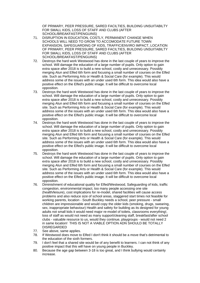OF PRIMARY, PEER PRESSURE, SARED FACILTIES, BUILDING UNSUITABILTY FOR SMALL KIDS, LOSS OF STAFF AND CLUBS (AFTER SCHOOL/BREAKFAST/PENGUINS)

- 71. DISRUPTION IN EDUCATION, COSTLY, PERMANENT CHANGE WHEN SCHOOLS WILL NEED TO GROW TO ACCOMODATE FUTURE TOWN EXPANSION, SAFEGUARDING OF KIDS, TRAFFIC/ENVIRO IMPACT, LOCATION OF PRIMARY, PEER PRESSURE, SARED FACILTIES, BUILDING UNSUITABILTY FOR SMALL KIDS, LOSS OF STAFF AND CLUBS (AFTER SCHOOL/BREAKFAST/PENGUINS)
- 72. Destroys the hard work Westwood has done in the last couple of years to improve the school. Will damage the education of a large number of pupils. Only option to gain extra space after 2018 is to build a new school, costly and unnecessary. Possibly merging Alun and Elfed 6th form and focusing a small number of courses on the Elfed site. Such as Performing Arts or Health & Social Care (for example). This would address some of the issues with an under used 6th form. This idea would also have a positive effect on the Elfed's public image. It will be difficult to overcome local opposition.
- 73. Destroys the hard work Westwood has done in the last couple of years to improve the school. Will damage the education of a large number of pupils. Only option to gain extra space after 2018 is to build a new school, costly and unnecessary. Possibly merging Alun and Elfed 6th form and focusing a small number of courses on the Elfed site. Such as Performing Arts or Health & Social Care (for example). This would address some of the issues with an under used 6th form. This idea would also have a positive effect on the Elfed's public image. It will be difficult to overcome local opposition.
- 74. Destroys the hard work Westwood has done in the last couple of years to improve the school. Will damage the education of a large number of pupils. Only option to gain extra space after 2018 is to build a new school, costly and unnecessary. Possibly merging Alun and Elfed 6th form and focusing a small number of courses on the Elfed site. Such as Performing Arts or Health & Social Care (for example). This would address some of the issues with an under used 6th form. This idea would also have a positive effect on the Elfed's public image. It will be difficult to overcome local opposition.
- 75. Destroys the hard work Westwood has done in the last couple of years to improve the school. Will damage the education of a large number of pupils. Only option to gain extra space after 2018 is to build a new school, costly and unnecessary. Possibly merging Alun and Elfed 6th form and focusing a small number of courses on the Elfed site. Such as Performing Arts or Health & Social Care (for example). This would address some of the issues with an under used 6th form. This idea would also have a positive effect on the Elfed's public image. It will be difficult to overcome local opposition.
- 76. Diminishment of educational quality for Elfed/Westwood, Safeguarding of kids, traffic congestion, environmental impact, too many people accessing one site (health/leisure), cost implications for re-model, shared facilities will cause access problems and also reduce size of school areas, staggered start times not feasible for working parents, location - South Buckley needs a school, peer pressure - small children are impressionable and would copy the older kids (smoking, drugs, swearing, sex, inappropriate behaviour) Health and safety for building as its designed for young adults not small kids it would need major re-model of toilets, classrooms everything!, loss of staff as would not need as many support/cleaning staff, breakfast/after school clubs - valuable resource to us, would they continue, playgroups - would not need 2 in same location! THIS IS NOT A VIABLE OPTION ADN SHOULD BE TOTALLY DISREGARDED
- 77. See above, same applies.
- 78. If Westwood does move to Elfed I don't think it should be a move that's detrimental to the education of the sixth formers.
- 79. I don't feel that a shared site would be of any benefit to learners. I can not think of any positive impact that this will have on young people in Buckley.
- 80. Because the age gap between 3-18 is too great, and I think bullying would certainly increase.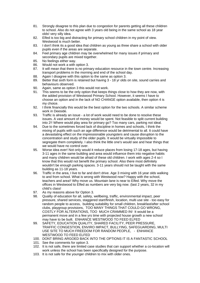- 81. Strongly disagree to this plan due to congestion for parents getting all these children to school. Also do not agree with 3 years old being in the same school as 18 year olds! very silly idea.
- 82. Elfed is too big and distracting for primary school children in my point of view. Westwood is much better.
- 83. I don't think its a good idea that children as young as three share a school with older pupils even if the areas are separate.
- 84. Feel primary age children may be overwhelmed for many issues if primary and secondary pupils are mixed together.
- 85. No feelings either way.
- 86. Would not work a with option 3.
- 87. It will mean that there is no primary education resource in the town centre. Increasing transport problems in the morning and end of the school day.
- 88. Again I disagree with this option to the same as option 3.
- 89. Better that sixth form is retained but having 3 18 yr olds on site, sound carries and behaviours observed.
- 90. Again, same as option 3 this would not work.
- 91. This seems to be the only option that keeps things close to how they are now, with the added provision of Westwood Primary School. However, it seems I have to choose an option and in the lack of NO CHANGE option available, then option 4 is my choice.
- 92. I think financially this would be the best option for the two schools. A similar scheme work in Deeside.
- 93. Traffic is already an issue a lot of work would need to be done to resolve these issues. A vast amount of money would be spent. Not feasible to split current building into 2!! Where would play area for primary go? Too many cars, parking not ideal.
- 94. Due to the sometimes forced lack of discipline in homes and schools, I think the mixing of pupils with such an age difference would be detrimental to all. It could have a devastating effect on the impressionable youngsters and cause disruption to the concentration and study of the older pupils. It would be virtually impossible to segregate them completely. I also think the little one's would see and hear things that we would have no control over.
- 95. Worse idea ever! Not only would it reduce places from losing 17-18 ages, but having 3-11 ages in the same building and area would influence them into negative habits and many children would be afraid of these old children. I work with ages 2-4 so I know that this would not benefit the primary school. Also there most definitely wouldn't be enough parking spaces. 3-11 years should not be taught with the same building as 11-18 years.
- 96. Traffic in the area, I live to far and don't drive. Age 3 mixing with 16 year olds walking to and from school. What is wrong with Westwood now? Happy with the school, teachers and area!! Why move us. Mountain lane is near to Elfed. Why move the offices in Westwood to Elfed as numbers are very big now. (last 2 years, 32 in my child's class!
- 97. As my reasons above for Option 3.
- 98. Quality of education for all, safety, wellbeing, traffic, environmental impact, peer pressure, shared services, staggered start/finish, location, multi use site - too easy for random people to access, building suitability for small children, breakfast/after school clubs, playgroup provisions, TOO MANY THINGS THAT COULD GO WRONG, COSTLY FOR ALTERATIONS, TOO MUCH CRAMMED IN! It would be a permanent move and in a few yrs time with projected house growth a new school may have to be built. ENHANCE WESTWOOD TO FEED ELFED
- 99. SAFETY, EDUCATION QUALITY, SHARED FACILITY, PEER PRESSURE, TRAFFIC CONGESTION, ENVIRO IMPACT, BULLYING, SAFEGUARDING, MULTI USE SITE TO MUCH FREEDOM FOR RANDOM PEOPLE, - ENHANCE WESTWOOD TO FEED ELFED
- 100. DONT BRING ARGOED BACK INTO THE OPTIONS IT IS A FANTASTIC SCHOOL
- 101. See the comments for option 3.
- 102. It is not safe, there are limited case studies that can support whether a co-location will work unless the school has been specifically designed for the purpose.
- 103. It is not safe for the younger children to mix with older ones.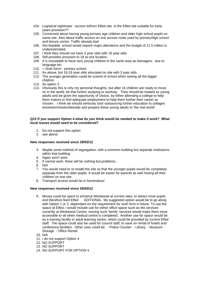- 104. Logistical nightmare access to/from Elfed site. Is the Elfed site suitable for early years provision??
- 105. Concerned about having young primary age children and older high school pupils on same site. Also about traffic access on one access route used by primary/high school and leisure centre. Traffic already bad
- 106. Not feasible, school would require major alterations and the budget of 11.5 million is underestimated.
- 107. I think they should not have 3 year olds with 16 year olds
- 108. Still provides provision to 18 at one location.
- 109. It is unsuitable to have very young children in the same area as teenagers due to language etc.
- 110. + Sixth form! primary school.
- 111. As above, but 18-19 year olds educated on site with 3 year olds.
- 112. The younger generation could be scared of school when seeing all the bigger children.
- 113. As option 3
- 114. Obviously this is only my personal thoughts, but after 16 children are ready to move on in the world, be that further studying or working. They should be treated as young adults and be given the opportunity of choice, by either attending a college to help them mature or find adequate employment to help them further their career as chosen. I think we should seriously start outsourcing further education to collages wrexham/chester/deeside and prepare these young adults to 'the real world'.

#### **Q12 If you support Option 4 what do you think would be needed to make it work? What local issues would need to be considered?**

- 1. Do not support this option
- 2. see above

#### **New responses received since 29/02/12**

- 3. Maybe some method of segregation, with a common building but separate institutions within that building.
- 4. Again won't work
- 5. It cannot work. there will be nothing but problems..
- 6. N/A
- 7. You would need to re-model the site so that the younger pupils would be completely separate from the older pupils. It would be easier for parents as well having all their children on one site.
- 8. Transport access would be is horrendous!

#### **New responses received since 26/03/12**

- 9. Money could be spent to enhance Westwood at current sites, to attract more pupils and therefore feed Elfed. ADITIONAL My suggested option would be to go along with Option 1 or 2, dependant on the requirement for sixth form in future. To use the space at Elfed, I would include use for either office space such as the services currently at Westwood Centre, moving such 'family' services would make them more accessible to all when medical centre is completed. Another use for space would be as a training facility or adult learning centre, which could be provided by current Elfed staff. The space could also be used for council staff, to save on rental of hotels and conference facilities. Other uses could be: - Police Counter - Library - Museum - Storage - Office Rental
- 10. N/A
- 11. I do not support Option 4
- 12. NO SUPPORT
- 13. NO SUPPORT
- 14. NO SUPPORT FOR OPTION 4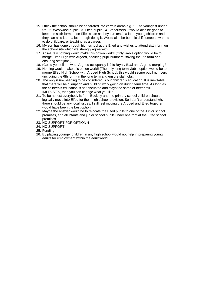- 15. I think the school should be separated into certain areas e.g. 1. The youngest under 5's. 2. Westwood pupils. 3. Elfed pupils. 4. 6th formers. It would also be good to keep the sixth formers on Elfed's site as they can teach a lot to young children and they can also learn a lot through doing it. Would also be beneficial if someone wanted to do childcare, or teaching as a career.
- 16. My son has gone through high school at the Elfed and wishes to attend sixth form on the school site which we strongly agree with.
- 17. Absolutely nothing would make this option work!! (Only viable option would be to merge Elfed High with Argoed, securing pupil numbers, saving the 6th form and ensuring staff jobs.)
- 18. (Could you tell me what Argoed occupancy is? Is Bryn y Baal and Argoed merging?
- 19. Nothing would make this option work!! (The only long term viable option would be to merge Elfed High School with Argoed High School, this would secure pupil numbers (including the 6th form) in the long term and ensure staff jobs.
- 20. The only issue needing to be considered is our children's education. It is inevitable that there will be disruption and building work going on during term time. As long as the children's education is not disrupted and stays the same or better still IMPROVES, then you can change what you like.
- 21. To be honest everybody is from Buckley and the primary school children should logically move into Elfed for their high school provision. So I don't understand why there should be any local issues. I still feel moving the Argoed and Elfed together would have been the best option.
- 22. Maybe the answer would be to relocate the Elfed pupils to one of the Junior school premises, and all infants and junior school pupils under one roof at the Elfed school premises.
- 23. NO SUPPORT FOR OPTION 4
- 24. NO SUPPORT
- 25. Funding.
- 26. By placing younger children in any high school would not help in preparing young adults for employment within the adult world.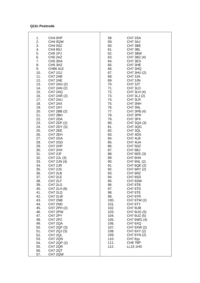### **Q12c Postcode**

| 1.  | CH4 0HP                         | 58.  | CH7 2SA         |
|-----|---------------------------------|------|-----------------|
| 2.  | CH4 0QW                         | 59.  | CH7 3AJ         |
|     |                                 |      |                 |
| 3.  | CH4 0SZ                         | 60.  | CH7 3BE         |
| 4.  | CH4 8SJ                         | 61.  | CH7 3BL         |
|     |                                 |      |                 |
| 5.  | CH <sub>5</sub> 1PJ             | 62.  | CH7 3BW         |
| 6.  | CH <sub>5</sub> 2AZ             | 63.  | CH7 3BZ (4)     |
|     |                                 |      |                 |
| 7.  | CH <sub>5</sub> 3DA             | 64.  | CH7 3ES         |
| 8.  | CH <sub>5</sub> 3H <sub>Z</sub> | 65.  | CH7 3HE         |
| 9.  | <b>CH66 4LE</b>                 | 66.  | CH7 3HQ         |
|     |                                 |      |                 |
| 10. | CH7 1GJ                         | 67.  | CH7 3HU (2)     |
| 11. | CH7 2AB                         | 68.  | CH7 3JA         |
|     |                                 |      |                 |
| 12. | CH7 2AE                         | 69.  | CH7 3JN         |
| 13. | CH7 2AG (2)                     | 70.  | CH7 3JT         |
|     |                                 |      |                 |
| 14. | CH7 2AN (2)                     | 71.  | CH7 3LD         |
| 15. | CH7 2AQ                         | 72.  | CH7 3LH (4)     |
| 16. | CH7 2AR (2)                     | 73.  | CH7 3LJ (2)     |
|     |                                 |      |                 |
| 17. | CH7 2AU                         | 74.  | CH7 3LR         |
| 18. | CH7 2AX                         | 75.  | CH7 3NH         |
|     |                                 |      |                 |
| 19. | CH7 2AY                         | 76.  | CH7 3NL         |
| 20. | CH7 2BB (2)                     | 77.  | CH7 3PB (4)     |
| 21. | CH7 2BH                         | 78.  | CH7 3PR         |
|     |                                 |      |                 |
| 22. | CH7 2DA                         | 79.  | CH7 3PX         |
| 23. | CH7 2DF (2)                     | 80.  | CH7 3QA (3)     |
|     |                                 |      |                 |
| 24. | CH7 2DY (3)                     | 81.  | CH7 3QG         |
| 25. | CH7 2EE                         | 82.  | CH7 3QL         |
| 26. | CH7 2EH                         | 83.  | CH7 4DS         |
|     |                                 |      |                 |
| 27. | CH7 2GA                         | 84.  | CH7 4LB         |
| 28. | CH7 2GD                         | 85.  | CH7 4UA         |
|     |                                 |      |                 |
| 29. | CH7 2HP                         | 86.  | CH7 5DZ         |
| 30. | CH7 2HX                         | 87.  | CH7 6BJ         |
| 31. | CH7 2JF                         | 88.  |                 |
|     |                                 |      | CH7 6EE (3)     |
| 32. | CH7 2JL (3)                     | 89.  | CH7 6HA         |
| 33. | CH7 2JN (4)                     | 90.  | CH7 6NL (2)     |
|     |                                 |      |                 |
| 34. | CH7 2JR                         | 91.  | CH7 6QE (2)     |
| 35. | CH7 2JS                         | 92.  | CH7 6RY (2)     |
| 36. | CH7 2LB                         | 93.  | CH7 6RZ         |
|     |                                 |      |                 |
| 37. | CH7 2LE                         | 94.  | CH7 6SD         |
| 38. | CH7 2LF                         | 95.  | CH7 6SW         |
|     |                                 |      |                 |
| 39. | CH7 2LG                         | 96.  | CH7 6TB         |
| 40. | CH7 2LH (8)                     | 97.  | CH7 6TD         |
| 41. | CH7 2LQ                         | 98.  | CH7 6TE         |
|     |                                 |      |                 |
| 42. | CH7 2LW                         | 99.  | CH7 6TR         |
| 43. | CH7 2NB                         | 100. | CH7 6TW (2)     |
| 44. | CH7 2ND                         | 101. | CH7 6TY         |
|     |                                 |      |                 |
| 45. | CH7 2PH (2)                     | 102. | CH7 6UB         |
| 46. | CH7 2PW                         | 103. | CH7 6UG (5)     |
| 47. |                                 |      |                 |
|     | CH7 2PY                         | 104. | CH7 6UZ (5)     |
| 48. | CH7 2PZ                         | 105. | CH7 6WG (4)     |
| 49. | CH7 2QA                         | 106. | CH7 6XQ         |
|     |                                 |      |                 |
| 50. | CH7 2QF (3)                     | 107. | CH7 6XW (2)     |
| 51. | CH7 2QJ (3)                     | 108. | CH7 6XY (2)     |
|     |                                 |      |                 |
| 52. | CH7 2QL                         | 109. | CH7 6YN (2)     |
| 53. | CH7 2QN                         | 110. | CH7 6yy         |
| 54. | CH7 2QP (2)                     | 111. | CH8 7BP         |
|     |                                 |      |                 |
| 55. | CH7 2QR                         | 112. | <b>LL15 1HD</b> |
| 56. | CH7 2QT                         |      |                 |
|     |                                 |      |                 |
| 57. | CH7 2QW                         |      |                 |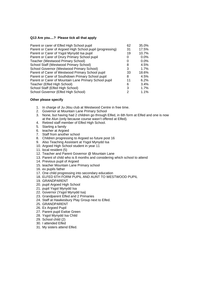#### **Q13 Are you....? Please tick all that apply**

| Parent or carer of Elfed High School pupil                | 62 | 35.0%   |
|-----------------------------------------------------------|----|---------|
| Parent or Carer of Argoed High School pupil (progressing) | 31 | 17.5%   |
| Parent or Carer of Ysgol Mynydd Isa pupil                 | 19 | 10.7%   |
| Parent or Carer of Drury Primary School pupil             | 0  | $0.0\%$ |
| Teacher (Westwood Primary School)                         | O  | $0.0\%$ |
| School Staff (Westwood Primary School)                    | 8  | 4.5%    |
| School Governor (Westwood Primary School)                 | 3  | 1.7%    |
| Parent of Carer of Westwood Primary School pupil          | 33 | 18.6%   |
| Parent or Carer of Southdown Primary School pupil         | 8  | 4.5%    |
| Parent or Carer of Mountain Lane Primary School pupil     | 11 | 6.2%    |
| Teacher (Elfed High School)                               | 6  | 3.4%    |
| School Staff (Elfed High School)                          | 3  | 1.7%    |
| School Governor (Elfed High School)                       |    | $1.1\%$ |

#### **Other please specify**

- 1. In charge of Ju-Jitsu club at Westwood Centre in free time.
- 2. Governor at Mountain Lane Primary School
- 3. None, but having had 2 children go through Elfed, in 6th form at Elfed and one is now at the Alun (only because course wasn't offered at Elfed).
- 4. Retired staff member of Elfed High School.
- 5. Starting a family
- 6. teacher at Argoed
- 7. Staff from another school
- 8. Children progressing to Argoed so future post 16
- 9. Also Teaching Assistant at Ysgol Mynydd Isa
- 10. Argoed High School student in year 11
- 11. local resident (5)
- 12. Teacher and Parent Governor @ Mountain Lane
- 13. Parent of child who is 8 months and considering which school to attend
- 14. Previous pupil of Argoed
- 15. teacher Mountain Lane Primary school
- 16. ex pupils father
- 17. One child progressing into secondary education
- 18. ELFED 6TH FORM PUPIL AND AUNT TO WESTWOOD PUPIL
- 19. GRANDPARENT
- 20. pupil Argoed High School
- 21. pupil Ysgol Mynydd Isa
- 22. Governor (Ysgol Mynydd Isa)
- 23. Grandparent Elfed and 2 Primaries
- 24. Staff at Hawkesbury Play Group next to Elfed.
- 25. GRANDPARENT
- 26. Ex Argoed Pupil
- 27. Parent pupil Ewloe Green
- 28. Ysgol Mynydd Isa Child
- 29. School child (2)
- 30. I attended Elfed
- 31. My sisters attend Elfed.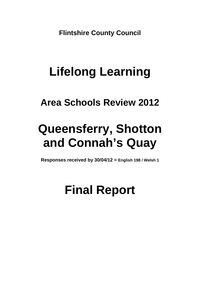**Flintshire County Council** 

# **Lifelong Learning**

# **Area Schools Review 2012**

# **Queensferry, Shotton and Connah's Quay**

**Responses received by 30/04/12 = English 198 / Welsh 1**

# **Final Report**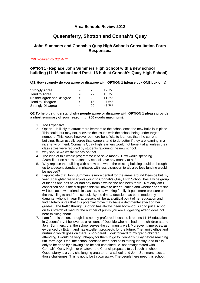## **Area Schools Review 2012**

# **Queensferry, Shotton and Connah's Quay**

## **John Summers and Connah's Quay High Schools Consultation Form Responses.**

#### *198 received by 30/04/12*

## **OPTION 1 - Replace John Summers High School with a new school building (11-16 school and Post- 16 hub at Connah's Quay High School)**

**Q1 How strongly do you agree or disagree with OPTION 1 (please tick ONE box only)** 

| <b>Strongly Agree</b>      | $=$ | 25 | 12.7% |
|----------------------------|-----|----|-------|
| Tend to Agree              | $=$ | 27 | 13.7% |
| Neither Agree nor Disagree | $=$ | 22 | 11.2% |
| Tend to Disagree           | $=$ | 15 | 7.6%  |
| <b>Strongly Disagree</b>   | $=$ | 90 | 45.7% |

#### **Q2 To help us understand why people agree or disagree with OPTION 1 please provide a short summary of your reasoning (250 words maximum).**

- 1. Too Expensive
- 2. Option 1 is likely to attract more learners to the school once the new build is in place. This could, but may not, alleviate the issues with the school being under target numbers. This would however be more beneficial to learners than the current building, Estyn usually agree that learners tend to do better if they are learning in a nicer environment. Connah's Quay High learners would not benefit at all unless their class sizes were reduced by students favouring the new school.
- 3. why should we waste money on that
- 4. The idea of this whole programme is to save money. How would spending £20million+ on a new secondary school save any money at all?
- 5. Why replace the building with a new one when the existing building could be brought up to a decent standard in phases with less disruption to all, also less funding would be needed?
- 6. I appreciate that John Summers is more central for the areas around Deeside but my year 8 daughter really enjoys going to Connah's Quay High School, has a wide group of friends and has never had any trouble whilst she has been there. Not only am I concerned about the disruption this will have to her education and whether or not she will be placed with friends in classes, as a working family, it puts more pressure on the travelling to and from school. By the time a decision has been made, my daughter who is in year 8 at present will be at a critical point of her education and I find it totally unfair that this potential move may have a detrimental effect on her grades. The traffic through Shotton has always been horrendous so to put a school on this stretch of road for the number of pupils you are suggesting attend does not bear thinking about.
- 7. I am for this option, though it is not my preferred, because it retains 11-16 education in Queensferry. I believe, as a resident of Deeside who has had three children attend John Summers, that the school serves the community well. Moreover it improves, as evidenced by Estyn, and has excellent prospects for the future. The family ethos and nurturing which goes on there is non-pareil. I look forward to my grand-children attending. I would be very unhappy for them to go to Connah's Quay before reaching 6th. form age. I feel the school needs to keep hold of its strong identity, and this is only to be done by allowing it to be self-contained i.e. not amalgamated with Connah's Quay High - or whatever the Council proposes to call such a school. Queensferry is a very challenging area to run a school, and John Summers rises to those challenges. This is not to be thrown away. The people here need this school.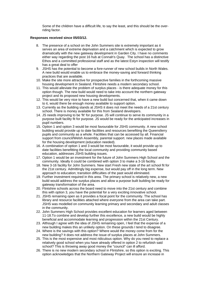Some of the children have a difficult life, to say the least, and this should be the overriding factor.

#### **Responses received since 05/03/12.**

- 8. The presence of a school on the John Summers site is extremely important as it serves an area of extreme deprivation and a catchment which is expected to grow dramatically with the new gateway development in Garden City. I have no comments either way regarding the post 16 hub at Connah's Quay. The school has a distinctive Ethos and a committed professional staff and as the latest Estyn inspection will testify has a great deal to offer
- 9. JSHS has the potential to become a fore-runner of new school builds in North Wales. A new build would enable us to embrace the money-saving and forward thinking practices that are available.
- 10. Make the site more attractive for prospective families in the forthcoming massive housing development in Sealand. Flintshire needs a modern secondary school.
- 11. This would alleviate the problem of surplus places is there adequate money for this option though. The new build would need to take into account the northern gateway project and its proposed new housing developments.
- 12. This would be very nice to have a new build but concerned that, when it came down to it, would there be enough money available to support option.
- 13. Currently as the building stands at JSHS it does not meet the needs of a 21st century school. There is money available for this from Sealand developers.
- 14. JS needs improving to be 'fit' for purpose. JS will continue to serve its community in a purpose built facility fit for purpose. JS would be ready for the anticipated increases in pupil numbers.
- 15. Option 1 and option 3 would be most favourable for JSHS community. A new school building would provide up to date facilities and resources benefiting the Queensferry pupils and community as a whole. Facilities that can be accessed by all. Financial support from council/Welsh Assembly, parental support. new places made available for the housing development (education needed).
- 16. A combination of option 1 and 3 would be most favourable, it would provide up to date facilities benefitting the local community and providing community based education, addresses JSHS building issues.
- 17. Option 1 would be an investment for the future of John Summers High School and the community. Ideally it could be combined with option 3 to make a 3-16 facility.
- 18. New 3-16 facility for John Summers. New start Fresh new state of the art school fit for the 21st century. Admittingly big expense, but would pay off in the long term. New approach to education; transition difficulties of the past would eliminated.
- 19. Further investment required in this area. The primary school is relatively new, a new build would address the surplus places and allow a purpose built building be ready for gateway transformation of the area.
- 20. Flintshire schools across the board need to move into the 21st century and combine this with option 3, you have the potential for a very exciting innovative school.
- 21. JSHS remaining open as it provides a focal point for the community. The school has library and resource facilities attached where everyone from the area can take part. JSHS was modelled on community learning primary and secondary and adult classes in the community.
- 22. John Summers High School provides excellent education for learners aged between 11-18.To combine and develop further this excellence, a new build would be highly beneficial and accommodate learning and progression within the 21st Century.
- 23. Although I agree with the idea of JSHS remaining open, I feel that the expense of a new building makes this an unlikely option. On these grounds I tend to disagree.
- 24. Where is the savings with this option? Where would the money come from for the new building? It does not address the issue of surplus places at John Summers.
- 25. This is the most expensive and most ridiculous option. Why do you need to replace a relatively good school when you have already offered in option 2 to refurbish said school? This is throwing away good money the "council" can ill afford.
- 26. There is no new modern secondary school in Flintshire, so this option is exciting. This option acknowledges that the Northern Gateway Project will ensure an increase in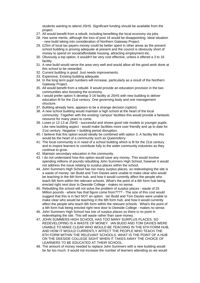students wanting to attend JSHS. Significant funding should be available from the project.

- 27. All would benefit from a rebuilt, including benefiting the local economy via jobs.
- 28. Has some merits, although the loss of post 16 would be disappointing. Ideal situation - new build taking into consideration of Northern Gateway Project.
- 29. £25m of local tax payers money could be better spent in other areas as the present school building is proving adequate at present and the council is obviously short of money to spend on social/affordable housing, attracting employment etc.
- 30. Obviously a top option, it wouldn't be very cost effective, unless it offered a 3 to 16 facility.
- 31. A new build would serve the area very well and would allow all the good work done at this school to be rewarded.
- 32. Current building is good. Just needs improvements.
- 33. Expensive, Existing building adequate.
- 34. In the long term pupil numbers will increase, particularly as a result of the Northern Gateway Project.
- 35. All would benefit from a rebuild. It would provide an education provision in the two communities also boosting the economy.
- 36. I would prefer option 5 develop 3-16 facility at JSHS with new building to deliver education fit for the 21st century. One governing body and one management structure.
- 37. Building already here, appears to be a strange decision (option)
- 38. A new school building would maintain a high school at the heart of the local community. Together with the existing 'campus' facilities this would provide a fantastic resource for many years to come.
- 39. Loses yr 12-13 at JSHS successful and shows good role models to younger pupils. Like new building aspect - would make facilities more user friendly and up to date for 21st century. Negative = building period disruption.
- 40. I believe that this option would ideally be combined with option 3. A facility like this would be the heart of a community such as Queensferry.
- 41. The local community is in need of a school building which is fit for the 21st century and to inspire learners to contribute fully to the wider community industries as they continue to grow.
- 42. Maintain secondary education in the community.
- 43. I do not understand how this option would save any money. This would involve spending millions of pounds rebuilding John Summers High School, however it would not address the issue relating to surplus places within the school.
- 44. John Summers High School has too many surplus places, so redeveloping the site is a waste of money. Ian Budd and Tom Davies were unable to make clear who would be teaching in the 6th form hub, and how it would currently affect the people who teach 6th form within the relevant schools. What's the point of a 6th form hub being erected right next door to Deeside College - makes no sense.
- 45. Rebuilding the school will not solve the problem of surplus places waste of 25 Million pounds - where has that figure come from???? - The size of this cost would suggest that this is in fact NOT an option. Ian Budd and Tom Davies were unable to make clear who would be teaching in the 6th form hub, and how it would currently affect the people who teach 6th form within the relevant schools. What's the point of a 6th form hub being erected right next door to Deeside College - makes no sense.
- 46. John Summers High School has lots of surplus places so there is no point in redeveloping the site. This will waste rather than save money.
- 47. JOHN SUMMERS HIGH SCHOOL HAS TOO MANY SURPLUS PLACES. SO REDEVELOPING IS A WASTE OF MONEY. IAN BUDD AND TOM DAVIES WERE UNABLE TO MAKE CLEAR WHO WOULD BE TEACHING IN THE 6TH FORM HUB, AND HOW IT WOULD CURRENTLY AFFECT THE PEOPLE WHO TEACH THE 6TH FORM WITHIN THE RELEVANT SCHOOLS. WHAT IS THE POINT OF A HUB ON THE DEESIDE COLLEGE SIGHT WHEN IT TAKES AWAY THE CHOICE OF LEARNERS TO BE EDUCATED AT THEIR SCHOOL.
- 48. The amount of money needed to replace John Summers with a new building would be far too much. It would not increase the number of learners attending so we would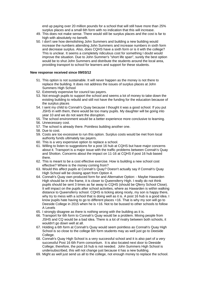end up paying over 20 million pounds for a school that will still have more than 25% surplus places and a small 6th form with no indication that this will increase.

- 49. This does not make sense. There would still be surplus places and the cost is far to high with absolutely no benefit.
- 50. I don't see how demolishing John Summers and building a new building would increase the numbers attending John Summers and increase numbers in sixth form and decrease surplus. Also, does CQHS have a sixth form or is it with the college? This is unclear. It seems a completely ridiculous cost for something I doubt would improve the situation. Due to John Summer's "short life span", surely the best option would be to shut John Summers and distribute the students around the local area, providing transport to school for learners and support for these students.

#### **New response received since 09/03/12**

- 51. This option is not sustainable. It will never happen as the money is not there to replace the building. It does not address the issues of surplus places at John Summers High School
- 52. Extremely expensive for council tax payers.
- 53. Not enough pupils to support the school and seems a lot of money to take down the existing building to rebuild and still not have the funding for the education because of the surplus places
- 54. I sent my child to Connah's Quay because I thought it was a good school. If you put JSHS in with them, there would be too many pupils. My daughter will be going into year 10 and we do not want the disruption.
- 55. The school environment would be a better experience more conclusive to learning.
- 56. Unnecessary cost.
- 57. The school is already there. Pointless building another one.
- 58. Due to cost.
- 59. Costs are too excessive to run this option. Surplus costs would be met from local authority funds ultimately tax payers.
- 60. This is a very expensive option to replace a school.
- 61. Willing to listen to suggestions for a post 16 hub at CQHS but have major concerns about it. Transport is a major issue with the traffic problems between Connah's Quay and Shotton. Concerns about the impact on 11-16 at CQHS if post 16 hub based there.
- 62. This is meant to be a cost effective exercise. How is building a new school cost effective? Where is the money coming from?
- 63. Would this affect pupils at Connah's Quay? Doesn't actually say if Connah's Quay High School will be closing apart from Option 4.
- 64. Connah's Quay own produced form for and Alternative Option: Maybe Hawarden High should be in the frame, it is closer to Queensferry High. I really do not think pupils should be sent 3 times as far away to CQHS (should be Qferry School Close). It will impact on the pupils after school activities, where as Hawarden is within walking distance to Queensferry school. CQHS is ticking along nicely, my son is happy there, why try to mess with a school that is doing well as it is. A post 16 hub is a good idea. I know pupils hate having to go to different places +16. That is why my son will go to Deeside College in 2015 when he is +16. Not to be bussed to other schools to follow A Levels
- 65. I strongly disagree as there is nothing wrong with the building as it is.
- 66. Transport for 6th form to Connah's Quay would be a problem. Mixing people from JSHS and CQ would be a bad idea. There is a lot of rivalry between both schools, it wouldn't go down well at all.
- 67. Holding a 6th form at Connah's Quay would seem pointless as Connah's Quay High School is so close to the college 6th form students may as well just go to Deeside College.
- 68. Connah's Quay High School is a very successful school and it is also part of a very successful Post 16 6th Form consortium. It is also located next door to Deeside College; therefore, the post 16 hub is not needed. John Summers High School is undersubscribed, this will not change just because it has a new building.
- 69. Might as well just send us all to the college, not enough money to replace the school.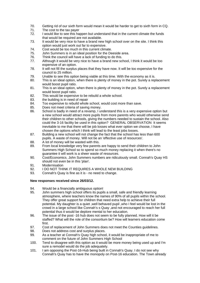- 70. Getting rid of our sixth form would mean it would be harder to get to sixth form in CQ.
- 71. The cost to the tax payer
- 72. I would like to see this happen but understand that in the current climate the funds that would be required are not available.
- 73. It would be very nice to have a brand new high school over on the site. I think this option would just work out far to expensive.
- 74. Cost would be too much in this current climate.
- 75. John Summers is in an ideal position for the Deeside area.
- 76. Think the council will have a lack of funding to do this.
- 77. Although it would be very nice to have a brand new school, I think it would be too expensive of an option.
- 78. It will not fill the surplus places that they have now. It will be too expensive for the council to 25 million.
- 79. Unable to see this option being viable at this time. With the economy as it is.
- 80. This is an ideal option, when there is plenty of money in the pot. Surely a replacement would boost pupil ratio.
- 81. This is an ideal option, when there is plenty of money in the pot. Surely a replacement would boost pupil ratio.
- 82. This would be expensive to be rebuild a whole school.
- 83. the building is in need of repair
- 84. Too expensive to rebuild whole school, would cost more than save.
- 85. Does not meet criteria of saving money.
- 86. School is badly in need of a revamp, I understand this is a very expensive option but a new school would attract more pupils from more parents who would otherwise send their children to other schools, giving the numbers needed to sustain the school. Also could the 3-16 facility be used in this option? GENERAL OBSERVATION It seems inevitable to me that there will be job losses what ever option we choose, I have chosen the options which I think will lead to the least jobs losses.
- 87. Building a new school will not change the fact that the school has less than 600 pupils. A waste of money. Will not be an 'effective use of resources'.
- 88. A lot of money will be wasted with this.
- 89. From local knowledge very few parents are happy to send their children to John Summers High School so to spend so much money replacing it when there's no guarantee it will work is a sheer waste of resources.
- 90. Cost/Economics. John Summers numbers are ridiculously small. Connah's Quay HS should not even be in this 'plan'.
- 91. Modernisation
- 92. I DO NOT THINK IT REQUIRES A WHOLE NEW BUILDING
- 93. Connah's Quay is fine as it is no need to change.

#### **New responses received since 26/03/12.**

- 94. Would be a financially ambiguous option!
- 95. John summers high school offers its pupils a small, safe and friendly learning atmosphere, where teachers know the names of 90% of all pupils within the school. They offer great support for children that need extra help to achieve their full potential. My daughter is a quiet ,well behaved pupil ,who I feel would be lost in the crowd in a large school like Connah's s Quay ,and not encouraged to reach her ful l potential thus it would be deplore mental to her education.
- 96. The issue of the post -16 hub does not seem to be fully planned. How will it be staffed? What will the role of the consortium be? How will learners education come first.
- 97. Cost of replacement of John Summers does not meet the Counties guidelines.
- 98. Does not address cost and surplus places.
- 99. As a teacher at Connah's Quay high school, it would be inappropriate of me to comment on the future of John Summers High School
- 100. Tend to disagree with this option as it would be more money being used up and I'm sure a remodel would do the job adequately.
- 101. I am opposing the Post-16-Hub being built in Connah's Quay. I do not see why Connah's Quay has to have the monopoly on Post-16 education. The Town already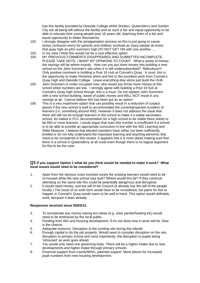has this facility provided by Deeside College whilst Shotton, Queensferry and Garden City are all being left without the facility and as such a fair and equal opportunity to be able to educate their young people past 16 years old, depriving them of a fair and equal opportunity to better themselves.

- 102. I strongly disagree with the amalgamation process as this is just going to cause stress confusion worry for parents and children involved as many people do know that quay high an john summers high DO NOT GET ON with one another ....
- 103. In my view I think this would not be a cost effective option.<br>104. MY PREVIOUS COMMENTS DISAPPEARED AND SUBM
- MY PREVIOUS COMMENTS DISAPPEARED AND SUBMITTED INCOMPLETE, PLEASE TAKE NOTE, I WANT MY OPINIONS TO COUNT. What a waste of money, the savings will be where exactly. How can you put more money into building a new school on the John Summer's site when it is still undersubscribed? Ridiculous!!!! Only positive comment is building a Post 16 Hub at Connah's Quay. A must, this is the opportunity to make Flintshire shine and link to the excellent work from Connah's Quay High and Deeside College. Leave everything else alone just build the HUB.
- 105. John Summers is under occupied now, why would you throw more money at this school when numbers are low. I strongly agree with building a Post 16 hub at Connah's Quay high school though, this is a must. Do not replace John Summers with a new school building, waste of public money and WILL NOT result in any savings at all. Cannot believe this has been put as an option.
- 106. This is a very expensive option that can possibly result in a reduction of surplus places if the new school is built to accommodate the current/projected numbers of learners (i.e. something around 400). However it does not address the issue that there will still not be enough learners in the school to make it a viable secondary school. As stated in FCC documentation for a high school to be viable there needs to be 600 or more learners. I would argue that even this number is insufficient if a school is to be able to provide an appropriate curriculum in line with the WG Learning and Skills Measure. I believe that elected members have either not been sufficiently briefed or do not fully understand the important learning and teaching elements that need to be considered in this review. It appears that it is more about making sure that there is a school in Queensferry at all costs even though there is no logical a rgument for this to be the case

#### **Q3 If you support Option 1 what do you think would be needed to make it work? What local issues would need to be considered?**

- 1. Apart from the obvious costs involved surely the existing learners would need to be re-housed while the new school was built? Where would this be? If they continue attending on the same site this could be potentially dangerous and disruptive**.**
- 2. It would need money, and the will of the Council (it already has the will of the people locally.) The issue of no sixth form would have to be considered, but plans for this to happen in Connah's Quay would seem to be well in hand. This option would definitely work, because it does already.

#### **Responses received since 05/03/12.**

- 3. To incorporate any money saving eco ideas (e.g. solar panels/heating etc) would need to be embraced by the local public.
- 4. Funding from WG and housing development. If it's not done now it never will be. Now is the chance.
- 5. Adequate resource. Disruption to the existing site during the rebuild.
- 6. Enough capital to do the job properly. Would need to consider disruption on the site, disruption to primary school and most importantly, the disruption to pupils being 'rehoused' as work goes ahead.
- 7. You would only need one governing body. There will be a higher intake due to new developments and higher intake through primary schools.
- 8. Financial support from county/WAG, parental support. More places for increased pupil numbers from new housing development.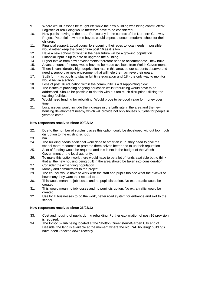- 9. Where would lessons be taught etc while the new building was being constructed? Logistics of rebuilding would therefore have to be considered.
- 10. New pupils moving to the area. Particularly in the context of the Northern Gateway Project. Potential new home buyers would expect a decent modern school for their children.
- 11. Financial support. Local councillors opening their eyes to local needs. If possible I would rather keep the consortium post 16 as it is too.
- 12. Have a new school for what in the near future will be a growing population.
- 13. Financial input is up to date or upgrade the building.<br>14. Higher intake from new developments therefore need
- Higher intake from new developments therefore need to accommodate new build.
- 15. A vast amount of money would have to be made available from Welsh Government.
- 16. There is considerably high deprivation rate in this area, so our students deserve and need a supportive new environment that will help them achieve their goals.
- 17. Sixth form as pupils to stay in full time education until 18 the only way to monitor would be via a school.
- 18. Loss of post 16 education within the community is a disappointing blow.
- 19. The issues of providing ongoing education whilst rebuilding would have to be addressed. Should be possible to do this with out too much disruption utilising the existing facilities.
- 20. Would need funding for rebuilding. Would prove to be good value for money over time.
- 21. Local issues would include the increase in the birth rate in the area and the new housing development nearby which will provide not only houses but jobs for people in years to come.

#### **New responses received since 09/03/12**

- 22. Due to the number of surplus places this option could be developed without too much disruption to the existing school.
- 23. n/a
- 24. The building needs additional work done to smarten it up, they need to give the school more resources to promote them selves better and to up their reputation.
- 25. A lot of funding would be required and this is not in the budget of the Welsh Government or the local authority.
- 26. To make this option work there would have to be a lot of funds available but to think that all the new housing being built in the area should be taken into consideration.
- 27. Consider the expanding population.
- 28. Money and commitment to the project
- 29. The council would have to work with the staff and pupils too see what their views of how many they want their school to be.
- 30. This would mean no job losses and no pupil disruption. No extra traffic would be created.
- 31. This would mean no job losses and no pupil disruption. No extra traffic would be created.
- 32. Use local businesses to do the work, better road system for entrance and exit to the school.

#### **New responses received since 26/03/12**

- 33. Cost and housing of pupils during rebuilding. Further explanation of post-16 provision is required.
- 34. The Post-16-Hub being located at the Shotton/Queensferry/Garden City end of Deeside, the land is available at the moment where the old RAF housing/ buildings have been knocked down recently.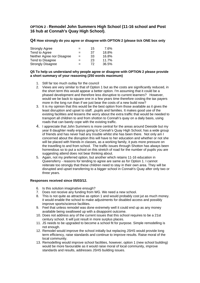# **OPTION 2 - Remodel John Summers High School (11-16 school and Post 16 hub at Connah's Quay High School).**

**Q4 How strongly do you agree or disagree with OPTION 2 (please tick ONE box only** 

| <b>Strongly Agree</b>      | $=$ | 15 | 7.6%  |
|----------------------------|-----|----|-------|
| Tend to Agree              | $=$ | 37 | 18.8% |
| Neither Agree nor Disagree | $=$ | 33 | 16.8% |
| Tend to Disagree           | $=$ | 23 | 11.7% |
| <b>Strongly Disagree</b>   | -   | 72 | 36.5% |

#### **Q5 To help us understand why people agree or disagree with OPTION 2 please provide a short summary of your reasoning (250 words maximum)**

- 1. Still far too much outlay for the council
- 2. Views are very similar to that of Option 1 but as the costs are significantly reduced, in the short term this would appear a better option. I'm assuming that it could be a phased development and therefore less disruptive to current learners? However, would we be back to square one in a few years time therefore costing the tax payers more in the long run than if we just bear the costs of a new build now?
- 3. It is my opinion that this would be the best option from those available as it gives the least disruption and upset to staff. ,pupils and families. It makes good use of the existing facilities and lessens the worry about the extra traffic that would be needed to transport all children to and from shotton to Connah's quay on a daily basis, using roads that can barely cope with the existing traffic.
- 4. I appreciate that John Summers is more central for the areas around Deeside but my year 8 daughter really enjoys going to Connah's Quay High School, has a wide group of friends and has never had any trouble whilst she has been there. Not only am I concerned about the disruption this will have to her education and whether or not she will be placed with friends in classes, as a working family, it puts more pressure on the travelling to and from school. The traffic issues through Shotton has always been horrendous so to put a school on this stretch of road for the number of pupils you are suggesting attend does not bear thinking about.
- 5. Again, not my preferred option, but another which retains 11-16 education in Queensferry - reasons for tending to agree are same as for Option 1. I cannot reiterate too strongly that these children need to stay in their own area. They will be disrupted and upset transferring to a bigger school in Connah's Quay after only two or three years.

#### **Responses received since 05/03/12.**

- 6. Is this solution imaginative enough?
- 7. Does not receive any funding from WG. We need a new school.
- 8. This is not quite as attractive as option 1 and would probably cost jut as much money. it would enable the school to make adjustments for disabled access and possibly improve sports/science facilities.
- 9. Feel that unless remodel was done extremely well it could end up as any money available being swallowed up with a disappoint outcome.
- 10. Does not address any of the current issues that this school requires to be a 21st century school. It will just result in more surplus places.
- 11. JS needs to be upgraded to become a school fit for purpose. Simple remodelling is not enough.
- 12. Remodel would improve the school initially but replacing JSHS would provide long term efficiency, raise standards and continue to improve results. Raise moral of the local community.
- 13. Remodelling would improve school facilities, however, option 1 (new school building) would be more favourable as it would raise moral of local community, improve standards and results, addresses JSHS building issues.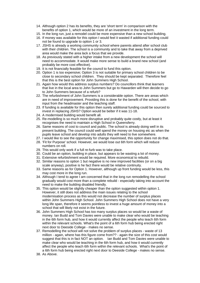- 14. Although option 2 has its benefits, they are 'short term' in comparison with the benefits of option 1, which would be more of an investment in the long term.
- 15. In the long run, just a remodel could be more expensive than a new school building.
- 16. If money was available for this option I would feel it wasted if additional funding could not be found to upgrade to option 1 or 3.
- 17. JSHS is already a working community school where parents attend after school club with their children. The school is a community and to take that away from a deprived area would make the area lack a focus that we provide.
- 18. As previously stated with a higher intake from a new development the school will need to accommodate. It would make more sense to build a brand new school (and probably be more cost effective).
- 19. It is not financially feasible for the council to fund this option.
- 20. Option 1 is too expensive; Option 3 is not suitable for primary school children to be close to secondary school children. They should be kept separated. Therefore feel that this is the best option for John Summers High School.
- 21. Again how would this address surplus numbers? Do councillors think that learners that live in the local area to John Summers but go to Hawarden will then decide to go to John Summers because of a refurb?
- 22. The refurbishment of John Summers is a considerable option. There are areas which are in need of improvement. Providing this is done for the benefit of the school, with input from the headmaster and the teaching staff.
- 23. If funding is available for this option then surely additional funding could be sourced to invest in replacing JSHS? Option would be better if it was 11-18.
- 24. A modernised building would benefit all.
- 25. Re-modelling is so much more disruptive and probably quite costly, but at least it recognises the need to maintain a High School in Queensferry.
- 26. Same reasons of cost to council and public. The school is already doing well in its present building. The council could well spend the money on housing etc as when the pupils leave school and develop into adults they will need to live somewhere.
- 27. I would like to see the opportunity for change maximised, this option does not do that.
- 28. 'Fit for Purpose' school. However, we would lose out 6th form which will reduce numbers on roll.
- 29. This would only work if a full re-furb was to take place.
- 30. Could be an option, building in place, but appears to be wasting a lot of money.
- 31. Extensive refurbishment would be required. More economical to rebuild.
- 32. Similar reasons to option 1 but negative is no new improved facilities (or on a big scale anyway), positive is he fact there would be relative continuity.
- 33. Same reasons as for Option 1. However, although up front funding would be less, this may cost more in the long run.
- 34. Although I tend to agree I am concerned that in the long run remodelling the school gradually would cost more than a complete rebuild - especially taking into account the need to make the building disabled friendly.
- 35. This option would be slightly cheaper than the option suggested within option 1. However, it still does not address the main issues relating to the school modernisation process as this would not decrease the number of surplus places within John Summers High School. John Summers High School does not have a very long life span, therefore it seems pointless to invest a huge amount of money into a school that will likely not exist in the future.
- 36. John Summers High School has too many surplus places so would be a waste of money. Ian Budd and Tom Davies were unable to make clear who would be teaching in the 6th form hub, and how it would currently affect the people who teach 6th form within the relevant schools. What's the point of a 6th form hub being erected right next door to Deeside College - makes no sense.
- 37. Remodelling the school will not solve the problem of surplus places waste of 13 million - again, where has this figure come from?? - again the size of this cost would suggest that this is in fact NOT an option. Ian Budd and Tom Davies were unable to make clear who would be teaching in the 6th form hub, and how it would currently affect the people who teach 6th form within the relevant schools. What's the point of a 6th form hub being erected right next door to Deeside College - makes no sense.
- 38. As Above.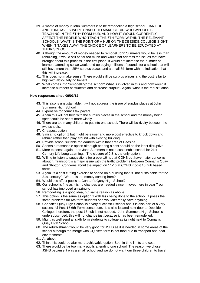- 39. A waste of money if John Summers is to be remodelled a high school. IAN BUD AND TOM DAVIES WERE UNABLE TO MAKE CLEAR WHO WPOULD BE TEACHING IN THE 6THY FORM HUB, AND HOW IT WOULD CURRENTLY AFFECT THE PEOPLE WHO TEACH THE 6TH FORM WITHIN THE RELEVANT SCHOOLS. WHAT IS THE POINT OF A HUB ON THE DEESIDE COLLEGE SIGHT WHEN IT TAKES AWAY THE CHOICE OF LEARNERS TO BE EDUCATED AT THEIR SCHOOL.
- 40. Although the amount of money needed to remodel John Summers would be less than rebuilding, it would still be far too much and would not address the issues that have brought about this process in the first place. It would not increase the number of learners attending so we would end up paying millions of pounds for a school that will still have more than 25% surplus places and a small 6th form with no indication that this will increase.
- 41. This does not make sense. There would still be surplus places and the cost is far to high with absolutely no benefit.
- 42. What comes into 'remodelling' the school? What is involved in this and how would it increase numbers of students and decrease surplus? Again, what is the real situation

#### **New responses since 09/03/12**

- 43. This also is unsustainable. It will not address the issue of surplus places at John Summers High School
- 44. Expensive for council tax payers.
- 45. Again this will not help with the surplus places in the school and the money being spent could be spent more wisely
- 46. There are too many children to put into one school. There will be rivalry between the two schools.
- 47. Cheapest option.
- 48. Similar to option 1 but might be easier and more cost effective to knock down and rebuild rather than play around with existing building.
- 49. Provide school suitable for learners within that area of Deeside.
- 50. Seems a reasonable option although bearing a cost should be the least disruptive.
- 51. More expense again and John Summers is not a sustainable school for 21st Century Life Long Learning. The closure of J.S is the only option.
- 52. Willing to listen to suggestions for a post 16 hub at CQHS but have major concerns about it. Transport is a major issue with the traffic problems between Connah's Quay and Shotton. Concerns about the impact on 11-16 at CQHS if post 16 hub based there.
- 53. Again its a cost cutting exercise to spend on a building that is "not sustainable for the 21st century" Where is the money coming from?
- 54. Would this affect pupils at Connah's Quay High School?
- 55. Our school is fine as it is no changes are needed since I moved here in year 7 our school has improved amazingly.
- 56. Remodelling is a good idea, but same reason as above.
- 57. This option is the same as option 1 with less being done to the school. It poses the same problems for 6th form students and wouldn't really save anything.
- 58. Connah's Quay High School is a very successful school and it is also part of a very successful Post 16 6th Form consortium. It is also located next door to Deeside College; therefore, the post 16 hub is not needed. John Summers High School is undersubscribed, this will not change just because it has been remodelled.
- 59. Might as well send all sixth form students to college as its right next to Connah's Quay High School.
- 60. The refurbishment would be very good for JSHS as it is needed in some areas of the school although the merge with CQ sixth form is not food due to transport and near environments.
- 61. As above
- 62. Think this could be afar more achievable option. Both in time limits and cost.
- 63. There would be far too many pupils attending one school. The reason we chose JSHS because it was a small school and we do not want our three children to travel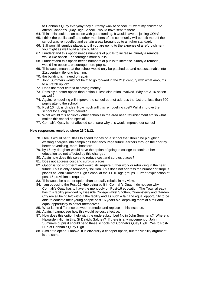to Connah's Quay everyday they currently walk to school. If I want my children to attend Connah's Quay High School, I would have sent to there.

- 64. Think this could be an option with good funding. It would save us joining CQHS.
- 65. I think the pupils, staff and other members of the community will benefit more if the school was remodelled and certain areas brought up to a higher standard.
- 66. Still won't fill surplus places and if you are going to the expense of a refurbishment you might as well build a new building.
- 67. I understand this option needs numbers of pupils to increase. Surely a remodel, would like option 1 encourages more pupils.
- 68. I understand this option needs numbers of pupils to increase. Surely a remodel, would like option 1 encourage more pupils.
- 69. This would mean that the school would only be patched up and not sustainable into 21st century life long learning.
- 70. the building is in need of repair
- 71. John Summers would not be fit to go forward in the 21st century with what amounts to a 'Patch up job'.
- 72. Does not meet criteria of saving money.
- 73. Possibly a better option than option 1, less disruption involved. Why not 3-16 option as well?
- 74. Again, remodelling will improve the school but not address the fact that less than 600 pupils attend the school.
- 75. Post 16 hub is ok idea. How much will this remodelling cost? Will it improve the school for a long term period?
- 76. What would this achieve? other schools in the area need refurbishment etc so what makes this school so special!
- 77. Connah's Quay is not affected so unsure why this would improve our school

#### **New responses received since 26/03/12.**

- 78. I feel it would be fruitless to spend money on a school that should be ploughing existing energies into campaigns that encourage future learners through the door by better advertising, moral boosters.
- 79. by 16 my daughter would have the option of going to college to continue her education ,so not affected by this change .
- 80. Again how does this serve to reduce cost and surplus places?
- 81. Does not address cost and surplus places.
- 82. Option is too short term and would still require further work or rebuilding in the near future. This is only a temporary solution. This does not address the number of surplus places at John Summers High School at the 11-16 age groups. Further explanation of post-16 provision is required.
- 83. This would be a better option than to totally rebuild in my view.
- 84. I am opposing the Post-16-Hub being built in Connah's Quay. I do not see why Connah's Quay has to have the monopoly on Post-16 education. The Town already has this facility provided by Deeside College whilst Shotton, Queensferry and Garden City are all being left without the facility and as such a fair and equal opportunity to be able to educate their young people past 16 years old, depriving them of a fair and equal opportunity to better themselves.
- 85. What is the difference between remodel and replace in this instance.
- 86. Again, I cannot see how this would be cost effective.
- 87. How does this option help with the undersubscribed No in John Summer's? Where is Hawarden High in this, St David's Saltney? If there is any movement of John Summers pupils it should be to these schools not Connah's Quay High. Yes to Post-Hub at Connah's Quay High.
- 88. Similar to option 1 above. It is obviously a cheaper option, but the viability argument is the same.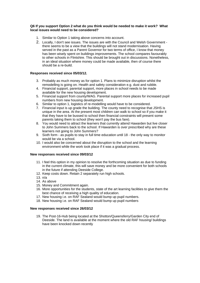#### **Q6 If you support Option 2 what do you think would be needed to make it work? What local issues would need to be considered?**

- 1. Similar to Option 1 taking above concerns into account.
- 2. Locally, I don't see issues. The issues are with the Council and Welsh Government there seems to be a view that the buildings will not stand modernisation. Having served in the past as a Parent Governor for two terms of office, I know that money has been wisely spent on buildings improvements. The school compares favourably to other schools in Flintshire. This should be brought out in discussions. Nonetheless, in an ideal situation where money could be made available, then of course there should be a re-build.

#### **Responses received since 05/03/12.**

- 3. Probably as much money as for option 1. Plans to minimize disruption whilst the remodelling is going on. Health and safety consideration e.g. dust and rubble.
- 4. Financial support, parental support, more places in school needs to be made available for the new housing development.
- 5. Financial support from county/WAG. Parental support more places for increased pupil numbers from new housing development.
- 6. Similar to option 1, logistics of re-modelling would have to be considered.
- 7. Financial input is up grade the building. The county need to recognise that JSHS is unique in the area. At the present most children can walk to school so if you make it that they have to be bussed to school then financial constraints will present some parents taking them to school (they won't pay the bus fare).
- 8. You would need to attract the learners that currently attend Hawarden but live closer to John Summers back to the school. If Hawarden is over prescribed why are these learners not going to John Summers?
- 9. Sixth form as pupils to stay in full time education until 18 the only way to monitor would be via a school.
- 10. I would also be concerned about the disruption to the school and the learning environment while the work took place if it was a gradual process.

#### **New responses received since 09/03/12**

- 11. I feel this option in my opinion to resolve the forthcoming situation as due to funding in the current climate, this will save money and be more convenient for both schools in the future if attending Deeside College.
- 12. Keep costs down. Retain 2 separately run high schools.
- 13. n/a
- 14. As above
- 15. Money and Commitment again.
- 16. More opportunities for the students, state of the art learning facilities to give them the best chance of receiving a high quality of education.
- 17. New housing i.e. on RAF Sealand would bump up pupil numbers.
- 18. New housing i.e. on RAF Sealand would bump up pupil numbers

#### **New responses received since 26/03/12**

19. The Post-16-Hub being located at the Shotton/Queensferry/Garden City end of Deeside. The land is available at the moment where the old RAF housing/ buildings have been knocked down recently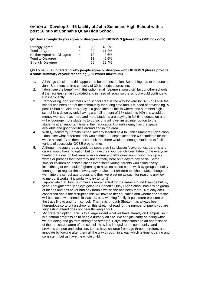# **OPTION 3 – Develop 3 - 16 facility at John Summers High School with a post 16 hub at Connah's Quay High School.**

**Q7 How strongly do you agree or disagree with OPTION 3 (please tick ONE box only)** 

| <b>Strongly Agree</b>      | $=$ | 80 | 40.6% |
|----------------------------|-----|----|-------|
| Tend to Agree              | $=$ | 22 | 11.2% |
| Neither Agree nor Disagree | $=$ | 19 | 9.6%  |
| Tend to Disagree           | $=$ | 13 | 6.6%  |
| <b>Strongly Disagree</b>   | $=$ | 56 | 28.4% |

#### **Q8 To help us understand why people agree or disagree with OPTION 3 please provide a short summary of your reasoning (250 words maximum)**

- 1. All things considered this appears to be the best option. Something has to be done at John Summers as free capacity of 30 % needs addressing.
- 2. I don't see the benefit with this option at all. Learners would still favour other schools if the facilities remain outdated and in need of repair so the school would continue to run inefficiently.
- 3. Remodelling john summers high school I feel is the way forward for 3-16 or 11-16 the school has been part of the community for a long time and is in need of developing. A post 16 hub at Connah's quay is a good idea as this is where john summers high school falls down by only having a small amount of 16+ students (49) this would be money well spent as more and more students are staying in full time education and will encourage more students to do so. this will give limited interruption to the students at an important time in their education Connah's quay has the space available and good facilities around and in the area.
- 4. With Queensferry Primary School already located next to John Summers High School I don't see what difference this would make. Except exceed the 600 students for the whole school. Even then I don't think that there would be enough students to fulfil a variety of successful GCSE programmes.
- 5. Although the age groups would be separated into classes/playgrounds, parents and carers would have no option but to have their younger children listen to the everyday banter that goes on between older children and little ones would soon pick up on words or phrases that they may not normally hear on a day to day basis. Some smaller children or in some cases even some young parents would find it very intimidating or even quite frightening to have no option but to walk by groups of noisy teenagers at regular times every day to take their children to school. Much thought went into the school age groups and they were set up as such for reasons unknown to me but it works, if it works why try to fix it?
- 6. I appreciate that John Summers is more central for the areas around Deeside but my year 8 daughter really enjoys going to Connah's Quay High School, has a wide group of friends and has never had any trouble whilst she has been there. Not only am I concerned about the disruption this will have to her education and whether or not she will be placed with friends in classes, as a working family, it puts more pressure on the travelling to and from school. The traffic through Shotton has always been horrendous so to put a school on this stretch of road for the number of pupils you are suggesting attend does not bear thinking about.
- 7. My preferred option. This is to a large extent what we have already on Campus, so it is a natural progression to bring a nursery on site. We can just carry on doing what we are doing and go from strength to strength. Estyn inspectors had an appreciation of the particular nature of the school - how it is integral to the community, and provides support and cohesion. Let us have children from age three, therefore, and innovate by looking after them all the way through in a way which is timely, caring and consistent. Let us have the whole child.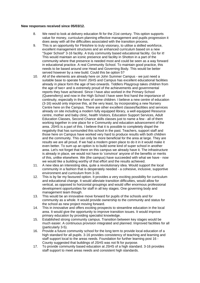#### **New responses received since 05/03/12.**

- 8. We need to look at delivery education fit for the 21st century. This option supports value for money, curriculum planning effective management and pupils progression it does away with all the difficulties associated with the transition process.
- 9. This is an opportunity for Flintshire to truly visionary, to utilise a skilled workforce, excellent management structures and an enhanced curriculum based on a new "Super School" 3-16 facility. A truly community based educational facility. Go for it! This would maintain an iconic presence and facility in Shotton in a part of the community where that presence is needed most and could be seen as a way forward in educational practice. A real Community School. To maintain good practice, this needs to be based around one Head and Governing Body. This would be better served however by a new build. Could this be option 5?
- 10. All of the elements are already here on John Summer Campus we just need a suitable base to operate from! JSHS and Campus has excellent educational facilities already in place form the age of two onwards. Tiddlers Playgroup takes children from the age of two+ and is extremely proud of the achievements and governmental reports they have achieved. Since I have also worked in the Primary School (Queensferry) and now in the High School I have seen first hand the importance of continuity, especially in the lives of some children. I believe a new centre of education (3-16) would only improve this, at the very least, by incorporating a new Nursery Centre here on the Campus. There are other excellent classes/facilities and services already on site including a modern fully equipped library, a well equipped Resource centre, mother and baby clinic, health Visitors, Education Support Services, Adult Education Classes, Second Chance skills classes just to name a few - all of them working together in one place for e Community and education advancement of the area. JSHS is a part of this. I believe that it is possible to completely dispel the negativity that has surrounded this school in the past. Teachers, support staff and those here on Campus have worked very hard to produce results with both children and the community. This can only be more beneficial for the area at large. They are results we are all proud. If we had a modern green place to do it in it would make it even better. To sum up an option is to build some kind of super school in another area. Let's not forget that there on this campus we already have it. The infrastructure is already in place, we would not have to 'convince' anyone of the benefits or merits of this, unlike elsewhere. We (the campus) have succeeded with what we have - now we would like a building worthy of that effort and the results achieved.
- 11. A new idea an interesting idea, quite a revolutionary idea. Would support the local community in a fashion that is desperately needed - a cohesive, inclusive, supportive environment and curriculum from 3-16.
- 12. This is by far my favoured option. It provides a very exciting possibility for curriculum and educational change. It would alleviate transition difficulties, would allow for vertical, as opposed to horizontal groupings and would offer enormous professional development opportunities for staff in all key stages. One governing body and management team though.
- 13. This would be an innovative move forward for pupils of the schools and for community as a whole. It would provide ownership to the community and status for the school as new project moving forward.
- 14. This in innovative and offers exciting prospects to streamline education in the local area. It would give the opportunity to improve transition issues. It would improve primary education by providing specialist knowledge.
- 15. Established strong community campus. Transition between key stages would be much easier. A continuous provision integrated and planned. Improved facilities for all (particularly 3-5).
- 16. Provide a future community school for the long term to provide local education of a high standard for all pupils. 3-16 provides consistency of teaching and learning and staff support local to the areas needs. Foundation for further learning post 16 - County suggested that buildings of JSHS was not fit for purpose.
- 17. To provide community based education at JSHS of a high standard. 3-16 provides staff support to meet areas needs and consistent high standards.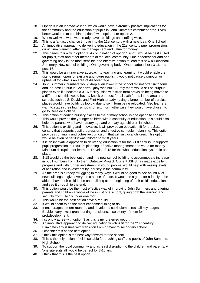- 18. Option 3 is an innovative idea, which would have extremely positive implications for the community and the education of pupils in John Summers catchment area. Even better would be to combine option 3 with option 1 or option 2.
- 19. Works well with what we already have buildings and staffing wise.
- 20. This is a fantastic chance t move into the 21st century with a new idea. One School.
- 21. An innovative approach to delivering education in the 21st century pupil progression, curriculum planning, effective management and value for money.
- 22. This needs to link with option 1. A combination of option 1 and 3 would be best suited for pupils, staff and other members of the local community. One headteacher and one governing body is the most sensible and effective option to lead this new build/school. Summary: New school building : One governing body : One headteacher : 3-16 and post 16.
- 23. This would be an innovative approach to teaching and learning. It would enable the site to remain open for existing and future pupils. It would not cause disruption or upheaval for what is an area of disadvantage.
- 24. John Summers' numbers would drop even lower if the school did not offer sixth form and t a post 16 hub in Connah's Quay was built. Surely there would still be surplus places even if it became a 3-16 facility. Also with sixth form provision being moved to a different site this would have a knock on effect for all sixth forms in the area and schools such as St David's and Flint High already having a large number of surplus places would have buildings too big due to sixth form being relocated. Also learners want to stay in their high schools for sixth form otherwise they would have chosen to go to Deeside College.
- 25. This option of adding nursery places to the primary school is one option to consider. This would provide the younger children with a continuity of education, this could also help the parents who have nursery age and primary age children in school.
- 26. This option is exciting and innovative. It will provide an education fit for the 21st century that supports pupil progression and effective curriculum planning. This option provides continuity and cohesive curriculum that will suit local children. This option would be even better if it was tailored to 3-18 years.
- 27. It is an innovative approach to delivering education fit for the 21st century. It supports pupil progression, curriculum planning, effective management and value for money. Minimum disruption for learners. Develop 3-18 for the whole education system in one place.
- 28. 3-18 would be the best option and in a new school building to accommodate increase in pupil numbers from Northern Gateway Project. Current JSHS has made excellent progress and with further investment in young people, would help with raising levels of aspiration and investment by Industry in the community.
- 29. As the area is already struggling in many ways it would be good to see an influx of new buildings to give everyone a sense of pride. It would be a good for a family to be able to have their child in the one building at the beginning of their child's education and see it through to the end.
- 30. This option would be the most effective way of improving John Summers and offering parents and children a whole of life in just one school, giving both the learning and security from 3 to 16 under one roof.
- 31. This would be the best option save a rebuild.
- 32. It would seem to be the most economical thing to do.
- 33. It encourages a more rounded and developed curriculum across all key stages. Enables very exciting/undaunting transitions, also plenty of room for prof.development.
- 34. I strongly agree with option 3 as this is my preferred option.
- 35. An innovative approach to deliver education which is fit for the 21st century. Eliminates any issues with transition from primary to secondary school.
- 36. I consider this as the best option.
- 37. I think this option is the best way forward for the school.
- 38. This is the only option I feel is suitable for teaching staff and pupils of John Summers High School.
- 39. To support the local community and as least disruption to the children and parents. A 'one site suits all' would be perfect for 3-16 yrs.
- 40. I think that this is the best option.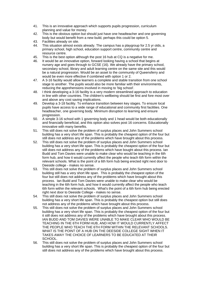- 41. This is an innovative approach which supports pupils progression, curriculum planning and value for money.
- 42. This is the obvious option but should just have one headteacher and one governing body but would benefit from a new build, perhaps this could be option 5.
- 43. Facilities already on site.
- 44. This situation almost exists already. The campus has a playgroup for 2.5 yr olds, a primary school, high school, education support centre, community centre and resource centre.
- 45. This is the best option although the post 16 hub at CQ is a negative for me.
- 46. It would be an innovative option, forward looking having a school that begins at nursery age and goes through to GCSE (16). We already have the primary school, secondary school, library and adult learning centre on the same site and this would be a natural progression. Would be an asset to the community of Queensferry and would be even more effective if combined with option 1 or 2.
- 47. A 3-16 facility would allow learners a complete and stable transition from one school stage to another. The pupils would also be more familiar with their environments, reducing the apprehensions involved in moving to 'big school'.
- 48. I think developing a 3-16 facility is a very modern streamlined approach to education in line with other countries. The children's wellbeing should be first and fore most over and above any cost saving implications.
- 49. Develop a 3-18 facility. To enhance transition between key stages. To ensure local pupils have access to a wide range of educational and community first facilities. One headteacher, one governing body. Minimum disruption to learning and ensure progression.
- 50. A simple 3-16 school with 1 governing body and 1 head would be both educationally and financially beneficial, and this option also solves post 16 concerns. Educationally innovative with many benefits.
- 51. This still does not solve the problem of surplus places and John Summers school building has a very short life span. This is probably the cheapest option of the four but still does not address any of the problems which have brought about this process.
- 52. This still does not solve the problem of surplus places and John Summers school building has a very short life span. This is probably the cheapest option of the four but still does not address any of the problems which have bought about this process. Ian Budd and Tom Davies were unable to make clear who would be teaching in the 6th form hub, and how it would currently affect the people who teach 6th form within the relevant schools. What is the point of a 6th form hub being erected right next door to Deeside college - makes no sense.
- 53. This still does not solve the problem of surplus places and John Summers school building still has a very short life span. This is probably the cheapest option of the four but still does not address any of the problems which have brought about this process. Ian Budd and Tom Davies were unable to make clear who would be teaching in the 6th form hub, and how it would currently affect the people who teach 6th form within the relevant schools. What's the point of a 6th form hub being erected right next door to Deeside College - makes no sense.
- 54. This still does not solve the problem of surplus places and John Summers school building has a very short life span. This is probably the cheapest option but still does not address any of the problems which have brought about this process.
- 55. This still does not solve the problem of surplus places and John Summers school building has a very short life span. This is probably the cheapest option of the four but it still does not address any of the problems which have brought about this process. IAN BUDD AND TOM DAVIES WERE UNABLE TO MAKE CLEAR WHO WOULD BE TEACHING IN THE 6TH FORM HUB, AND HOW IT WOULD CURRENTLY AFFECT THE PEOPLE WHO TEACH THE 6TH FORM WITHIN THE RELEVANT SCHOOLS. WHAT IS THE POINT OF A HUB ON THE DEESIDE COLLEGE SIGHT WHEN IT TAKES AWAY THE CHOICE OF LEARNERS TO BE EDUCATED AT THEIR SCHOOL.
- 56. This still does not solve the problem of surplus places and John Summers school building has a very short life span. This is probably the cheapest option of the four but still does not address any of the problems which have brought about this process.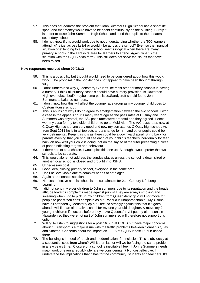- 57. This does not address the problem that John Summers High School has a short life span, and that money would have to be spent continuously on the building. Surely it is better to close John Summers High School and send the pupils to their nearest secondary school.
- 58. I do not know if this would work due to not understanding whether the '600 learners attending' is just across ks3/4 or would it be across the school? Even so the financial situation of extending to a primary school seems illogical when there are many primary schools in the Flintshire area for learners to attend. Again, what is the situation with the CQHS sixth form? This still does not solve the issues that have been raised.

#### **New responses received since 09/03/12**

- 59. This is a possibility but thought would need to be considered about how this would work. The proposal in the booklet does not appear to have been thought through fully.
- 60. I don't understand why Queensferry CP isn't like most other primary schools in having a nursery. I think all primary schools should have nursery provision. Is Hawarden High oversubscribed? maybe some pupils i.e.Sandycroft should fee to John Summers to balance numbers.
- 61. I don't know how this will affect the younger age group as my younger child goes to Custom House school.
- 62. This is an insight why I do no agree to amalgamation between the two schools. I won a case in the appeals courts many years ago as the pass rates at C.Quay and John Summers was abysmal, the A/C pass rates were dreadful and they agreed. Hence I won my case for my two older children to go to Mold Alun. The A/C pass rates now at C.Quay High school are very good and now my son attends C.Quay high school. As from Sept 2011 he is in all top sets and a change for him and other pupils could be very detrimental. Keep it as it is as there could be a downward spiral. Bring back for parents evening that you should see each of your child's teachers individually for feed back on how well your child is doing, not on the say so of the tutor presenting a piece of paper indicating targets and behaviour.
- 63. If there has to be a choice, I would pick this one up. Although I would prefer the two schools to be separate.
- 64. This would alone not address the surplus places unless the school is down sized or another local school is closed and brought into JSHS.
- 65. Unnecessary cost.
- 66. Good idea, closing primary school, everyone in the same area.
- 67. Don't believe viable due to complex needs of both ages.
- 68. Again a reasonable solution.
- 69. Not cost effective as this school is not sustainable for 21st Century Life Long Learning.
- 70. I did not send my elder children to John summers due to its reputation and the heads attitude towards complaints made against pupils! They are always smoking and swearing when I go to pick up my children from Queensferry cp & will not move for people to pass! You can't complain as Mr. Rashud is unapproachable!! My 4 sons have all attended Queensferry cp but I feel so strongly against this that if it goes ahead I will find an alternative school for my one year old daughter, & move my 2 younger children if it occurs before they leave Queensferry! I put my older sons in Hawarden so they were not part of John summers so will therefore not support this option!
- 71. Willing to listen to suggestions for a post 16 hub at CQHS but have major concerns about it. Transport is a major issue with the traffic problems between Connah's Quay and Shotton. Concerns about the impact on 11-16 at CQHS if post 16 hub based there.
- 72. The building is in need of repair and modernisation -for inclusion. This is obviously at a substantial cost, from where? Will it then last or will we be facing the same problem in a few years time. Closure of a school is inevitable I feel. If Johns Summers needs major work or even a rebuild- why are we considering it? Not cost effective. I understand the implications that it has for the community, students and teachers. It's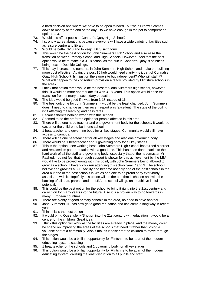a hard decision one where we have to be open minded - but we all know it comes down to money at the end of the day. Do we have enough in the pot to comprehend options 1-3.

- 73. Would this affect pupils at Connah's Quay High School?
- 74. I strongly agree about this because everyone will have a wide variety of facilities such as leisure centre and library.
- 75. Would be better 3-18 and to keep JSHS sixth form.
- 76. This would be the best option for John Summers High School and also ease the transition between Primary School and High Schools. However, I feel that the best option would be to make it a 3-18 school as the hub in Connah's Quay is pointless being next to Deeside College.
- 77. This may increase the numbers in John Summers High School and make the building more cost effective. Again, the post 16 hub would need clarity - is it part of Connah's Quay High School? Is it just on the same site but independent? Who will staff it? What will happen to the consortium provision already provided by Flintshire schools in the area?
- 78. I think that option three would be the best for John Summers high school, however, I think it would be more appropriate if it was 3-18 years. This option would ease the transition from primary to secondary education.
- 79. The idea would be good if it was from 3-18 instead of 16.
- 80. The best outcome for John Summers. It would be the least changed. John Summers doesn't need to change as their recent report was 'excellent'. The state of the boiling isn't affecting the learning and pass rates.
- 81. Because there's nothing wrong with this school!
- 82. Seemed to be the preferred option for people affected in this area
- 83. There will be one head teacher and one government body for the schools. It would be easier for the children to be in one school.
- 84. 1 headteacher and governing body for all key stages. Community would still have access to campus.
- 85. There will be one headteacher for all key stages and also one governing body.
- 86. There would be 1 headteacher and 1 governing body for all key stages.
- 87. This is the option I see working best. John Summers High School has turned a corner and replaced its poor reputation with a good one. This has been done thanks to the hard work of all the staff and governing body, especially that of the headmaster Mr Rashud. I do not feel that enough support is shown for this achievement by the LEA, would like to be proved wrong with this point, with John Summers being allowed to grow as a school. I have 2 children attending this school year 7 and 9. The school I believe can grow as a 3-16 facility and become not only one of the best schools in the area but one of the best schools in Wales and one to be proud of by everybody associated with it. Hopefully this option will be the one that is chosen and with the backing of all staff, parents and the LEA the school will go on to achieve its full potential.
- 88. This could be the best option for the school to bring it right into the 21st century and carry it on for many years into the future. Also it is a proven way to go forwards in many European countries.
- 89. There are plenty of good primary schools in the area, no need to have another.
- 90. John Summers HS has now got a good reputation and has come a long way in recent years.
- 91. Think this is the best option
- 92. It would bring Queensferry/Shotton into the 21st century with education. It would be a centre for the children. Great idea.
- 93. I think this option will work as the facilities are already in place, and the money could be spend on improving the areas of the schools that need it rather than losing a valuable part of a community. Also it makes it easier for the children to move through the stages.
- 94. This option would be a brilliant opportunity for Flintshire to be apart of the modern educating system, causing
- 95. 1 headteacher of the schools and 1 governing body for all key stages.
- 96. This option would be a brilliant opportunity for Flintshire to be apart of the modern educating system, causing the least disruption to all pupils and staff.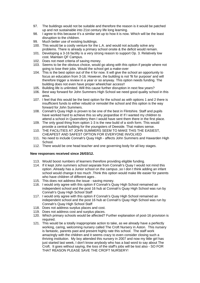- 97. The buildings would not be suitable and therefore the reason is it would be patched up and not sustainable into 21st century life long learning.
- 98. I agree to this because it's a similar set up to how it is now. Which will be the least disruption to the children.
- 99. Much better use of existing buildings.
- 100. This would be a costly venture for the L.A. and would not actually solve any problems. There is already a primary school onsite & the deficit would remain.
- 101. Developing a 3-16 facility is a very strong reason to support Op. 3. Relatively low cost. Maintain QF Campus.
- 102. Does not meet criteria of saving money.
- 103. Seems to be the obvious choice, would go along with this option if people where not going to lose their jobs. Would the school get a make-over
- 104. This is the best option out of the 4 for now. It will give the school an opportunity to focus an education from 3-16. However, the building is not 'fit for purpose' and will therefore trigger a review in a year or so anyway. This option needs funding. The building does not even have proper wheelchair access!!
- 105. Building life is unlimited. Will this cause further disruption in next few years?
- 106. Best way forward for John Summers High School we need good quality school in this area.
- 107. I feel that this would be the best option for the school as with options 1 and 2 there is insufficient funds to either rebuild or remodel the school and this option is the way forward for John Summers.
- 108. Connah's Quay High is proven to be one of the best in Flintshire. Staff and pupils have worked hard to achieve this so why jeopardise it! If I wanted my children to attend a school in Queensferry then I would have sent them there in the first place.
- 109. The only good thing from option 1-3 is the new build of a sixth form. This would provide a central building for the youngsters of Deeside. That makes sense.
- 110. THE FACILITIES AT JOHN SUMMERS SEEM TO MAKE THIS THE EASIEST, CHEAPEST AND SAFEST OPTION FOR EVERYONE INVOLVED
- 111. No need to include Connah's Quay High affects John Summers and Hawarden High School.
- 112. There would be one head teacher and one governing body for all key stages.

#### **New responses received since 26/03/12.**

- 113. Would boost numbers of learners therefore providing eligible funding.
- 114. If it kept John summers school separate from Connah's Quay I would not mind this option .Already has a Junior school on the campus ,so I don t think adding an infant school would change it too much .Think this option would make life easier for parents who have children of different ages .
- 115. This does not address the issue saving money.
- 116. I would only agree with this option if Connah's Quay High School remained an independent school and the post 16 hub at Connah's Quay High School was run by Connah's Quay High School Staff
- 117. I would only agree with this option if Connah's Quay High School remained an independent school and the post 16 hub at Connah's Quay High School was run by Connah's Quay High School Staff
- 118. Does not address surplus places and cost.
- 119. Does not address cost and surplus places.
- 120. Which primary schools would be affected? Further explanation of post-16 provision is required.
- 121. This would be a totally inappropriate action to take, as we already have a perfectly working, caring, welcoming nursery called The Croft Nursery in Aston. This nursery is fantastic, parents past and present highly rate this school. The staff work amazingly with the children and it seems crazy to even consider closing such a thriving institution. My boy attended this nursery in 2007 and now my little girl has just started last week, I don't know anybody who has a bad word to say about The Croft. It goes without saying, the loss of the staff's jobs will be lost also - SO FOR THAT REASON PLEASE SAVE THE CROFT NURSERY!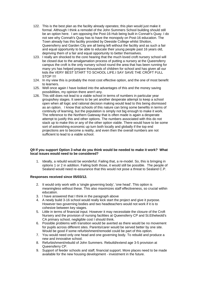- 122. This is the best plan as the facility already operates; this plan would just make it formal. Although I think a remodel of the John Summers School building should still be an option here. I am opposing the Post-16-Hub being built in Connah's Quay. I do not see why Connah's Quay has to have the monopoly on Post-16 education. The Town already has this facility provided by Deeside College whilst Shotton, Queensferry and Garden City are all being left without the facility and as such a fair and equal opportunity to be able to educate their young people past 16 years old, depriving them of a fair and equal opportunity to better themselves.
- 123. I really am shocked to the core hearing that the much loved croft nursery school will be closed due to the amalgamation process of putting a nursery at the Queensferry campus the croft is the only nursery school round the area that has been running for many yrs has helped prepare thousands of children for school and has given all our kids the VERY BEST START TO SCHOOL LIFE.I SAY SAVE THE CROFT FULL STOP !!!!
- 124. In my view this is probably the most cost effective option, and the one of most benefit to learners.
- 125. Well once again I have looked into the advantages of this and the money saving possibilities, my opinion there aren't any.
- 126. This still does not lead to a viable school in terms of numbers in particular year groups/key stages. It seems to be yet another desperate attempt to keep a school open when all logic and rational decision making would lead to this being dismissed as an option. I know that schools of this nature can bring some benefits in terms of continuity of learning, but the population is simply not big enough to make it work. The reference to the Northern Gateway that is often made is again a desperate attempt to justify this and other options. The numbers associated with this do not stack up to make this or any of the other option viable. There would have to be some sort of astonishing economic up turn both locally and globally if the top end projections are to become a reality, and even then the overall numbers are not sufficient to lead to a viable school.

#### **Q9 If you support Option 3 what do you think would be needed to make it work? What local issues would need to be considered?**

1. Ideally, a rebuild would be wonderful. Failing that, a re-model. So, this is bringing in options 1 or 2 in addition. Failing both those, it would still be possible. The people of Sealand would need re-assurance that this would not pose a threat to Sealand C.P.

#### **Responses received since 05/03/12.**

- 2. It would only work with a 'single governing body', 'one head'. This option is meaningless without these. This also maximizes staff effectiveness, so crucial within education.
- 3. I have answered that I think in the paragraph above
- 4. A newly build 3-16 school would really kick start the project and give it purpose. However two governing bodies and two headteachers would not work if it is to cohesive between key stages.
- 5. Little in terms of financial input. However it may necessitate the closure of the Croft Nursery and the provision of nursing facilities at Queensferry CP and St.Ethelwold's CA primary school, negligible cost I should think.
- 6. Possible problems with transition would be averted as there would be no movement for pupils across different sites. Parents/carer would be served better by one site. Would be good if some refurbishment/remodel could be part of this option.
- 7. You would need only one head and one governing body. To rebuild and produce a new and innovative school.
- 8. Refurbishment/rebuild of John Summers. Rebuild/extend age 3-5 provision at Queensferry CP.
- 9. Support of feeder schools and staff, financial support. More places need to be made available for the new housing development - investment in the future.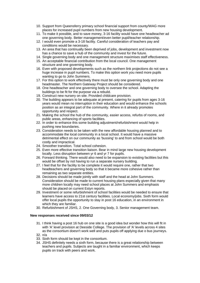- 10. Support from Queensferry primary school financial support from county/WAG more places for increased pupil numbers from new housing development.
- 11. To make it possible, and to save money, 3-16 facility would have one headteacher ad one governing body. Better management/even better pupil/teacher relationship.
- 12. I would even promote a 3-18 facility. Careful consideration of teachers pay and conditions would be necessary.
- 13. An area that has continually been deprived of jobs, development and investment now has a chance to save a hub of the community and invest for the future.
- 14. Single governing body and one management structure maximises staff effectiveness.
- 15. An acceptable financial contribution from the local council. One management structure and one governing body.
- 16. Even with proposed developments such as the northern link projections do not see a huge increase in pupil numbers. To make this option work you need more pupils wanting to go to John Summers.
- 17. For this option to work effectively there must be only one governing body and one headmaster. The Northern Gateway Project should be considered.
- 18. One headteacher and one governing body to oversee the school. Adapting the buildings to be fit for the purpose via a rebuild.
- 19. Construct new nursery on site. Provided childcare provision.
- 20. The building appears to be adequate at present, catering for pupils from ages 3-16 years would mean no interruption in their education and would enhance the schools position as an integral part of the community. Where in it already promotes opportunity and respect.
- 21. Making the school the hub of the community, easier access, refurbs of rooms, and public areas, enhancing of sports facilities.
- 22. In order to enhance this some building adjustment/refurbishment would help in pushing new boundaries.
- 23. Consideration needs to be taken with the new affordable housing planned and to accommodate the local community in a local school. It would have a massive detrimental effect on our community as 'bussing' to and from school would be both costly and impractical.
- 24. Smoother transition. Total school cohesion.
- 25. Even more effective transition liaison. Bear in mind large new housing development locally. Less disruption between yr 6 and yr 7 for pupils.
- 26. Forward thinking. There would also need to be expansion to existing facilities but this would be offset by not having to run a separate nursery building.
- 27. I feel that for the facility to be complete it would require one, rather that two headteachers and governing body so that it became more cohesive rather than remaining as two separate entities.
- 28. Decisions should be made jointly with staff and the head at John Summers. Consideration should be made to current housing plans especially given that many more children locally may need school places at John Summers and emphasis should be placed on current Estyn reports.
- 29. Investment or some refurbishment of school facilities would be needed to ensure that learners have access to 21st century facilities. Local economy/jobs. Sixth form would offer local pupils the opportunity to stay in post 16 education, in an environment in which they are familiar.
- 30. Refurbishment of JSHS, 2. One Governing body, 3. Senior management team.

#### **New responses received since 09/03/12**

- 31. I think having a post 16 hub on one site is a good idea but wonder how this will fit in with 'A' level provision at Deeside College. The provision of 'A' levels across 4 sites as the consortium doesn't work well and puts pupils off applying due o bus journeys.
- 32. n/a
- 33. Sixth form should be kept in the consortium.
- 34. JSHS definitely needs a sixth form, because there is a great relationship between teachers and pupils. Subjects are taught in a familiar environment, which keeps pupils on track with peers and work.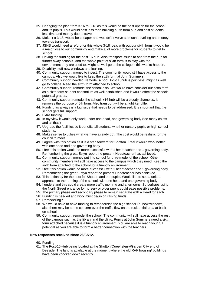- 35. Changing the plan from 3-16 to 3-18 as this would be the best option for the school and its pupils. This would cost less than building a 6th form hub and cost students less time and money due to travel.
- 36. Make it a 3-18, would be cheaper and wouldn't involve so much travelling and money towards transport.
- 37. JSHS would need a refurb for this whole 3-18 idea, with out our sixth form it would be a major loss to our community and make a lot more problems for students to get to school.
- 38. Having the funding for the post 16 hub. Also transport issues to and from the hub for further away schools. And the whole point of sixth form is to stay with the environment they are used to. Might as well go to the college if this was to happen.
- 39. Disability stuff new windows and leaking.
- 40. Community support, money to invest. The community would still have access to the campus. Also we would like to keep the sixth form at John Summers.
- 41. Community support needed, remodel school. Post 16hub is pointless, might as well go to college. Need the sixth form attached to school.
- 42. Community support, remodel the school also. We would have consider our sixth form as a sixth form student consortium as well established and it would effect the schools potential grades.
- 43. Community support remodel the school, +16 hub will be a bloody shambles. It removes the purpose of 6th form. Also transport will be a right kerfuffle.
- 44. Funding as always is a big issue that needs to be addressed. It is important that the school gets full support.
- 45. Extra funding.
- 46. In my view it would only work under one head, one governing body (too many chiefs and all that!)
- 47. Upgrade the facilities so it benefits all students whether nursery pupils or high school students.
- 48. Makes sense to utilize what we have already got. The cost would be realistic for the council to meet.
- 49. I agree with this option as it is a step forward for Shotton. I feel it would work better with one head and one governing body.
- 50. I feel this option would be more successful with 1 headteacher and 1 governing body. Remembering the great Estyn report the present Headteacher has achieved.
- 51. Community support, money put into school fund, re-model of the school. Other community members will still have access to the campus which they need. Keep the sixth form attached to the school for a friendly environment.
- 52. I feel this option would be more successful with 1 headteacher and 1 governing body. Remembering the great Estyn report the present Headteacher has achieved.
- 53. This option by far the best for Shotton and the pupils. Would like to see a united approach to the running of the school, with one head and one governing body.
- 54. I understand this could create more traffic morning and afternoons. So perhaps using the North Street entrance for nursery or older pupils could ease possible problems.
- 55. The primary phase and secondary phase to remain separate with a Head for each
- 56. Funding is needed and work must begin on raising funds.
- 57. Remodelling?
- 58. We would have to have funding to remodernise the high school i.e. new windows, also there may be some concern over the traffic flow on the residential area at back on school.
- 59. Community support, remodel the school. The community will still have access the rest of the campus such as the library and the clinic. Pupils at John Summers need a sixth form attached because it is a friendly environment. You are able to reach your full potential as you are able to form a better connection with the teachers.

#### **New responses received since 26/03/12.**

- 60. Funding
- 61. The Post-16-Hub being located at the Shotton/Queensferry/Garden City end of Deeside. The land is available at the moment where the old RAF housing/ buildings have been knocked down recently.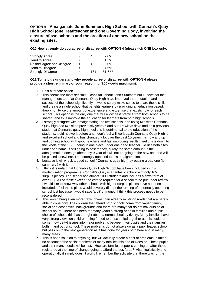**OPTION 4 – Amalgamate John Summers High School with Connah's Quay High School (one Headteacher and one Governing Body, involving the closure of two schools and the creation of one new school on the existing sites.**

**Q10 How strongly do you agree or disagree with OPTION 4 (please tick ONE box only.** 

| <b>Strongly Agree</b>      | $=$ |     | 2.0%    |
|----------------------------|-----|-----|---------|
| Tend to Agree              | $=$ | 3   | 1.5%    |
| Neither Agree nor Disagree | $=$ | 4   | $2.0\%$ |
| Tend to Disagree           | $=$ | g   | 4.6%    |
| <b>Strongly Disagree</b>   | $=$ | 161 | 81.7%   |

#### **Q11 To help us understand why people agree or disagree with OPTION 4 please provide a short summary of your reasoning (250 words maximum).**

- 1. Best alternate option.
- 2. This seems the most sensible. I can't talk about John Summers but I know that the management team at Connah's Quay High have improved the reputation and success of the school significantly. It would surely make sense to share these skills and create a single school that benefits learners by providing an education based, in theory, on twice the amount of experience and expertise that exists now for each school. This option is the only one that will allow best practice from both schools to be shared, and thus improve the education for learners from both high schools.
- 3. I strongly disagree with amalgamating the two schools, and using two sites.Connahs Quay high had two sited previously years 7 and 8 at Rowleys drive and as a previous student at Connah's quay high I feel this is detrimental to the education of the students, it did not work before and I don't feel will work again.Connahs Quay High is and excellent school and has changed a lot over the past 15 years it is now and up and coming school with good teachers and fast improving results I feel this is down to the whole of the 11-16 being in one place under one head teacher. To use both sites under one name is still going to cost money, surely the same amount. If the amalgamation does go ahead my 9 year old will not be going to the new one and will be placed elsewhere. I am strongly apposed to this amalgamation.
- 4. because it will wreck a good school ( Connah's quay high) by putting a bad one (john summers ) with it
- 5. I think it is unfair that Connah's Quay High School have been included in this modernisation programme. Connah's Quay is a fantastic school with only 10% surplus places. The school has almost 1000 students and includes a sixth form of over 137. All of these exceed the criteria required for a school to be put under review. I would like to know why other schools with higher surplus places have not been included. I feel these plans would severely disrupt the running of a perfectly operating school just because it would save 'a bit' of money. I think this process needs to be reconsidered.
- 6. This would bring even more traffic chaos than already exists on roads that are barely able to cope now. The children that attend both schools come from varied family, social and economical backgrounds and there are many that do not mix outside of school hours. There has been for many years a strong pride in families and pupils choice of school; this has brought about a normal, healthy rivalry. Many families have very strong views on children being forced to be schooled together as this could turn some (now petty) issues into major problems between rival pupils and their families both in and out of school. These problems do not always go as a pupil leaves school but pass on to the next generation as it has done for years both here and in many. many areas.
- 7. This is not a solution to anything, but will actually create a host of problems. It takes no account of the social problems of many families this end of Deeside. These pupils and their many needs will be lost. How are families of pupils coming up after those registered at the time of change going to afford the bus fares? Also, logistically and operationally it simply doesn't work. I remember the split site that there was for the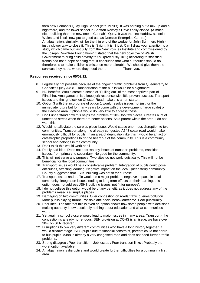then new Connah's Quay High School (late 1970's). It was nothing but a mix-up and a nightmare, and the lower school in Shotton Rowley's Drive finally closed. (A much nicer building than the new one in Connah's Quay. It was the first Haddow school in Wales, and is still now put to good use as Deeside Enterprise Centre.) Amalgamation, similarly, will be the thin end of the wedge for John Summers High just a slower way to close it. This isn't right. It isn't just. Can I draw your attention to a study which came out last July from the New Policies Institute and commissioned by the Joseph Rowntree Foundation? It stated that the new objective of Welsh Government to bring child poverty to 5% (previously 10%) according to statistical trends had not a hope of being met. It concluded that what authorities should do, therefore, is to make children's existence more tolerable. We should give them the services they need, where they need them. Thank-you.

#### **Responses received since 05/03/12.**

- 8. Logistically not possible because of the ongoing traffic problems from Queensferry to Connah's Quay A498. Transportation of the pupils would be a nightmare.
- 9. NO benefits. Would create a sense of "Pulling out" of the most deprived part of Flintshire. Amalgamation is a knee jerk response with little proven success. Transport issues and the gridlock on Chester Road make this a non starter.
- 10. Option 3 with the incorporate of option 1 would resolve issues not just for the immediate future but for many years to come with the development (large scale) of the Deeside area. Option 4 would do very little to address these.
- 11. Don't understand how this helps the problem of 10% too few places. Creates a lot of unneeded stress when there are better options. As a parent within the area, I do not want this.
- 12. Would not alleviate the surplus place issue. Would cause enormous disruption to two communities. Transport along the already congested A548 coast road would make it enormously difficult for pupils. In an area of deprivation like this it would be an act of catastrophic proportions to rip the heart out of the community. This is a community school and belongs in the community.
- 13. Don't think this would work at all.
- 14. Really bad idea. Does not address any issues of transport problems, transition issues, from primary to secondary. No good for the community.
- 15. This will not serve any purpose. Two sites do not work logistically. This will not be beneficial for the local communities.
- 16. Transport issues would be a considerable problem. Integration of pupils could pose difficulties, affecting learning. Negative impact on the local Queensferry community. County suggested that JSHS building was not fit for purpose.
- 17. Transport issues and traffic would be a major problem, negative impacts in local community, integration issues leading to long term effects on their learning, this option does not address JSHS building issues 'not fit for purpose'.
- 18. I do not believe this option would be of any benefit, as it does not address any of the problems raised i.e. surplus places.
- 19. Damaging on two communities. Over congestion on roads/traffic queues/pollution. More pupils playing truant. Possible anti-social behaviour/crime. Poor punctuality.
- 20. Poor idea. The fact that this is even an option shows how some people with decisions making authority know absolutely nothing about education and what communities want.
- 21. Yet again a school closure would lead to major issues in many areas. Transport the congestion is already horrendous. SEN provision at CQHS is an issue, we have over 30% on SEN register.
- 22. Disruptions to two very different communities who have a long history together. It would disadvantage JSHS pupils due to financial constraint, parents could not afford to bus pupils. A498 is already a very congested road and does not need further traffic problems.
- 23. Strong disagree : Poor transition : Job losses : Poor transport links : Probably the worst option available.
- 24. Amalgamation is disruptive and would create further difficulties for a community first area.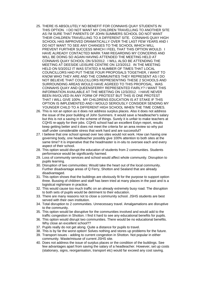- 25. THERE IS ABSOLUTELY NO BENEFIT FOR CONNAHS QUAY STUDENTS IN THIS OPTION. I DO NOT WANT MY CHILDREN TRAVELLING TO ANOTHER SITE AS I'M SURE THAT PARENTS OF JOHN SUMMERS SCHOOL DO NOT WANT THEIR CHILDREN TRAVELLING TO A DIFFERENT SITE. CONNAHS QUAY HIGH SCHOOL HAS IMPROVED DRAMATICALLY OVER THE LAST FEW YEARS AND I DO NOT WANT TO SEE ANY CHANGES TO THE SCHOOL WHICH WILL PREVENT FURTHER SUCCESS WHICH I FEEL THAT THIS OPTION WOULD. I HAVE ALREADY CONTACTED MARK TAMI REGARDING MY CONCERNS AND WILL BE DOING SO AGAIN HAVING ATTENDED THE MEETING HELD AT CONNAHS QUAY SCHOOL ON 5/3/2012. I WILL ALSO BE ATTENDING THE MEETING AT DEESIDE LEISURE CENTRE ON 12/3/2012. IN THE MEETING HELD ON 5/3/2012 IT WAS STATED A NUMBER OF TIMES THAT LOCAL COUNCILLORS HAD PUT THESE FOUR PROPOSALS TOGETHER, I WANT TO KNOW WHO THEY ARE AND THE COMMUNITIES THEY REPRESENT AS I DO NOT BELIEVE THAT COULCILLORS REPRESENTING THESE 2 SCHOOLS AND SURROUNDING AREAS WOULD HAVE AGREED TO THIS PROPOSAL. WAS CONNAHS QUAY AND QUEENSFERRY REPRESENTED FAIRLY? I WANT THIS INFORMATION AVAILABLE AT THE MEETING ON 12/3/2012. I HAVE NEVER BEEN INVOLVED IN ANY FORM OF PROTEST BUT THIS IS ONE PROTEST THAT I WILL GIVE 100%. MY CHILDRENS EDUCATION IS AT STAKE IF THIS OPTION IS IMPLEMENTED AND I WOULD SERIOUSLY CONSIDER SENDING MY YOUNGER CHILD TO A DIFFERENT HIGH SCHOOL WHEN THE TIME COMES.
- 26. This is not an option as it does not address surplus places. Also it does not address the issue of the poor building of John Summers. It would save a headteacher's salary but this is not a saving in the scheme of things. Surely it is unfair to make teachers at CQHS re-apply for their jobs. CQHS school had an excellent Estyn report, results keep getting better and it does not meet the criteria for an area review so why put staff under considerable stress that work hard and are successful?
- 27. I believe that one school spread over two sites would not work. How can having one governing body, one headteacher possibly give 100% attention to both sites at the same time? It is imperative that the headmaster is in-situ to oversee each and every aspect of their school.
- 28. This option would disrupt the education of students from 2 communities. Students performance would be significantly harmed.
- 29. Loss of community services and school would affect whole community. Disruption to pupils learning.
- 30. Disruption of two communities: Would take the heart out of the local community. Further disadvantage areas of Q Ferry, Shotton and Sealand that are already disadvantaged.
- 31. This option shows that the buildings are obviously fit for the purpose to support option three. Bussing of children and staff has been tried at many places in the past and is a logistical nightmare in practice.
- 32. This would cause too much traffic on an already extremely busy road. The disruption to both sets of pupils would be detriment to their education.
- 33. There are many reasons not to close a community school. JSHS students are best served with their own institution.
- 34. Total disruption to 2 communities. Unnecessary travel. Amalgamations are disruptive to the community.
- 35. This option would be disruptive for the communities involved and would add to the traffic congestion in Shotton. I find it hard to see any educational benefits for pupils.
- 36. This option would disrupt two communities. There would be no educational benefits. Why close an excellent school??
- 37. Pupils really do not get along. Quite a distance for pupils to travel.
- 38. This is by far the worst option! Solves nothing and stores up problems for the future.
- 39. Transport issues adding to current congestion in Shotton. Not popular in either community. Waste/misuse of current JSHS site.
- 40. Does not address the issue of surplus places or the condition of the buildings. See few advantages apart from saving the salary of a headteacher. However, set up costs (stationary, signs, reorganisation, transport etc) would far exceed any cost saving.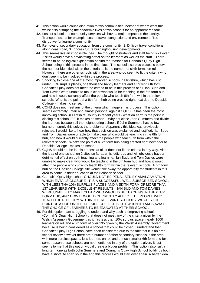- 41. This option would cause disruption to two communities, neither of whom want this, whilst also disrupting the academic lives of two schools for no apparent reason!
- 42. Loss of school and community services will have a major impact on the locality. Transport issues for example, cost of travel, congestion and environment. Too disruptive for learners/community.
- 43. Removal of secondary education from the community, 2. Difficult travel conditions along coast road, 3. Ignores future building/housing developments.
- 44. This seems like an impossible idea. The thought of students and staff being split over 2 sites would have a devastating affect on the learners as well as the staff. There seems to be no logical explanation behind the reasons for Connah's Quay High School being in this process in the first place. The school's surplus places is below the number identified within the criteria as is the number of sixth forms on roll. However, there are other schools within the area who do seem to fit the criteria who don't seem to be involved within the process.
- 45. Shocking to close one of the most improved schools in Flintshire, which has just under 10% surplus places, one thousand happy learners and a thriving 6th form. Connah's Quay does not meet the criteria to be in this process at all. Ian Budd and Tom Davies were unable to make clear who would be teaching in the 6th form hub, and how it would currently affect the people who teach 6th form within the relevant schools. What is the point of a 6th form hub being erected right next door to Deeside College - makes no sense.
- 46. CQHS does not meet any of the criteria which triggers this process. This option seems extremely unfair and almost personal against CQHS. It has been the most improving school in Flintshire County in recent years - what on earth is the point in closing this school??? It makes no sense. Why not close John Summers and divide the learners between all the neighbouring schools if John Summers has so few learners - surely this solves the problems. Apparently this idea was previously rejected. I would like to hear how that decision was explained and justified. Ian Budd and Tom Davies were unable to make clear who would be teaching in the 6th form hub, and how it would currently affect the people who teach 6th form within the relevant schools. What's the point of a 6th form hub being erected right next door to Deeside College - makes no sense.
- 47. CQHS should not be in this process at all. It does not fit the criteria in any way. Also the idea of one school on 2 sites so far apart is ludicrous and will obviously have a detrimental effect on both teaching and learning. Ian Budd and Tom Davies were unable to make clear who would be teaching in the 6th form hub and how it would affect the people who currently teach 6th form within the relevant schools. A 6th form hub on the Deeside College site would take away the opportunity for students in this area to continue their education at their chosen school.
- 48. Connah's Quay high school SHOULD NOT BE PENALISED BY AMALGAMATION WHICH ENTAILS CLOSURE. IT IS A SUCCESSFUL WELL SUBSCRIBED SCHOOL WITH LESS THA 10% SURPLUS PLACES AND A SIXTH FORM OF MORE THAN 137 LEARNERS WITH EXCELLENT RESULTS. IAN BUD AND TOM DAVIES WERE UNABLE TO MAKE CLEAR WHO WPOULD BE TEACHING IN THE 6THY FORM HUB, AND HOW IT WOULD CURRENTLY AFFECT THE PEOPLE WHO TEACH THE 6TH FORM WITHIN THE RELEVANT SCHOOLS. WHAT IS THE POINT OF A HUB ON THE DEESIDE COLLEGE SIGHT WHEN IT TAKES AWAY THE CHOICE OF LEARNERS TO BE EDUCATED AT THEIR SCHOOL.
- 49. For this option I am struggling to understand why such an improving school (Connah's Quay High School) that does not meet any of the criteria given by the Welsh Assembly Government as it has less than 10% surplus space, nearly 1000 learners on roll and a 6th form of over 135 given by the Welsh Assembly Government because is being considered as a school that could be closed. I understand that Connah's Quay High School have been considered due to the fact that it is an area school review however there are a number of other secondary schools in the area with more surplus spaces, less learners on roll and a much smaller 6th form and for some reason these schools are not mentioned in any of the options given. It just seems to me that this option would create a bigger problem. This option also isn't a long term one as both John Summers and Connah's Quay High School buildings both have a short life span so in the end this process would start over again. A better idea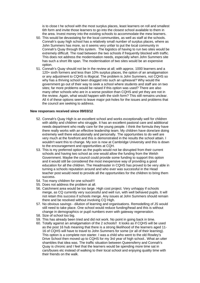is to close t he school with the most surplus places, least learners on roll and smallest 6th form and invite those learners to go into the closest school available to them in the area. Invest money into the existing schools to accommodate the mew learners.

- 50. This would be devastating for the local communities, as well as staff at the schools. Connah's quay high school has a relatively small number of surplus places, where as John Summers has more, so it seems very unfair to put the local community in Connah's Quay through this system. The logistics of having to run two sites would be extremely difficult. The road between the two schools if frequently blocked with traffic. This does not address the modernisation needs, especially when John Summers site has such a short life span. The modernisation of two sites would be an expensive option.
- 51. Connah's Quay should not be in the review at all; with approx. 1000 learners and a 120+ sixth formers and less than 10% surplus places, the option of an amalgamation or any adjustment to CQHS is illogical. The problem is John Summers, not CQHS so why has a thriving school been dragged into such an upheaval? Why would the government go out of their way to seek a school where students and staff are on two sites; far more problems would be raised if this option was used? There are also many other schools who are in a worse position than CQHS and yet they are not in the review. Again, what would happen with the sixth form? This still remains unclear. All 4 of these options seem to leave major pot-holes for the issues and problems that the council are seeking to address.

#### **New responses received since 09/03/12**

- 52. Connah's Quay High is an excellent school and works exceptionally well for children with ability and children who struggle. It has an excellent pastoral care and additional needs department who really care for the young people. I think the formula they have there really works with an effective leadership team. My children have done/are doing extremely well there educationally and personally. The opportunities to do well are very much at the forefront and this is demonstrated in the results the school attain. I wouldn't want this to change. My son is now at Cambridge University and this is down to the encouragement and opportunities at CQH.
- 53. This is my preferred option as the pupils would not be disrupted from their current schools and having two school as one would allow the funding from the Welsh Government. Maybe the council could provide some funding to support this option and it would still be considered the most inexpensive way of providing a good education for all the children. The Headmaster in CQHS has proved to be very able in turning a schools reputation around and who ever was successful in the Head teacher post would need to provide all the opportunities for the children to bring them success.
- 54. Too many children for one school!!!
- 55. Does not address the problem at all.
- 56. Catchment area would be too large. High cost project. Very unhappy if schools merge, as CQ currently very successful and well run, with well behaved pupils. It will not retain this success if schools merge. Any issues at John Summers should remain there and be resolved without involving CQ High.
- 57. No obvious savings dilution of learning and organisations. Remodelling of JS would still need to take place. One school would reduce funding/head and this is without change in demographics or pupil numbers even with gateway regeneration.
- 58. Size of school too big.
- 59. This has already been tried and did not work. No point in going back in time.
- 60. Totally against an amalgamation of the 2 schools!! It looks as if CQHS will be used as the post 16 hub meaning that there is a strong likelihood of the learners aged 11- 16 of CQHS will have to travel to John Summers for some (or all of their learning). This option is a complete non starter. I was a child who went to the old Rowley's Drive School then moved up to CQHS for my 3rd year of high school.. What an utter shambles that idea was. The traffic situation between Queensferry and Connah's Quay is chronic and I feel that the learners would be spending more time sat in cars/buses etc instead of walking to their local school and enjoying quality time with their friends on the walk.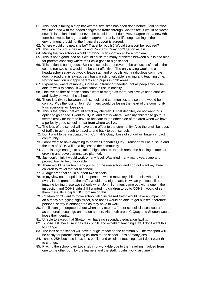- 61. This I feel is taking a step backwards- two sites has been done before it did not work well then and with the added congested traffic through Shotton feel it would be worse now. This option should not even be considered I do however agree that a new 6th form hub would be a great advantage/opportunity for life long learning in the environment, providing the financial support is agreed.
- 62. Where would this new site be? Travel for pupils? Would transport be required?
- 63. This is a ridiculous idea as us and Connah's Quay don't get on as it is
- 64. Mixing the two schools would not work. Transport would be a problem.
- 65. This is not a good idea as it would cause too many problems between pupils and also for parents choosing where their child goes to high school.
- 66. This option is outrageous. Split site schools are proven to be unsuccessful, also the cost to run two sites would not be cost effective. The only saving would be a headteacher salary but would leave staff and or pupils with a ridiculous commute down a road that is always very busy, wasting valuable learning and teaching time. Not too mention unhappy parents and pupils in both areas.
- 67. Expensive, waste of money, increase in transport needed, not all people would be able to walk to school, it would cause a rise in obesity.
- 68. I believe neither of these schools want to merge as there has always been conflicts and rivalry between the schools.
- 69. There is a rivalry between both schools and communities and so there would be conflict. Plus the loss of John Summers would be losing the heart of the community. Plus everyone will lose jobs.
- 70. This is the option that would affect my children. I most definitely do not want thus option to go ahead. I went to CQHS and that is where I wish my children to go to. It seems crazy for them to have to relocate to the other side of the area when we have a perfectly good school not far from where we live.
- 71. The loss of the school will have a big effect to the community. Also there will be loads of traffic to go through to travel to and back to both schools.
- 72. Don't want to be associated with Connah's Quay. Loss of school will hugely impact community.
- 73. I don't want to have anything to do with Connah's Quay. Transport will be a issue and the loss of JSHS will be a big loss to the community.
- 74. Area is large enough to sustain 2 high schools. In both areas the housing estates are growing and developments are planned.
- 75. Just don't think it would work on any level. Was tried many many years ago and proved itself to be unworkable.
- 76. There would be far too many pupils for the one school and I do not want my three children to travel that far to school.
- 77. A large area that could support two schools.
- 78. In my view not an option if it happened, I would move my children elsewhere. The rivalry is too great and the traffic would be a nightmare. How can you councillors imagine joining these two schools when John Summers came out with a one in the inspection and CQHS didn't? If I wanted my children to go to CQHS I would of sent them there. Its a big fat NO from me on this.
- 79. Children don't want to move school, also increased traffic would have an impact on an already struggling high street, also not all would be able to get busses, therefore personal safety is endangered as they have to walk.
- 80. Pupils can get forgotten about when they attend a 'super school' classes wouldn't be as personal. I could go on and on and on. Also both areas C Quay and Shotton would loose their identity.
- 81. Unable to except that Shotton will have no secondary education facility.
- 82. I chose JSH because it has less pupils and excellent teaching staff. I don't want this to change.
- 83. The loss of the school will have a huge impact on the community. The transport will be costly for parents sending children to the school. Loss of many jobs.
- 84. I chose JSH because it has less pupils, and excellent teaching staff I don't want this to change.
- 85. Placing the school over two sites in unworkable due to the travelling involved from one to the other both by the learners and the staff. It didn't work last time !!!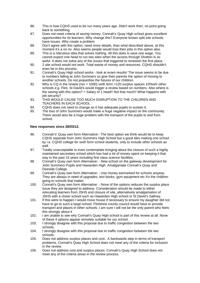- 86. This is how CQHS used to be run many years ago. Didn't work then, no point going back to something.
- 87. Does not meet criteria of saving money. Connah's Quay High school gives excellent opportunities for its learners. Why change this? Everyone knows split site schools have issues. Why create a problem
- 88. Don't agree with this option, need more details, than what described above, at this moment it's a no no. Also seems people would lose their jobs in this option also.
- 89. This is a ridiculous idea that solves nothing. All this does is save one wage. You cannot expect one head to run two sites when the access through Shotton is so awful. It does not solve any of the issues that triggered to renewish the first place.
- 90. 2 site school would not work. Total waste of money and resources. CQHS shouldn't even be in this process.
- 91. Connah's Quay High school works look at exam results! The issue seems to be due to numbers falling at John Summers so give their parents the option of moving to another schools. Do not jeopardise the futures of our children.
- 92. Why is CQ in the review (nor = 1000) sixth form >120 surplus spaces 10%ish! other schools e.g. Flint, St David's would trigger a review based on numbers. Also where is the saving with this option? = Salary of 1 head!! Not that much!! What happens with iob security?
- 93. THIS WOULD CAUSE TOO MUCH DISRUPTION TO THE CHILDREN AND TEACHERS IN EACH SCHOOL
- 94. CQHS does not need to change as it has adequate pupils to sustain it.
- 95. The loss of John Summers would make a huge negative impact on the community. There would also be a huge problem with the transport of the pupils to and from school.

#### **New responses since 26/03/12.**

- 96. Connah's' Quay own form Alternative:- The best option we think would be to keep CQHS separate from John Summers High School but a good ides making one school by i.e. CQHS college for sixth form school students, only to include other schools as well.
- 97. Totally unacceptable to even contemplate bringing about the closure of such a highly maintained secondary school which has had a lot of money spent on keeping it that way in the past 15 years including first class science facilities.
- 98. Connah's Quay own form Alternative: New school on the gateway development for John Summers Pupils and Hawarden High. Amalgamate Connah's Quay and Deeside College.
- 99. Connah's Quay own form Alternative: Use money earmarked for schools anyway. They are always in need of upgrades, text books, gym equipment etc It's the children going to schools that matter.
- 100. Connah's Quay own form Alternative: None of the options reduces the surplus place issue they are designed to address. Consideration should be made to either relocating learners from JSHS and closure of site, alternatively amalgamation of JSHS with a closer school such as Hawarden High school or St David's Saltney.
- 101. If this were to happen I would move house if necessary to ensure my daughter did not have to go to such a large school. Flintshire county council would have to provide transport and places in other schools ,I am sure I will not be the only parent who feels this strongly about it
- 102. I am unable to see why Connah's Quay High school is part of this review at all. None of these 4 options appear remotely suitable for our school.
- 103. I strongly disagree with this proposal due to traffic congestion between the two schools.
- 104. I strongly disagree with this proposal due to traffic congestion between the two schools.
- 105. Does not address surplus places and cost. A backwards step in terms of transport problems. Connah's Quay High School does not meet any of the criteria for inclusion in the review.
- 106. Does not address cost and surplus places. Connah's Quay High School does not meet any of the criteria areas in the review process.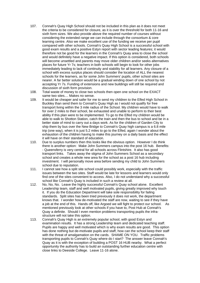- 107. Connah's Quay High School should not be included in this plan as it does not meet the criteria to be considered for closure, as it is over the threshold for both 11-16 and sixth form sizes. We also provide above the required number of courses without considering the extended range we can include through the consortium & core learning centre. Also we make excellent use of the funding we receive per pupil compared with other schools. Connah's Quay High School is a successful school with good exam results and a positive Estyn report with sector leading features; it would therefore not be good for the learners in the Connah's Quay area to close the school and would definitely have a negative impact. If this option is considered, both schools will become unsettled and parents may move older children and/or seeks alternatives places for future Yr 7s; teachers in both schools will begin to look for other jobs immediately leading to lack of continuity and stability for all learners. Any closure of a school with excess surplus places should consider the location of ALL the nearest schools for the learners, as for some John Summers' pupils, other school sites are nearer. A far better solution would be a gradual winding down of one school by not accepting Yr 7s. Funding of extensions and new buildings will still be required and discussion of sixth form provision.
- 108. Total waste of money to close two schools then open one school on the EXACT same two sites.... Makes no sense.
- 109. It would be cheaper and safer for me to send my children to the Elfed High School in Buckley than send them to Connah's Quay High as I would not qualify for free transport living within the 3 mile radius of the School. My children would have to walk for over 2 miles to their school, be exhausted and unable to perform to their best ability if this plan were to be implemented. To go to the Elfed my children would be able to walk to Shotton Station, catch the train and then the bus to school and be in a better state of mind to carry out a days work. As for the children of Garden City to ship them by bus over the New Bridge to Connah's Quay high campus is a 6.8 mile trip (one way), when it is just 5.2 miles to go to the Elfed, again I wonder about the exhaustion of the children having to make this journey on a daily basis and the effect it will have on their standard of education.
- 110. Due to surplus numbers then this looks like the obvious option. However I do think there is another option: Make John Summers campus into the post 16 hub. B enefits: - Queensferry is very central for all schools across Flintshire. It also has good transport links. Takes away the stigma of John Summers School as a secon dary school and creates a whole new area for the school as a post 16 hub including investment. I will personally move area before sending my child to John Summers school due to reputation.
- find one of the sites convenient to access. Also, I do not understand why a successful 111. I cannot see how a split site school could possibly work, especially with the traffic issues between the two sites. Staff would be late for lessons and learners would only school like Connah's Quay is included in such a review at all.
- 112. No, No, No. Leave the highly successful Connah's Quay school alone. Excellent Leadership team, staff and well motivated pupils, giving greatly improved why touch it. If you do the Education Department will take sole responsibility for failing standards. Split sites has been tried previously it does not work, the department knows that. I wonder how de-motivated the staff are now, waiting to see if they have a job at the end of this. Hands off, like Argoed we will fight to protect our school. As mentioned previously look at other schools if you have to, Post Hub at Connah's Quay a definite. Should I even mention problems transporting pupils the infrastructure will not take this option.
- 113. Connah's Quay High is an extremely popular school, with good Estyn and examination results. It has a strong Leadership team and dedicated teaching staff. Pupils are happy and well motivated which is why exam results are good. This option has done nothing but de-motivate pupils and staff, how can the school keep their staff with the threat of amalgamation on the cards. SHAME ON YOU. Traffic problems transporting pupils to Connah's Quay where do I start? The answer leave Connah's Quay as it is with the exception of building a POST 16 HUB nearby. What a perfect opportunity the authority has to build an outstanding further education centre with close links to Deeside College. Leave 11-16 alone.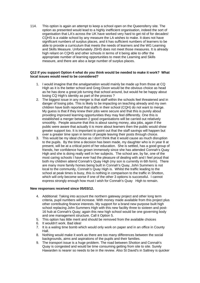114. This option is again an attempt to keep a school open on the Queensferry site. The option as presented would lead to a highly inefficient organisation, indeed the sort of organisation that LA's across the UK have worked very hard to get rid of for decades! CQHS is a viable school by any measure the LA wishes to make. It does not have significant numbers of surplus places, and it has sufficient numbers of learners to be able to provide a curriculum that meets the needs of learners and the WG Learning and Skills Measure. Unfortunately JSHS does not meet those measures. It is already high reliant on CQHS and other schools in terms of it being able to offer the appropriate number of learning opportunities to meet the Learning and Skills measure, and there are also a large number of surplus places.

#### **Q12 If you support Option 4 what do you think would be needed to make it work? What local issues would need to be considered?**

- 1. I would imagine that the amalgamation would mainly be made up from those at CQ High as it is the better school and Greg Dixon would be the obvious choice as head as he has done a great job turning that school around, but would he be happy about losing CQ High's identity as part of the process ?
- 2. The biggest issue in any merger is that staff within the schools feel threatened and in danger of losing jobs. This is likely to be impacting on teaching already and my own children have both reported that staffs in their school (CQH) do not want to merge. My guess is that if they knew their jobs were secure and that this is purely about providing improved learning opportunities they may feel differently. One this is established a merger between 2 good organisations will be carried out relatively smoothly. People assume that this is about saving money, aka jobs, again if the public were aware that actually it is more about learners then the public would show greater support too. It is important to point out that the staff savings will happen but over a greater time span in terms of people leaving their posts through choice.
- 3. This would be my ideal choice as I don't think that it would cause as much disruption to the pupils. By the time a decision has been made, my daughter who is in year 8 at present, will be at a critical point of her education. She is settled, has a good group of friends, her confidence has grown immensely since she has attended Connah's Quay High and she is doing really well in her subjects. The school are, by far, one of the most caring schools I have ever had the pleasure of dealing with and I feel proud that both my children attend Connah's Quay High (my son is currently in 6th form). There are many more family homes being built in Connah's Quay, John Summers is not local to the community, Connah's Quay High is. Whilst the traffic leading to the school at peak times is busy, this is nothing in comparison to the traffic in Shotton, which will only become worse if one of the other 3 options is successful. I cannot express strongly enough how must I wish for Connah's Quay High to remain.

#### **New responses received since 05/03/12.**

- 4. Additional: Taking into account the northern gateway project and other long term criteria, pupil numbers will increase. With money made available from this project plus other contributing finance interests. My support for a brand new purpose built high school replacing John Summers High with this new facility three to sixteen and post-16 hub at Connah's Quay; again this new high school would be one governing body and one management structure. Call it Option 5.
- 5. This option has little merit and should be removed from the available choices
- 6. It wouldn't work. Bad idea!
- 7. It is a waling time bomb which would only work on paper and in an office in County Hall.
- 8. Nothing would make it work as there are too many differences between the social backgrounds, aims and aspirations of the pupils and their families.
- 9. The transport issue is a huge problem. The road between Shotton and Connah's Quay is congested and would be time consuming getting from site to site. Surely Hawarden is nearer so needs to be in the review. Also St David's in Saltney is quicker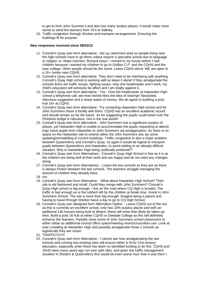to get to from John Summer's and also has many surplus places. It would make more sense to send the learners from JS's to Saltney.

10. Traffic congestion through Shotton and transport arrangements. Ensuring the buildings fit for purpose.

#### **New responses received since 09/03/12**

- 11. Connah's Quay own form alternative:- Set up catchment area so people living near the high schools have to go there unless require a specialist school due to language or religion i.e. Maes Garmon, Richard Gwyn. I moved to my house before I had children because I wanted my children to go to Golftyn C.P. and the CQHS and the near college. Other people should do the same. Leave CQHS alone. WE are open to a 16+ centre near CQHS.
- 12. Connah's Quay own form alternative: They don't need to be interfacing with anything. Connah's Quay High school is working well so leave it alone! If they amalgamate the schools there are traffic issues, fighting issues, only one headmaster won't work, my child's education will seriously be affect and I am totally against it.
- 13. Connah's Quay own form alternative:- Yes Give the headmaster at Hawarden High school a telephone call, see how he/she likes the idea of sharing!! Absolutely ridiculous suggestion and a shear waste of money. We do agree to building a post hub 16+ at CQHS.
- 14. Connah's Quay own form alternative:- Try contacting Hawarden High school and let John Summers share a facility with them. CQHS has an excellent academic record and should remain so far the future. As for suggesting the pupils could travel over the Flintshire bridge is ridiculous. Get in the real world!!
- 15. Connah's Quay own form alternative:- John Summers has a significant surplus of places, yet Hawarden High is unable to accommodate the pupils requesting to attend, ergo move pupils from Hawarden to John Summers via amalgamation. As there is no space on the Hawarden site to extend utilise the John Summers site, by some updating/remodelling of current buildings. Traffic congestion is also a major problem between Queensferry and Connah's Quay, so again it would be logical to transport pupils between Queensferry and Hawarden, to avoid adding to an already difficult situation. Why is Hawarden High being 'politically protected'?
- 16. Connah's Quay own form Alternatives:- Connah's Quay High School is fine as it is as the children are doing well at their work and are happy and do not want any changes doing.
- 17. Connah's Quay own form Alternatives: Leave the two schools as they are as there is always friction between the two schools. The teachers struggle managing the amount of children they already have.
- 18. n/a
- 19. Connah's Quay own form Alternative: What about Hawarden High School? Their site is old fashioned and small. Could they merge with John Summers? Connah's Quay High school is big enough. I live on the road where CQ High is located. The traffic is bad enough as is the rubbish left by the children at break time. Invest in John Summers School. The site is more than big enough. Imagine being a parent and having to travel through Shotton twice a day to go to CQ High School.
- 20. Connah's Quay own designed form Alternative Option: Leave CQHS out of the mix as this is currently an excellent school, only has 10% surplus places and with an additional 140 houses being built at Wepre, these will more than likely be taken up then. Build a post 16 hub at either CQHS or Deeside College as this will definitely enhance the learners. Partially close some of John Summers school classrooms to either utilise as additional council office space/meeting rooms/councillors use. Look at over crowding at Hawarden High and possibly amalgamate those 2 schools as logisitically they are closer.
- 21. TRAFFIC!!!!!!!!!
- 22. Connah's Quay own form Alternative:- I cannot see how amalgamating the two schools and running two existing sites will ensure either is fit for 21st century education, especially when there has been no identified funding to do this. CQHS and JSHS were many years ago run over split sites, and given the traffic management situation in Shotton & Queensferry this would be even worse hour than it was then! I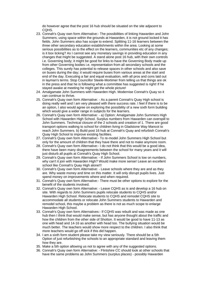do however agree that the post 16 hub should be situated on the site adjacent to CQHS.

- 23. Connah's Quay own form Alternative:- The possibilities of linking Hawarden and John Summers; using space within the grounds at Hawarden, it is not ground locked it has fields. John Summers also has scope to extend. Splitting 11-16 learners between the three other secondary education establishments within the area. Looking at some serious possibilities as to the effect on the learners, communities etc of any changes; is it box ticking? As I cannot see any monetary savings in providing education in any changes that might be suggested. A stand alone post 16 hub, with their own controls i.e. Governing body; it might be good for links to have the Governing Body made up from other Governing bodies i.e. representation from all secondary schools and the colleges. This surely has potential to release spaces in other schools and also save on buses during the day; it would require buses from various areas at the start and end of the day. Executing a fair and equal evaluation, with all pros and cons laid out in layman's terms. Stop Councillor Steele-Mortimer from telling us that things are ok in the press and that he is following what a committee has suggested is right! If he stayed awake at meeting he might get the whole picture!
- 24. Amalgamate John Summers with Hawarden High. Modernise Connah's Quay so it can continue to thrive.
- 25. Connah's Quay own form Alternative: As a parent Connah's Quay High school is doing really well and I am very pleased with there success rate. I feel if there is to be an option, I also would agree on exploring the possibility of a new sixth form building which would give a wider range in subjects for the learners.
- 26. Connah's Quay own form Alternative: a) Option: Amalgamate John Summers High School with Hawarden High School. Surplus numbers from Hawarden can overspill to John Summers. Technical closure of the 2 schools and creation of 1. There are good transport options walking to school for children living in Gladstone Way Mancot to reach John Summers. b) Build post 16 hub at Connah's Quay and refurbish Connah's Quay High School to improve existing facilities.
- 27. Connah's Quay own form Alternative:- To re-model John Summers High School but only for the amount of children that they have there and not to make anymore room.
- 28. Connah's Quay own form Alternative:- I do not think that this would be a good idea, there have been many disagreements between the school for many years and it will just disturb all pupils at Connah's Quay High School.
- 29. Connah's Quay own form Alternative: If John Summers School is low on numbers, why can't it join with Hawarden High? Would make more sense! Leave an excellent school like Connah's Quay High alone!!!
- 30. Connah's Quay own form Alternative: Leave schools where they are and as they are. Why waste money and time on this matter. It will only disrupt pupils lives. Just spend money on improvements where and when required.
- 31. Connah's Quay own form Alternative:- There must be other options to explore for the benefit of the students involved.
- 32. Connah's Quay own form Alternative: Leave CQHS as is and develop a 16 hub on site. With regards to John Summers pupils relocate students to CQHS and/or Hawarden High School. Relocate students to CQHS and remodel CQHS site to accommodate all students or relocate John Summers students to Hawarden and remodel school, this maybe a problem as there is not as much scope to enlarge Hawarden High School.
- 33. Connah's Quay own form Alternatives:- If CQHS was rebuilt and was made as one hub then I think that would make sense, but has anyone thought about the traffic and how the children from the other side of Shotton. It would be good to have 11-13 as one with head and 14-16 as another with head too. The bullying situation would be much better. The teachers would show more respect to the children. I also think that more teachers would go off sick if this did happen.
- 34. I am a sixth form student please take my view seriously. There should be a 5th Option of just refurbishing the schools to an appropriate standard and leaving them how they are.
- 35. Make a 5th option allowing us not to agree with any of the suggested options.
- 36. Connah's Quay own form Alternative: Flintshire CC should look at other schools that have the same problems as John Summers (surplus places) - possibly Hawarden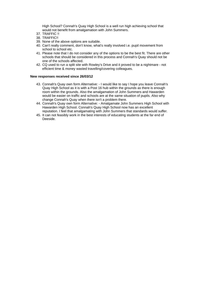High School? Connah's Quay High School is a well run high achieving school that would not benefit from amalgamation with John Summers.

- 37. TRAFFIC !!
- 38. TRAFFIC!!
- 39. None of the above options are suitable.
- 40. Can't really comment, don't know, what's really involved i.e. pupil movement from school to school etc.
- 41. Please note that I do not consider any of the options to be the best fit. There are other schools that should be considered in this process and Connah's Quay should not be one of the schools affected.
- 42. CQ used to run a split site with Rowley's Drive and it proved to be a nightmare not efficient time & money wasted travelling/covering colleagues.

#### **New responses received since 26/03/12**

- 43. Connah's Quay own form Alternative: I would like to say I hope you leave Connah's Quay High School as it is with a Post 16 hub within the grounds as there is enough room within the grounds. Also the amalgamation of John Summers and Hawarden would be easier on traffic and schools are at the same situation of pupils. Also why change Connah's Quay when there isn't a problem there.
- 44. Connah's Quay own form Alternative: Amalgamate John Summers High School with Hawarden High School. Connah's Quay High School now has an excellent reputation. I feel that amalgamating with John Summers that standards would suffer.
- 45. It can not feasibly work in the best interests of educating students at the far end of Deeside.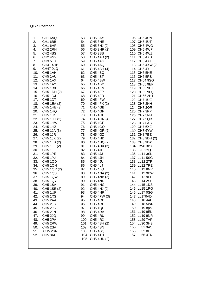#### **Q12c Postcode**

| 105. CH5 4UD (2) | CH <sub>1</sub> 6AQ<br>53.<br>1.<br>2.<br>CH <sub>1</sub> 6BB<br>54.<br>3.<br>CH <sub>1</sub> 6HF<br>55.<br>4.<br>CH <sub>2</sub> 2RH<br>56.<br>5.<br>CH <sub>2</sub> 4BS<br>57.<br>6.<br>CH <sub>2</sub> 4NY<br>58.<br>7.<br>CH <sub>3</sub> 5LU<br>59.<br>8.<br><b>CH41 4HB</b><br>60.<br>9.<br>CH47 0LQ<br>61.<br>10.<br>62.<br>CH <sub>5</sub> 1AH<br>11.<br>CH5 1AU<br>63.<br>12.<br>CH <sub>5</sub> 1AX<br>64.<br>13.<br>65.<br>CH5 1AY<br>14.<br>CH <sub>5</sub> 1BX<br>66.<br>15.<br>CH5 1DH (2)<br>67.<br>16.<br>CH <sub>5</sub> 1DJ<br>68.<br>17.<br>CH <sub>5</sub> 1DT<br>69.<br>70.<br>18.<br>CH5 1EA (2)<br>71.<br>19.<br>CH5 1HE (3)<br>72.<br>20.<br>CH <sub>5</sub> 1HQ<br>73.<br>21.<br>CH <sub>5</sub> 1H <sub>S</sub><br>22.<br>CH5 1HT (2)<br>74.<br>23.<br>CH5 1HW<br>75.<br>24.<br>CH <sub>5</sub> 1H <sub>Z</sub><br>76.<br>25.<br>CH5 1JA (3)<br>77.<br>26.<br>CH <sub>5</sub> 1JR<br>78.<br>27.<br>CH5 1JX (2)<br>79.<br>28.<br>CH5 1LB (2)<br>80.<br>29.<br>CH5 1LE (2)<br>81.<br>30.<br>CH <sub>5</sub> 1LF<br>82.<br>31.<br>83.<br>CH <sub>5</sub> 1PE<br>32.<br>CH <sub>5</sub> 1PJ<br>84.<br>33.<br>CH5 1QD<br>85.<br>34.<br>CH5 1QN<br>86.<br>35.<br>CH5 1QR (2)<br>87.<br>36.<br><b>CH5 1QS</b><br>88.<br>37.<br>CH5 1QW<br>89.<br>38.<br>CH5 1QY<br>90.<br>CH5 1SA<br>39.<br>91.<br>92.<br>40.<br>CH5 1SE (2)<br>41.<br>CH <sub>5</sub> 1UP<br>93.<br>42.<br>CH5 1XS<br>94.<br>43.<br>95.<br>CH <sub>5</sub> 2AA<br>44.<br>CH <sub>5</sub> 2JB<br>96.<br>45.<br>CH <sub>5</sub> 2JG<br>97.<br>46.<br>CH <sub>5</sub> 2JN<br>98.<br>47.<br>CH <sub>5</sub> 2JQ<br>99.<br>48.<br>CH <sub>5</sub> 2PA<br>49.<br>CH <sub>5</sub> 2RW<br>50.<br>CH <sub>5</sub> 2SA<br>51.<br>CH <sub>5</sub> 2SR<br>52.<br>CH5 3AU | CH5 3AY<br>CH <sub>5</sub> 3HE<br>CH5 3HJ (2)<br>CH5 3HR (2)<br>CH <sub>5</sub> 3SB<br>CH5 4AB (2)<br>CH5 4AG<br>CH5 4AQ<br>CH5 4BH (4)<br>CH5 4BQ<br>CH <sub>5</sub> 4BT<br>CH5 4BW<br>CH5 4BY<br>CH5 4EM<br>CH <sub>5</sub> 4EP<br>CH <sub>5</sub> 4FD<br>CH5 4FW<br>CH5 4FX (2)<br>CH5 4GB<br>CH <sub>5</sub> 4GF<br>CH5 4GH<br>CH5 4GN (4)<br>CH <sub>5</sub> 4GP<br>CH5 4GQ<br>CH5 4GR (2)<br>CH <sub>5</sub> 4GZ<br>CH5 4HD<br>CH5 4HQ (2)<br>CH5 4HX (2)<br>CH <sub>5</sub> 4JF<br>CH5 4JJ<br>CH <sub>5</sub> 4JN<br>CH5 4JU<br>CH <sub>5</sub> 4LJ<br>CH5 4LQ<br>CH5 4NA (2)<br>CH5 4NB (2)<br>CH <sub>5</sub> 4ND<br>CH5 4NG<br>CH5 4NJ (2)<br>CH5 4NR<br>CH5 4PW (3)<br>CH5 4QB<br>CH5 4QL<br>CH5 4QU<br>CH5 4RA<br>CH5 4RU<br>100. CH5 4RX<br>101. CH5 4SH (2)<br>102. CH5 4SN<br>103. CH5 4SQ<br>104. CH5 4TH | 106. CH5 4UN<br>107. CH5 4UT<br>108. CH5 4WG<br>109. CH5 4WP<br>110. CH5 4WZ<br>111. CH5 4XD<br>112. CH5 4XJ<br>113. CH5 4XW (2)<br>114. CH5 4YL<br>115. CH6 5NE<br>116. CH6 5RB<br>117. CH64 9SG<br>118. CH65 9EP<br>119. CH65 9LJ<br>120. CH65 9LQ<br>121. CH66 2HT<br>122. CH7 1UE<br>123. CH7 2NH<br>124. CH7 2QR<br>125. CH7 3PP<br>126. CH7 5NH<br>127. CH7 5QB<br>128. CH7 6AS<br>129. CH7 6XE<br>130. CH7 6YW<br>131. CH8 7BE<br>132. CH8 9DH (2)<br>133. CH8 9DX<br>134. CW8 3BY<br>135. L26 1YQ<br>136. LL11 3SL<br>137. LL11 5SG<br>138. LL12 2TF<br>139. LL12 7RE<br>140. LL12 8NR<br>141. LL12 9DW<br>142. LL12 9EF<br>143. LL14 2SS<br>144. LL15 1DS<br>145. LL15 1RG<br>146. LL17 0SG<br>147. LL170AD<br>148. LL18 4AH<br>149. LL18 5WR<br>150. LL19 8pa<br>151. LL19 9EL<br>152. LL19 9NR<br>153. LL29 7AP<br>154. LL30 3HS<br>155. LL31 9AS<br>156. LL32 8LT<br>157. LL65 4TN |
|------------------|--------------------------------------------------------------------------------------------------------------------------------------------------------------------------------------------------------------------------------------------------------------------------------------------------------------------------------------------------------------------------------------------------------------------------------------------------------------------------------------------------------------------------------------------------------------------------------------------------------------------------------------------------------------------------------------------------------------------------------------------------------------------------------------------------------------------------------------------------------------------------------------------------------------------------------------------------------------------------------------------------------------------------------------------------------------------------------------------------------------------------------------------------------------------------------------------------------------------------------------------------------------------------------------------------------------------------------------------------------------------------------------------------------------------------------------------------------------------------------------------------------------------------------------------------------------------------------------------------------------------------------------------------------------------------------------------------------------------------------------------------|---------------------------------------------------------------------------------------------------------------------------------------------------------------------------------------------------------------------------------------------------------------------------------------------------------------------------------------------------------------------------------------------------------------------------------------------------------------------------------------------------------------------------------------------------------------------------------------------------------------------------------------------------------------------------------------------------------------------------------------------------------------------------------------------------------------------------|------------------------------------------------------------------------------------------------------------------------------------------------------------------------------------------------------------------------------------------------------------------------------------------------------------------------------------------------------------------------------------------------------------------------------------------------------------------------------------------------------------------------------------------------------------------------------------------------------------------------------------------------------------------------------------------------------------------------------------------------------------------------------------------------------------------------------------------------------------------------------------------------|
|------------------|--------------------------------------------------------------------------------------------------------------------------------------------------------------------------------------------------------------------------------------------------------------------------------------------------------------------------------------------------------------------------------------------------------------------------------------------------------------------------------------------------------------------------------------------------------------------------------------------------------------------------------------------------------------------------------------------------------------------------------------------------------------------------------------------------------------------------------------------------------------------------------------------------------------------------------------------------------------------------------------------------------------------------------------------------------------------------------------------------------------------------------------------------------------------------------------------------------------------------------------------------------------------------------------------------------------------------------------------------------------------------------------------------------------------------------------------------------------------------------------------------------------------------------------------------------------------------------------------------------------------------------------------------------------------------------------------------------------------------------------------------|---------------------------------------------------------------------------------------------------------------------------------------------------------------------------------------------------------------------------------------------------------------------------------------------------------------------------------------------------------------------------------------------------------------------------------------------------------------------------------------------------------------------------------------------------------------------------------------------------------------------------------------------------------------------------------------------------------------------------------------------------------------------------------------------------------------------------|------------------------------------------------------------------------------------------------------------------------------------------------------------------------------------------------------------------------------------------------------------------------------------------------------------------------------------------------------------------------------------------------------------------------------------------------------------------------------------------------------------------------------------------------------------------------------------------------------------------------------------------------------------------------------------------------------------------------------------------------------------------------------------------------------------------------------------------------------------------------------------------------|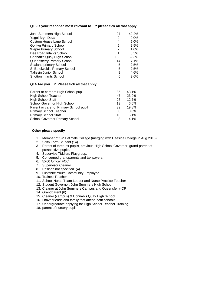#### **Q13 Is your response most relevant to....? please tick all that apply**

| John Summers High School        | 97  | 49.2%   |
|---------------------------------|-----|---------|
| Ysgol Bryn Deva                 | 0   | $0.0\%$ |
| <b>Custom House Lane School</b> | 4   | 2.0%    |
| <b>Golftyn Primary School</b>   | 5   | 2.5%    |
| <b>Wepre Primary School</b>     | 2   | 1.0%    |
| Dee Road Infants School         |     | $0.5\%$ |
| Connah's Quay High School       | 103 | 52.3%   |
| Queensferry Primary School      | 14  | 7.1%    |
| Sealand primary School          | 5   | 2.5%    |
| St Ethelwold's Primary School   | 5   | 2.5%    |
| <b>Taliesin Junior School</b>   | 9   | 4.6%    |
| <b>Shotton Infants School</b>   | 6   | $3.0\%$ |

#### **Q14 Are you....? Please tick all that apply**

| Parent or carer of High School pupil    | 85 | 43.1%   |
|-----------------------------------------|----|---------|
| <b>High School Teacher</b>              | 47 | 23.9%   |
| <b>High School Staff</b>                | 25 | 12.7%   |
| School Governor High School             | 13 | 6.6%    |
| Parent or carer of Primary School pupil | 39 | 19.8%   |
| <b>Primary School Teacher</b>           | 0  | $0.0\%$ |
| <b>Primary School Staff</b>             | 10 | 5.1%    |
| <b>School Governor Primary School</b>   | 8  | 4.1%    |
|                                         |    |         |

### **Other please specify**

- 1. Member of SMT at Yale College (merging with Deeside College in Aug 2013)
- 2. Sixth Form Student (14)
- 3. Parent of three ex-pupils, previous High School Governor, grand-parent of prospective pupils.
- 4. Supervise Tiddlers Playgroup.
- 5. Concerned grandparents and tax payers.
- 6. 5X60 Officer FCC
- 7. Supervisor Cleaner
- 8. Position not specified. (4)
- 9. Flintshire Youth/Community Employee
- 10. Trainee Teacher
- 11. School Nurse Team Leader and Nurse Practice Teacher
- 12. Student Governor, John Summers High School
- 13. Cleaner at John Summers Campus and Queensferry CP
- 14. Grandparent (6)
- 15. Cleaner (campus) & Connah's Quay High School
- 16. I have friends and family that attend both schools.
- 17. Undergraduate applying for High School Teacher Training.
- 18. parent of nursery pupil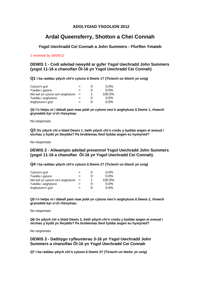# **ADOLYGIAD YSGOLION 2012**

# **Ardal Queensferry, Shotton a Chei Connah**

# **Ysgol Uwchradd Cei Connah a John Summers - Ffurflen Ymateb**

#### *1 received by 30/04/12*

**DEWIS 1 - Codi adeilad newydd ar gyfer Ysgol Uwchradd John Summers (ysgol 11-16 a chanolfan Ôl-16 yn Ysgol Uwchradd Cei Connah)**

**Q1 I ba raddau ydych chi'n cytuno â Dewis 1? (Ticiwch un blwch yn unig)** 

| Cytuno'n gryf                    |     | $\mathbf{0}$ | $0.0\%$ |
|----------------------------------|-----|--------------|---------|
| Tueddu i gytuno                  | =   | O            | $0.0\%$ |
| Nid wyf yn cytuno na'n anghytuno | $=$ |              | 100.0%  |
| Tueddu i anghytuno               |     | 0            | $0.0\%$ |
| Anghytuno'n gryf                 | =   | 0            | $0.0\%$ |

**Q2 I'n helpu ni i ddeall pam mae pobl yn cytuno neu'n anghytuno â Dewis 1, rhowch grynodeb byr o'ch rhesymau** 

No responses

**Q3 Os ydych chi o blaid Dewis 1, beth ydych chi'n credu y byddai angen ei wneud i sicrhau y bydd yn llwyddo? Pa broblemau lleol fyddai angen eu hystyried?** 

No responses

### **DEWIS 2 - Ailwampio adeilad presennol Ysgol Uwchradd John Summers (ysgol 11-16 a chanolfan Ôl-16 yn Ysgol Uwchradd Cei Connah).**

**Q4 I ba raddau ydych chi'n cytuno â Dewis 2? (Ticiwch un blwch yn unig)** 

| Cytuno'n gryf                    |     | 0 | $0.0\%$ |
|----------------------------------|-----|---|---------|
| Tueddu i gytuno                  |     | O | $0.0\%$ |
| Nid wyf yn cytuno na'n anghytuno | $=$ |   | 100.0%  |
| Tueddu i anghytuno               |     | 0 | $0.0\%$ |
| Anghytuno'n gryf                 |     | O | $0.0\%$ |

**Q5 I'n helpu ni i ddeall pam mae pobl yn cytuno neu'n anghytuno â Dewis 2, rhowch grynodeb byr o'ch rhesymau.** 

No responses

**Q6 Os ydych chi o blaid Dewis 2, beth ydych chi'n credu y byddai angen ei wneud i sicrhau y bydd yn llwyddo? Pa broblemau lleol fyddai angen eu hystyried?** 

No responses

**DEWIS 3 - Datblygu cyfleusterau 3-16 yn Ysgol Uwchradd John Summers a chanolfan Ôl-16 yn Ysgol Uwchradd Cei Connah**

**Q7 I ba raddau ydych chi'n cytuno â Dewis 3? (Ticiwch un blwhc yn unig)**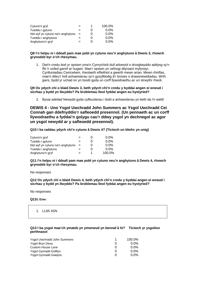| Cytuno'n gryf                    | $=$ | 1 | 100.0%  |
|----------------------------------|-----|---|---------|
| Tueddu i gytuno                  |     |   | $0.0\%$ |
| Nid wyf yn cytuno na'n anghytuno | $=$ |   | $0.0\%$ |
| Tueddu i anghytuno               |     |   | $0.0\%$ |
| Anghytuno'n gryf                 | $=$ |   | $0.0\%$ |

#### **Q8 I'n helpu ni i ddeall pam mae pobl yn cytuno neu'n anghytuno â Dewis 3, rhowch grynodeb byr o'ch rhesymau.**

1. Dwi'n credu bod yr opsiwn yma'n Cynrychioli dull arloesiol o drosglwyddo addysg sy'n ffit i'r unfed ganrif ar hugain. Mae'r opsiwn yn cefnogi dilyniant myfyrwyr, Cynlluniadiau Cwricwlwm, rheolaeth effeithiol a gwerth mewn arian. Mewn rhinflas, mae'n dileu'r holl anhawsterau sy'n gysylltiedig â'r broses o drawsnewidiadau. Wrth gwrs, bydd yr uchad on yn bosib gyda un corff llywodraethu ac un strwythr rheoli.

#### **Q9 Os ydych chi o blaid Dewis 3, beth ydych chi'n credu y byddai angen ei wneud i sicrhau y bydd yn llwyddo? Pa broblemau lleol fyddai angen eu hystyried?**

2. Bysai adeilad Newydd gyda cyfleusterau i bobl a anhawsterau yn beth da i'n weld!

**DEWIS 4 - Uno Ysgol Uwchradd John Summers ac Ysgol Uwchradd Cei Connah gan ddefnyddio'r safleoedd presennol. (Un pennaeth ac un corff llywodraethu a fyddai'n golygu cau'r ddwy ysgol yn dechnegol ac agor un ysgol newydd ar y safleoedd presennol).**

#### **Q10 I ba raddau ydych chi'n cytuno â Dewis 4? (Ticiwch un blwhc yn unig)**

| Cytuno'n gryf                    |     | O | $0.0\%$ |
|----------------------------------|-----|---|---------|
| Tueddu i gytuno                  | =   | O | $0.0\%$ |
| Nid wyf yn cytuno na'n anghytuno | $=$ | O | $0.0\%$ |
| Tueddu i anghytuno               | =   | 0 | $0.0\%$ |
| Anghytuno'n gryf                 | =   |   | 100.0%  |

**Q11 I'n helpu ni i ddeall pam mae pobl yn cytuno neu'n anghytuno â Dewis 4, rhowch grynodeb byr o'ch rhesymau.** 

No responses

**Q12 Os ydych chi o blaid Dewis 4, beth ydych chi'n credu y byddai angen ei wneud i sicrhau y bydd yn llwyddo? Pa broblemau lleol fyddai angen eu hystyried?** 

No responses

**Q12c Enw:**

1. LL65 4SN

#### **Q13 I ba ysgol mae'ch ymateb yn ymwneud yn bennaf â hi? Ticiwch yr ysgolion perthnasol**

| Ysgol Uwchradd John Summers |   | 100.0%  |
|-----------------------------|---|---------|
| Ysgol Bryn Deva             | O | $0.0\%$ |
| Custom House Lane           | O | $0.0\%$ |
| Ysgol Gynradd Golftyn       | O | $0.0\%$ |
| Ysgol Gynradd Gwepra        | O | $0.0\%$ |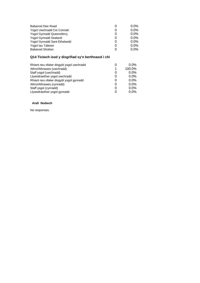| Babanod Dee Road                    | 0        | $0.0\%$ |
|-------------------------------------|----------|---------|
| Ysgol Uwchradd Cei Connah           | O        | $0.0\%$ |
| <b>Ysgol Gynradd Queensferry</b>    | $\Omega$ | $0.0\%$ |
| <b>Ysgol Gynradd Sealand</b>        | $\Omega$ | $0.0\%$ |
| <b>Ysgol Gynradd Sant Ethelwold</b> | $\Omega$ | $0.0\%$ |
| Ysgol lau Taliesin                  | $\Omega$ | $0.0\%$ |
| <b>Babanod Shotton</b>              | O        | $0.0\%$ |
|                                     |          |         |

# **Q14 Ticiwch isod y disgrifiad sy'n berthnasol i chi**

| O | $0.0\%$ |
|---|---------|
| 1 | 100.0%  |
| 0 | $0.0\%$ |
| 0 | $0.0\%$ |
| 0 | $0.0\%$ |
| 0 | $0.0\%$ |
| 0 | $0.0\%$ |
| O | $0.0\%$ |
|   |         |

#### **Arall Nodwch**

No responses.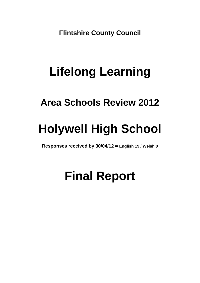**Flintshire County Council** 

# **Lifelong Learning**

# **Area Schools Review 2012**

# **Holywell High School**

**Responses received by 30/04/12 = English 19 / Welsh 0**

# **Final Report**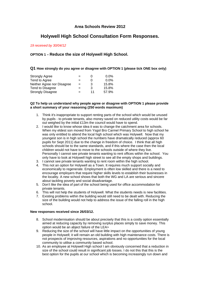# **Area Schools Review 2012**

# **Holywell High School Consultation Form Responses.**

*19 received by 30/04/12* 

# **OPTION 1 – Reduce the size of Holywell High School.**

#### **Q1 How strongly do you agree or disagree with OPTION 1 (please tick ONE box only)**

| <b>Strongly Agree</b>      |     |    | $0.0\%$ |
|----------------------------|-----|----|---------|
| Tend to Agree              | $=$ |    | $0.0\%$ |
| Neither Agree nor Disagree | $=$ | 3  | 15.8%   |
| Tend to Disagree           | $=$ | 3  | 15.8%   |
| <b>Strongly Disagree</b>   | $=$ | 11 | 57.9%   |

#### **Q2 To help us understand why people agree or disagree with OPTION 1 please provide a short summary of your reasoning (250 words maximum)**

- 1. Think it's inappropriate to support renting parts of the school which would be unused by pupils - to private tenants, also money saved on reduced utility costs would be far out weighed by the initial £13m the council would have to spend.
- 2. I would like to know whose idea it was to change the catchment area for schools. When my eldest son moved from Ysgol Bro Carmel Primary School to high school he was only entitled to attend the local high school which was Holywell. Now that my youngest son is in high school the numbers have dramatically reduced (approx 60 pupils for Sept 2011) due to the change in freedom of choice. I think that all high schools should be to the same standards, and if this where the case then the local children would not have to move to the schools outside of where they live. Personally I cannot see private tenants wanting to rent offices within the school. You only have to look at Holywell high street to see all the empty shops and buildings.
- 3. I cannot see private tenants wanting to rent room within the high school.
- 4. This not an option for Holywell as a Town. It requires much support socially and economically to regenerate. Employment is often low skilled and there is a need to encourage employers that require higher skills levels to establish their businesses in the locality. A new school shows that both the WG and LA are serious and sincere about tackling poverty and social disadvantage.
- 5. Don't like the idea of part of the school being used for office accommodation for private tenants.
- 6. This will not help the students of Holywell. What the students needs is new facilities.
- 7. Existing problems within the building would still need to be dealt with. Reducing the size of the building would not help to address the issue of the falling roll in the high school.

#### **New responses received since 26/03/12.**

- 8. School modernisation should be about precisely that this is a costly option essentially aimed at reducing capacity by removing surplus places simply to save money. This option would be an abject failure of the LEA>
- 9. Reducing the size of the school will have little impact on the opportunities of young people in Holywell; it will remain an old building with high maintenance costs. There is not prospects of improving resources, aspirations and no opportunities for the local community to utilise a community based school.
- 10. As an employee at Holywell High school I am obviously concerned that a reduction in size of the school could result in significant job losses. I do not this that this is the best option for the pupils at our school which is becoming increasingly run down and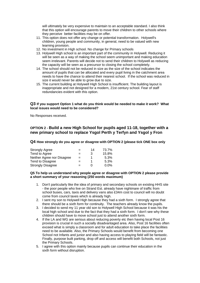will ultimately be very expensive to maintain to an acceptable standard. I also think that this option will encourage parents to move their children to other schools where they perceive better facilities may be on offer.

- 11. This option does not offer any change or potential transformation. Holywell's children, young people and community, in general, need to be valued with new learning provision.
- 12. No investment in High school. No change for Primary schools
- 13. Holywell High school is an important part of the community in Holywell. Reducing it will be seen as a way of making the school seem unimportant and making education seem irrelevant. Parents will decide not to send their children to Holywell as reducing the capacity will be seen as a precursor to closing the school completely.
- 14. The school should not be reduced in size as the size of the school indicates the amount of pupils that can be allocated and every pupil living in the catchment area needs to have the chance to attend their nearest school. If the school was reduced in size it would never be able to grow due to size.
- 15. The current building at Holywell High School is insufficient. The building layout is inappropriate and not designed for a modern, 21st century school. Fear of staff redundancies evident with this option.

#### **Q3 If you support Option 1 what do you think would be needed to make it work? What local issues would need to be considered?**

No Responses received.

### **OPTION 2 - Build a new High School for pupils aged 11-18, together with a new primary school to replace Ysgol Perth y Terfyn and Ysgol y Fron**

**Q4 How strongly do you agree or disagree with OPTION 2 (please tick ONE box only** 

| <b>Strongly Agree</b>      |     | 14         | 73.7%   |
|----------------------------|-----|------------|---------|
| Tend to Agree              | $=$ | 3          | 15.8%   |
| Neither Agree nor Disagree | $=$ |            | 5.3%    |
| Tend to Disagree           | $=$ |            | 5.3%    |
| <b>Strongly Disagree</b>   | -   | $^{\circ}$ | $0.0\%$ |

#### **Q5 To help us understand why people agree or disagree with OPTION 2 please provide a short summary of your reasoning (250 words maximum)**

- 1. Don't particularly like the idea of primary and secondary schools on existing HHS site - the poor people who live on Strand Est. already have nightmare of traffic from school buses, cars, taxis and delivery vans also £34m cost to council will no doubt come from council taxes which is already high.
- 2. I sent my son to Holywell High because they had a sixth form. I strongly agree that there should be a sixth form for continuity. The teachers already know the pupils.
- 3. I decided to send my 11 year old son to Holywell High School because it was his the local high school and due to the fact that they had a sixth form. I don't see why these children should have to move school just to attend another sixth form.
- 4. If the LA and WG are serious about reducing poverty etc then having local Post 16 provision is crucial in such a socially disadvantaged area. Also, Post 16 facilities often exceed what is simply a classroom and for adult education to take place the facilities need to be available. Also, the Primary Schools would benefit from becoming one School not Infants and junior and also having access to playing field will be fantastic. Finally, purpose built parking, drop off and access will benefit both Schools, not just the Primary Schools.
- 5. I agree with this option mainly because pupils can continue their education in the sixth form without disruption.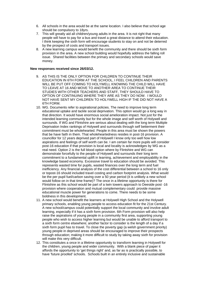- 6. All schools in the area would be at the same location. I also believe that school age should be compulsory to 18yrs.
- 7. This will greatly aid all children/young adults in the area. It is not right that many people will have to pay for a bus and travel a great distance to attend their education. I think keeping the sixth form will encourage students to stay on and not be deterred by the prospect of costs and transport issues.
- 8. A new learning campus would benefit the community and there should be sixth form provision in the area. A new school building would hopefully address the falling roll issue. Shared facilities between the primary and secondary schools would save money.

#### **New responses received since 26/03/12.**

- 9. AS THIS IS THE ONLY OPTION FOR CHILDREN TO CONTINUE THEIR EDUCATION IN 6TH FORM AT THE SCHOOL, I FEEL CHILDREN AND PARENTS WILL BE PUT OFF COMING TO HOLYWELL KNOWING THE CHILD WILL HAVE TO LEAVE AT 16 AND MOVE TO ANOTHER AREA TO CONTINUE THEIR STUDIES WITH OTHER TEACHERS AND STAFF, THEY SHOULD HAVE TO OPTION OF CONTINUING WHERE THEY ARE AS THEY DO NOW. I WOULD NOT HAVE SENT MY CHILDREN TO HOLYWELL HIGH IF THE DID NOT HAVE A 6TH FORM.
- 10. WG. Documents refer to aspirational policies. The need to improve long term educational uptake and tackle social deprivation. This option would go a long way in that direction. It would have enormous social amelioration impact. Not just for the intended learning community but for the whole image and self worth of Holywell and surrounds. If WG and Flintshire are serious about dealing with the long term Multiple Deprivation Index rankings of Holywell and surrounds through self betterment their commitment must be wholehearted. People in this area must be shown the powers that be have faith in them. That wholeheartedness resides in post-16 provision. A councillor for 12 years deprived part of Holywell I know only too well how low aspirations and feelings of self worth can be. I am certain far more pupils will consider post-16 education if that provision is local and locality is acknowledges by WG as a real need. Option 2 is the full blood option where by Flintshire and WG can demonstrate forcefully to the people of Holywell and surrounds their long term commitment to a fundamental uplift in learning, achievement and employability in the knowledge based economy. Excessive travel to education should be avoided. This represents wasted time for pupils, wasted finances over the long term and fuel inefficiency. Any financial analysis of the cost differential between a school to 16 only or topost-16 should included travel costing and carbon footprint analysis. What would be the per pupil fuel/carbon saving over a 50 year period (it is unlikely a new school would follow on in that time frame)? The once in a lifetime opportunity is there for Flintshire as this school would be part of a twin towers approach to Deeside post -16 provision where cooperation and mutual complementary could provide massive educational muscle power for generations to come. There needs to be some boldness in this development.
- 11. A new school would benefit the learners at Holywell High School and the Holywell primary schools, enabling young people to access education fit for the 21st Century. A new school/campus could potentially support the local community and involve adult learning, especially if it has a sixth form provision. 6th Form provision will also help raise the aspirations of young people in a community first area, supporting young people who wish to access higher learning but would be unable to afford transport to a sixth form centre elsewhere; another factor to consider is the length of a day if a sixth form pupil has to travel. To close the poverty gap (a welsh government priority) young people in deprived areas should be encouraged to improve their prospects through education; making it more difficult to study by taking away sixth for provision will make this very difficult.
- 12. This constitutes a once in a lifetime opportunity to transform learning in Holywell for the children, young people and wider community. With a blank piece of paper it affords the opportunity to 'get things right' and, as far as is practically possible, to have 'future proofed' schools. Schools built in an entirely inclusive and sustainable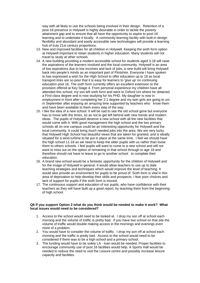way with all likely to use the schools being involved in their design. Retention of a post-16 presence in Holywell is highly desirable in order to tackle the poverty attainment gap and to ensure that all have the opportunity to aspire to post-16 learning and to undertake it locally. A community learning facility with built-in design flexibility and abundant and easily accessible new technologies will provide a learning hub of truly 21st century proportions.

- 13. New and improved facilities for all children in Holywell. Keeping the sixth form option at Holywell important to retain students in higher education. Many students will not travel to study at other schools
- 14. A new building providing a modern accessible school for students aged 3-18 will raise the aspirations of the learners involved and the local community. Holywell is an area of low aspirations due to low incomes and lack of jobs, a new build will bring Holywell back into people's minds as an important part of Flintshire. Everyone I have spoken to has expressed a wish for the High School to offer education up to 18 as local transport links are so poor that it is easy for learners to 'give up' on continuing education post 16. The sixth form currently offers an excellent extension to the provision offered at Key Stage 4. From personal experience my children have all attended this school, my son left sixth form and went to Oxford Uni where he obtained a First class degree and is now studying for his PHD. My daughter is now in employment in Kent after completing her 2:1 degree and my twin girls are going to uni in September after enjoying an amazing time supported by teachers who know them and have been available to them every step of the way.
- 15. I like the idea of a new school. It will be sad to see the old school gone but everyone has to move with the times, so as not to get left behind with new trends and modern ideas. The pupils of Holywell deserve a new school with all the new facilities that would come with it. With good management the high school and the two primary schools all on one campus could be an interesting opportunity for Holywell and the local community. It could bring much needed jobs into the area. We are very lucky that Holywell High School has beautiful views that are taken for granted, and is ideally situated for a wind turbine to be put in place at the same time. I feel we should have the high school 11-18 as we need to keep the older pupils with us rather than loose them to others schools. I feel pupils will want to come to a new school and will not want to miss out on the option of remaining in that school through to age 18 and therefore should not have to leave to go to another school to complete their education.
- 16. A brand new school would be a fantastic opportunity for the children of Holywell and for the image of Holywell in general. It would allow teachers to use up to date teaching strategies and techniques which would improve the level of teaching. It would also provide an environment for pupils to be proud of. Sixth form is vital in this area of deprivation to help develop their skills and prospects. I fear poor choices and lack of support for pupils if the sixth form is moved.
- 17. The continuous support and education of our pupils, who have confidence with their teachers as they will have built up a good report, by teaching them from the beginning of high school.

#### **Q6 If you support Option 2 what do you think would be needed to make it work? What local issues would need to be considered?**

- 1. Access to the school would need to be looked at. I drop my son off at school each morning and the volume of traffic is pretty bad. If you have two school on that site the volume of traffic would double making access in the mornings and evenings even more of a problem.
- 2. You would have to consider the volume of traffic. I drop my son off at school each morning and the traffic is pretty bad. Access to the school would need to be considered if there was to be a high school and a primary school.
- 3. The funding would have to be solely LA loan would be needed. Proper facilities to encourage community use of post 16 facilities would help. A Sports Hall would be needed to reduce the need to visit the Leisure centre and possibly increase leisure capacity and facilities.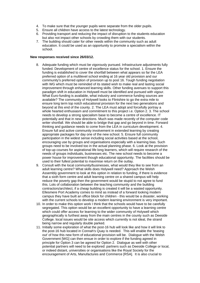- 4. To make sure that the younger pupils were separate from the older pupils.
- 5. Ensure all children have access to the latest technology.
- 6. Providing transport and reducing the impact of disruption to the students education but also not impact other schools by crowding them with our students.
- 7. The building should cater for other needs within the community such as adult education. It could be used as an opportunity to promote a specialism within the school.

#### **New responses received since 26/03/12.**

- 8. Adequate funding which must be vigorously pursued. Infrastructure adjustments fully funded. Development of centre of excellence status for the school. 1. Ensure the funding is established to cover the shortfall between what appears so far the LEA preferred option of a multilevel school ending at 16 year old provision and our community's preferred option of provision up to post 16. Tough funding negotiation with WG which must be reminded of its stated wish to make real and lasting social improvement through enhanced learning skills. Other funding avenues to support this paradigm shift in education in Holywell must be identified and pursued with vigour. What Euro-funding is available, what industry and commerce funding sources are available? The community of Holywell looks to Flintshire to go the extra mile to ensure long term top notch educational provision for the next two generations and beyond at this end of the county. 2. The LEA must adopt and forcefully portray a whole hearted enthusiasm and commitment to this project i.e. Option 2. 3. The school needs to develop a strong specialism base to become a centre of excellence. IT potentially and that in new directions. Much was made recently of the computer code writer shortfall. We should be able to bridge that gap and go beyond in time. Forward thinking and guidance needs to come from the LEA in curriculum development. 4. Ensure full and active community involvement in extended learning by creating appropriate packages for day one of the new school. 5. Ensure full community participation in the widest sense including social activities based at the school, encouraging use by groups and organisations especially with a learning bias. Such groups need to be involved too in the actual planning phase. 6. Look at the provision of top-up courses for aspirational life long learners, which will require research of the needs of groups individuals, businesses etc. The new school needs to become a power house for improvement though educational opportunity. The facilities should be used to their fullest potential to maximise return on the outlay.
- 9. Consult with the local community/businesses, what would they like to see from an adult learning centre? What skills does Holywell need? Approach the Welsh Assembly government to look at this option in relation to funding, if there is evidence that a sixth form centre and adult learning centre on a shared campus will help reduce the poverty gap then the government would be stupid to not agree to fund this. Lots of collaboration between the teaching community and the building contractors/architect, if a cheap building is created it will be a wasted opportunity. Ellesmere Port Academy comes to mind as instead of a forward looking modern campus they have built an office block for children - this would be a disaster, working with the current schools to develop a modern learning environment is very important.
- 10. In order to make this option work I think that the schools would have to be carefully segregated. This option would be an excellent opportunity to have a learning centre which could offer access for learning to the wider community of Holywell which geographically is furthest away from the main centres in the county such as Deeside College. local issues would be site access which currently is not ideal, the strand being narrow and regularly double parked.
- 11. Initially some exploration of what the post-16 hub will look like and how it will link to the post-16 hub located in Connah's Quay is needed. This will enable the 'teasing out' of how this new form of educational provision will be. Dialogue with the Welsh Government [WG] can then ensue in order to explore if the funding agreed in principle for Option 3 can be agreed for Option 2. Dialogue as well with other potential partners will need to be explored: partners such as Deeside College or local, or indeed distant, universities or organisations like the Royal Society for the encouragement of Arts, Manufactures and Commerce [RSA]. It is also crucial to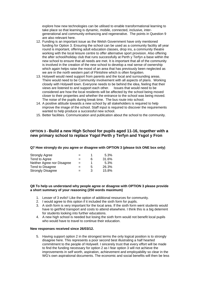explore how new technologies can be utilised to enable transformational learning to take place so that learning is dynamic, mobile, connected, inclusive, intergenerational and community enhancing and regenerative. The points in Question 9 are also relevant here.

- 12. Funding is an important issue as the Welsh Government have only mentioned funding for Option 3. Ensuring the school can be used as a community facility all year round is important, offering adult education classes, drop ins, a community theatre working with the local leisure centre to offer alternative sport provision. Also offering the after school/holiday club that runs successfully at Perth y Terfyn a base within the new school to ensure that all needs are met. It is important that all of the community is involved in the creation of the new school to develop a real sense of ownership which again helps raise the mood of an area that has previously been neglected as we are in the north western part of Flintshire which is often forgotten.
- 13. Holywell would need support from parents and the local and surrounding areas. There would need to be Community involvement with all aspects of plans. Working closely with Holywell town. Everyone needs to be behind the idea, feeling that their views are listened to and support each other. Issues that would need to be considered are how the local residents will be affected by the school being moved closer to their properties and whether the entrance to the school was being moved. The noise of the pupils during break time. The bus route into school.
- 14. A positive attitude towards a new school by all stakeholders is required to help improve the image of the school. Staff input is required to discover the requirements wanted to help produce a successful new school.
- 15. Better facilities. Communication and publication about the school to the community.

### **OPTION 3 - Build a new High School for pupils aged 11-16, together with a new primary school to replace Ysgol Perth y Terfyn and Ysgol y Fron**

#### **Q7 How strongly do you agree or disagree with OPTION 3 (please tick ONE box only)**

| <b>Strongly Agree</b>      | $=$ |   | 5.3%  |
|----------------------------|-----|---|-------|
| Tend to Agree              | $=$ | 6 | 31.6% |
| Neither Agree nor Disagree | $=$ |   | 5.3%  |
| Tend to Disagree           | $=$ | 5 | 26.3% |
| <b>Strongly Disagree</b>   | $=$ | З | 15.8% |

#### **Q8 To help us understand why people agree or disagree with OPTION 3 please provide a short summary of your reasoning (250 words maximum)**

- 1. Lesser of 3 evils!! Like the option of additional resources for community.
- 2. I would agree to this option if it included the sixth form for pupils.
- 3. A sixth form is very important for the local area. If the sixth form went students would have to get/find transport and costs to attend elsewhere. I think this is a big deterrent for students looking into further educations.
- 4. A new high school is needed but losing the sixth form would not benefit local pupils who would have to travel to continue their education.

#### **New responses received since 26/03/12.**

5. Having support option 2 in the strongest terms the only logical position is to strongly disagree here. This represents a poor second best illustrating a half hearted commitment to the people of Holywell. I sincerely trust that every effort will be made to find the funding necessary for option 2 as I fear option 3 will not achieve the improvements in self worth, aspiration, achievement and employability so clear in the WG's own aspirational documents. The economic and social benefits will then be less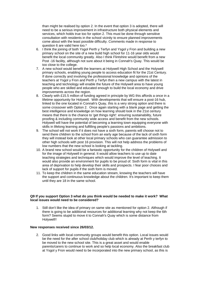than might be realised by option 2. In the event that option 3 is adopted, there will need to be a serious improvement in infrastructure both physical elements and services, which holds true too for option 2. This must be done through sensitive consultation with residents in the school vicinity to ensure planned improvements come about with the least possible difficulty. Comments made in response to question 6 are valid here too.\*

- 6. I think the joining of both Ysgol Perth y Terfyn and Ysgol y Fron and building a new primary school on the site of a new build high school for 11-16 year olds would benefit the local community greatly. Also I think Flintshire would benefit from a new Post -16 facility, although not sure about it being in Connah's Quay. This would be too close to the college.
- 7. A new school would benefit the learners at Holywell High School and the Holywell primary schools, enabling young people to access education fit for the 21st Century. If done correctly and involving the professional knowledge and opinions of the teachers at Ysgol y Fron and Perth y Terfyn then a new campus with the latest in teaching and technology will enable the future of the Holywell area to have young people who are skilled and educated enough to build the local economy and drive improvements across the region.
- 8. Clearly with £15.5 million of funding agreed in principle by WG this affords a once in a lifetime opportunity for Holywell. With developments that will ensure a post-16 hub, linked to the one located in Connah's Quay, this is a very strong option and there is some crossover with Option 2. Once again starting with a blank page and getting the best intelligence and knowledge on how learning should look in the 21st century means that there is the chance to 'get things right': ensuring sustainability, future proofing & including community wide access and benefit from the new schools. Holywell will have the potential of becoming a learning town equipping everyone with skills in lifelong learning and fulfilling people's passions and ambitions.
- 9. The school will not work if it does not have a sixth form, parents will choose not to send there children to the school from an early age because of the lack of sixth form they will instead look at other local primary schools who can guarantee admission to other high schools with post 16 provision. This will not help address the problems of low numbers that the new school is looking at tackling.
- 10. A brand new school would be a fantastic opportunity for the children of Holywell and for the image of Holywell in general. It would allow teachers to use up to date teaching strategies and techniques which would improve the level of teaching. It would also provide an environment for pupils to be proud of. Sixth form is vital in this area of deprivation to help develop their skills and prospects. I fear poor choices and lack of support for pupils if the sixth form is moved.
- 11. To keep the children in the same education stream, knowing the teachers will have the support and continuous knowledge about the children. It's important to keep them until they are 18 in the same school.

#### **Q9 If you support Option 3 what do you think would be needed to make it work? What local issues would need to be considered?**

1. Still don't like the idea of primary on same site as mentioned for option 2. Although if there is going to be additional resources for additional learning why not keep the 6th form? Seems stupid to move it to Connah's Quay which is some distance from Holywell!!

#### **New responses received since 26/03/12.**

2. Good links with local community groups would benefit this option. Local issues would be the need for the after school club/holiday club which is already at Perth y terfyn to be moved to the new school site. This is a great asset and would enable parents/carers to continue to work and so help local economy. Also the breakfast club at Ysgol y Fron would need to be incorporated into the new primary school, as this is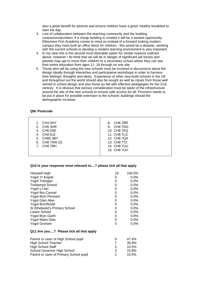also a great benefit for parents and ensure children have a good, healthy breakfast to start the day.

- 3. Lots of collaboration between the teaching community and the building contractors/architect, if a cheap building is created it will be a wasted opportunity. Ellesmere Port Academy comes to mind as instead of a forward looking modern campus they have built an office block for children - this would be a disaster, working with the current schools to develop a modern learning environment is very important.
- 4. In my view this is the second most desirable option for similar reasons outlined above, however I do think that we will be in danger of significant job losses and parents may opt to move their children to a secondary school where they can see their entire education from ages 11 -18 through on one site.
- 5. Those who will be using the new schools must be involved in discussions about the design ideally through interactive and participative workshops in order to harness their feelings, thoughts and ideas. Experience of other new build schools in the UK and throughout out the world should also be sought as well as inputs from those well versed in school design and also those au fait with effective pedagogies for the 21st century. It is obvious that serious consideration must be taken of the infrastructure around the site of the new schools to ensure safe access for all. Provision needs to be put in place for possible extension to the schools' buildings should the demographic increase.

#### **Q9c Postcode**

| 1. CH4 0HY                                  | 8. CH8 7BR                                                       |
|---------------------------------------------|------------------------------------------------------------------|
| 2. $CH53HR$                                 | 9. CH8 7DG                                                       |
| 3. CH6 5SE                                  | 10. CH8 7EQ                                                      |
| 4. CH6 6JZ                                  | 11. CH8 7LG                                                      |
| 5. CH65 3BY<br>6. CH8 7AW (2)<br>7. CH8 7BH | 12. CH8 7QA<br>13. CH8 7TZ<br><b>14. CH8 7UU</b><br>15. CH8 7UV. |

#### **Q10 Is your response most relevant to....? please tick all that apply**

| Holywell High                           | 19             | 100.0%  |
|-----------------------------------------|----------------|---------|
| Ysgol Yr Esgob                          | 0              | $0.0\%$ |
| Ysgol Trelogan                          | 0              | $0.0\%$ |
| <b>Trelawnyd School</b>                 | 0              | 0.0%    |
| Ysgol y Llan                            | 0              | $0.0\%$ |
| <b>Ysgol Bro Carmel</b>                 | 0              | $0.0\%$ |
| <b>Ysgol Bryn Pennant</b>               | 0              | $0.0\%$ |
| Ysgol Glan Aber                         | 0              | $0.0\%$ |
| Ysgol Brynffordd                        | 0              | $0.0\%$ |
| St Ethelwold's Primary School           | 0              | $0.0\%$ |
| Lixwm School                            | 0              | $0.0\%$ |
| Ysgol Bryn Garth                        | 0              | $0.0\%$ |
| <b>Ysgol Maes Glas</b>                  | 0              | $0.0\%$ |
| <b>Ysgol Gronant</b>                    | 0              | $0.0\%$ |
| Q11 Are you? Please tick all that apply |                |         |
| Parent or carer of High School pupil    | 9              | 47.4%   |
| <b>High School Teacher</b>              | $\overline{7}$ | 36.8%   |
| High School Staff                       | 2              | 10.5%   |
| School Governor High School             | 3              | 15.8%   |
| Parent or carer of Primary School pupil | 2              | 10.5%   |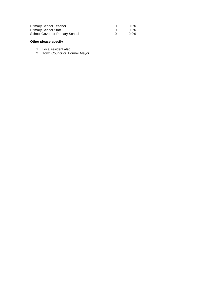| <b>Primary School Teacher</b>         | $0.0\%$ |
|---------------------------------------|---------|
| <b>Primary School Staff</b>           | $0.0\%$ |
| <b>School Governor Primary School</b> | $0.0\%$ |

# **Other please specify**

.

- 1. Local resident also
- 2. Town Councillor. Former Mayor.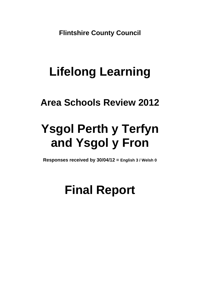**Flintshire County Council** 

# **Lifelong Learning**

# **Area Schools Review 2012**

# **Ysgol Perth y Terfyn and Ysgol y Fron**

**Responses received by 30/04/12 = English 3 / Welsh 0**

# **Final Report**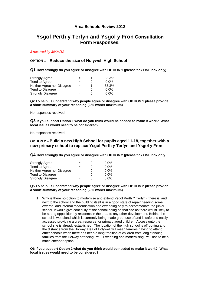# **Area Schools Review 2012**

# **Ysgol Perth y Terfyn and Ysgol y Fron Consultation Form Responses.**

#### *3 received by 30/04/12*

#### **OPTION 1 – Reduce the size of Holywell High School**

**Q1 How strongly do you agree or disagree with OPTION 1 (please tick ONE box only)** 

| <b>Strongly Agree</b>      |     |   | 33.3%   |
|----------------------------|-----|---|---------|
| Tend to Agree              | $=$ | O | $0.0\%$ |
| Neither Agree nor Disagree | $=$ |   | 33.3%   |
| Tend to Disagree           | $=$ | O | $0.0\%$ |
| <b>Strongly Disagree</b>   | $=$ | O | $0.0\%$ |

**Q2 To help us understand why people agree or disagree with OPTION 1 please provide a short summary of your reasoning (250 words maximum)** 

No responses received.

**Q3 If you support Option 1 what do you think would be needed to make it work? What local issues would need to be considered?** 

No responses received.

#### **OPTION 2 – Build a new High School for pupils aged 11-18, together with a new primary school to replace Ysgol Perth y Terfyn and Ysgol y Fron**

**Q4 How strongly do you agree or disagree with OPTION 2 (please tick ONE box only** 

| <b>Strongly Agree</b>      | -   | $0.0\%$ |
|----------------------------|-----|---------|
| Tend to Agree              | $=$ | $0.0\%$ |
| Neither Agree nor Disagree | $=$ | $0.0\%$ |
| Tend to Disagree           | $=$ | $0.0\%$ |
| <b>Strongly Disagree</b>   | $=$ | $0.0\%$ |

#### **Q5 To help us understand why people agree or disagree with OPTION 2 please provide a short summary of your reasoning (250 words maximum)**

1. Why is there no option to modernise and extend Ysgol Perth Y Terfyn - there is land next to the school and the building itself is in a good state of repair needing some external and internal modernisation and extending only to accommodate the junior school. It would give continuity of the school being on that site as there would likely to be strong opposition by residents in the area to any other development. Behind the school is woodland which is currently being made great use of and is safe and easily accessed providing a great resource for primary aged children. Access onto the school site is already established. The location of the high school is off putting and the distance from the Holway area of Holywell will mean families having to attend other schools when there has been a long tradition of children from long standing families from the Holway attending PYT. Extending and modernising PYT has to be a much cheaper option

#### **Q6 If you support Option 2 what do you think would be needed to make it work? What local issues would need to be considered?**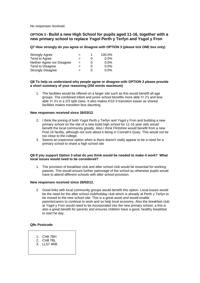No responses received.

### **OPTION 3 - Build a new High School for pupils aged 11-16, together with a new primary school to replace Ysgol Perth y Terfyn and Ysgol y Fron**

**Q7 How strongly do you agree or disagree with OPTION 3 (please tick ONE box only)** 

| <b>Strongly Agree</b>      | -   |   | 100.0%  |
|----------------------------|-----|---|---------|
| Tend to Agree              | $=$ |   | $0.0\%$ |
| Neither Agree nor Disagree | $=$ | 0 | $0.0\%$ |
| Tend to Disagree           | $=$ | 0 | $0.0\%$ |
| <b>Strongly Disagree</b>   | $=$ | 0 | $0.0\%$ |

#### **Q8 To help us understand why people agree or disagree with OPTION 3 please provide a short summary of your reasoning (250 words maximum)**

1. The facilities would be offered on a larger site such as this would benefit all age groups. The combined infant and junior school benefits more able Yr 2's and less able Yr 3's in a 2/3 split class. It also makes KS2-3 transition easier as shared facilities makes transition less daunting.

#### **New responses received since 26/03/12.**

- 2. I think the joining of both Ysgol Perth y Terfyn and Ysgol y Fron and building a new primary school on the site of a new build high school for 11-16 year olds would benefit the local community greatly. Also I think Flintshire would benefit from a new Post 16 facility, although not sure about it being in Connah's Quay. This would not be too close to the college.
- 3. Seems an expensive option when is there doesn't really appear to be a need for a primary school to share a high school site

#### **Q9 If you support Option 3 what do you think would be needed to make it work? What local issues would need to be considered?**

1. The provision of breakfast club and after school club would be essential for working parents. This would ensure further patronage of the school as otherwise pupils would have to attend different schools with after school provision.

#### **New responses received since 26/03/12.**

2. Good links with local community groups would benefit this option. Local issues would be the need for the after school club/holiday club which is already at Perth y Terfyn to be moved to the new school site. This is a great asset and would enable parents/carers to continue to work and so help local economy. Also the breakfast club at Ysgol y Fron would need to be incorporated into the new primary school, a this is also a great benefit for parents and ensures children have a good, healthy breakfast to start he day.

#### **Q9c Postcode**

- 1. CH8 7BH
- 2. CH8 7BL
- 3. LL57 4RB